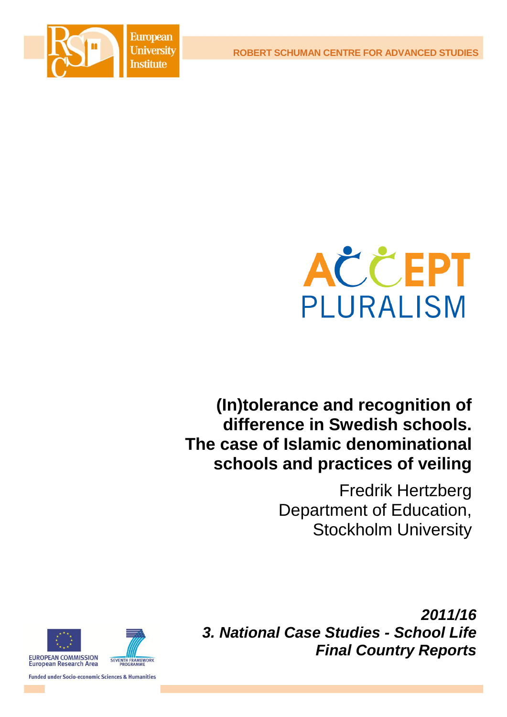**European University Institute** 

**ROBERT SCHUMAN CENTRE FOR ADVANCED STUDIES**





# **(In)tolerance and recognition of difference in Swedish schools. The case of Islamic denominational schools and practices of veiling**

Fredrik Hertzberg Department of Education, Stockholm University **Fredrik Hertzherd** 



SEVENTH FRAMEWORK

**Funded under Socio-economic Sciences & Humanities** 

*2011/16 3. National Case Studies - School Life Final Country Reports*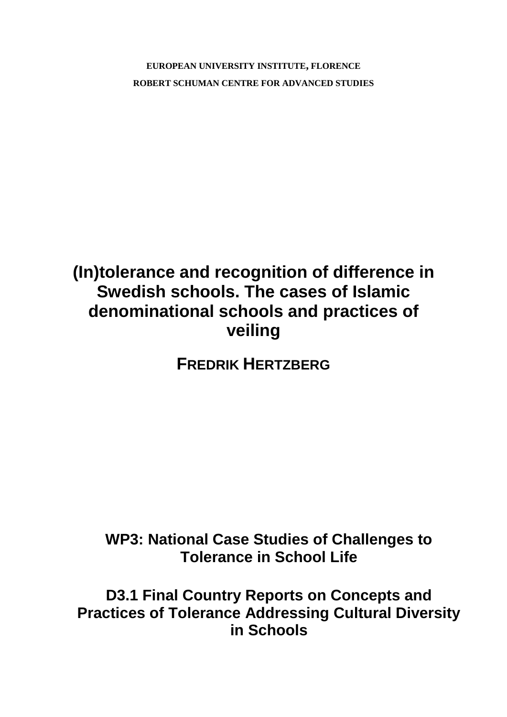**EUROPEAN UNIVERSITY INSTITUTE, FLORENCE ROBERT SCHUMAN CENTRE FOR ADVANCED STUDIES**

# **(In)tolerance and recognition of difference in Swedish schools. The cases of Islamic denominational schools and practices of veiling**

**FREDRIK HERTZBERG**

## **WP3: National Case Studies of Challenges to Tolerance in School Life**

**D3.1 Final Country Reports on Concepts and Practices of Tolerance Addressing Cultural Diversity in Schools**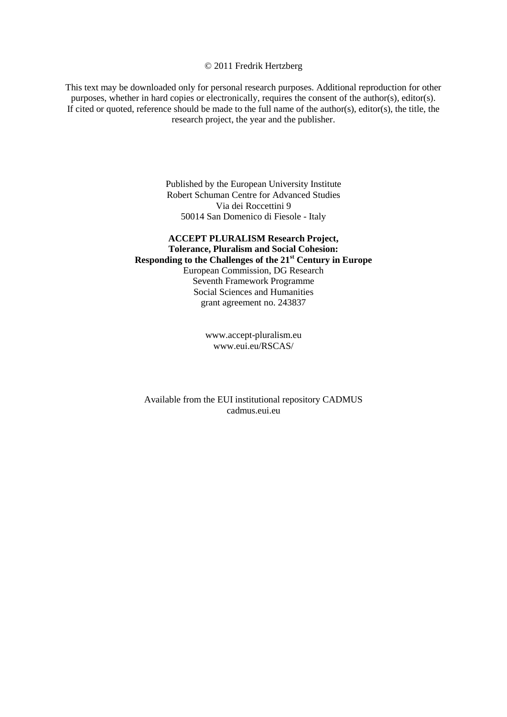#### © 2011 Fredrik Hertzberg

This text may be downloaded only for personal research purposes. Additional reproduction for other purposes, whether in hard copies or electronically, requires the consent of the author(s), editor(s). If cited or quoted, reference should be made to the full name of the author(s), editor(s), the title, the research project, the year and the publisher.

> Published by the European University Institute Robert Schuman Centre for Advanced Studies Via dei Roccettini 9 50014 San Domenico di Fiesole - Italy

### **ACCEPT PLURALISM Research Project, Tolerance, Pluralism and Social Cohesion: Responding to the Challenges of the 21st Century in Europe**  European Commission, DG Research Seventh Framework Programme Social Sciences and Humanities grant agreement no. 243837

[www.accept-pluralism.eu](http://www.accept-pluralism.eu/) [www.eui.eu/RSCAS/](http://www.eui.eu/RSCAS/)

Available from the EUI institutional repository CADMUS cadmus.eui.eu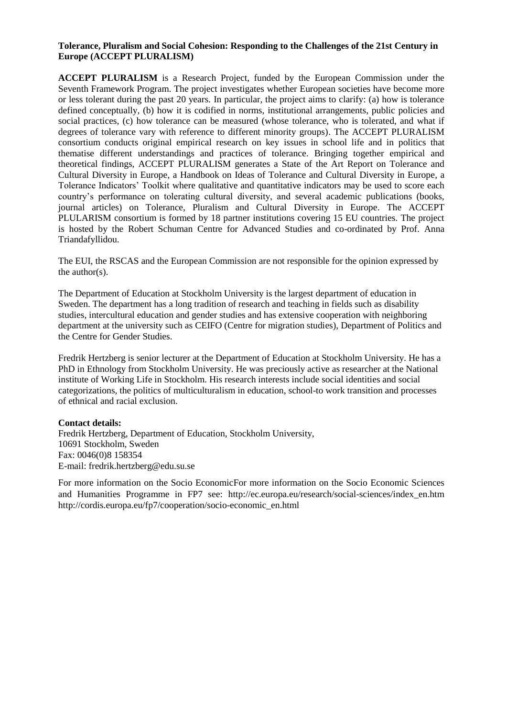#### **Tolerance, Pluralism and Social Cohesion: Responding to the Challenges of the 21st Century in Europe (ACCEPT PLURALISM)**

**ACCEPT PLURALISM** is a Research Project, funded by the European Commission under the Seventh Framework Program. The project investigates whether European societies have become more or less tolerant during the past 20 years. In particular, the project aims to clarify: (a) how is tolerance defined conceptually, (b) how it is codified in norms, institutional arrangements, public policies and social practices, (c) how tolerance can be measured (whose tolerance, who is tolerated, and what if degrees of tolerance vary with reference to different minority groups). The ACCEPT PLURALISM consortium conducts original empirical research on key issues in school life and in politics that thematise different understandings and practices of tolerance. Bringing together empirical and theoretical findings, ACCEPT PLURALISM generates a State of the Art Report on Tolerance and Cultural Diversity in Europe, a Handbook on Ideas of Tolerance and Cultural Diversity in Europe, a Tolerance Indicators' Toolkit where qualitative and quantitative indicators may be used to score each country's performance on tolerating cultural diversity, and several academic publications (books, journal articles) on Tolerance, Pluralism and Cultural Diversity in Europe. The ACCEPT PLULARISM consortium is formed by 18 partner institutions covering 15 EU countries. The project is hosted by the Robert Schuman Centre for Advanced Studies and co-ordinated by Prof. Anna Triandafyllidou.

The EUI, the RSCAS and the European Commission are not responsible for the opinion expressed by the author(s).

The Department of Education at Stockholm University is the largest department of education in Sweden. The department has a long tradition of research and teaching in fields such as disability studies, intercultural education and gender studies and has extensive cooperation with neighboring department at the university such as CEIFO (Centre for migration studies), Department of Politics and the Centre for Gender Studies.

Fredrik Hertzberg is senior lecturer at the Department of Education at Stockholm University. He has a PhD in Ethnology from Stockholm University. He was preciously active as researcher at the National institute of Working Life in Stockholm. His research interests include social identities and social categorizations, the politics of multiculturalism in education, school-to work transition and processes of ethnical and racial exclusion.

#### **Contact details:**

Fredrik Hertzberg, Department of Education, Stockholm University, 10691 Stockholm, Sweden Fax: 0046(0)8 158354 E-mail: fredrik.hertzberg@edu.su.se

For more information on the Socio EconomicFor more information on the Socio Economic Sciences and Humanities Programme in FP7 see: [http://ec.europa.eu/research/social-sciences/index\\_en.htm](http://ec.europa.eu/research/social-sciences/index_en.htm) [http://cordis.europa.eu/fp7/cooperation/socio-economic\\_en.html](http://cordis.europa.eu/fp7/cooperation/socio-economic_en.html)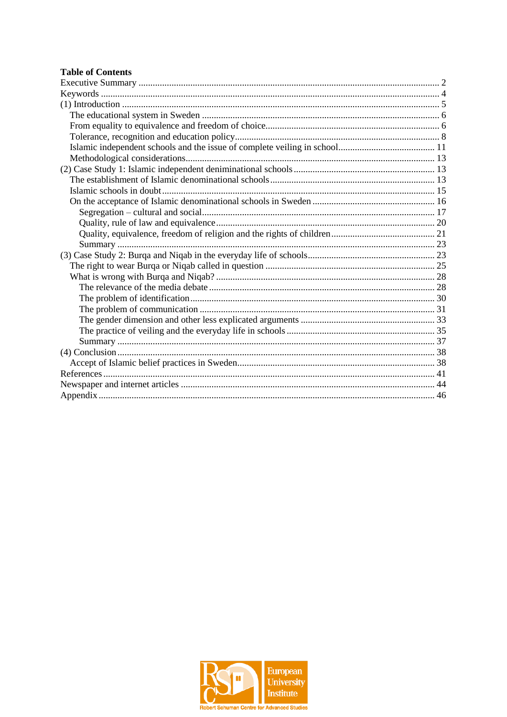## **Table of Contents**

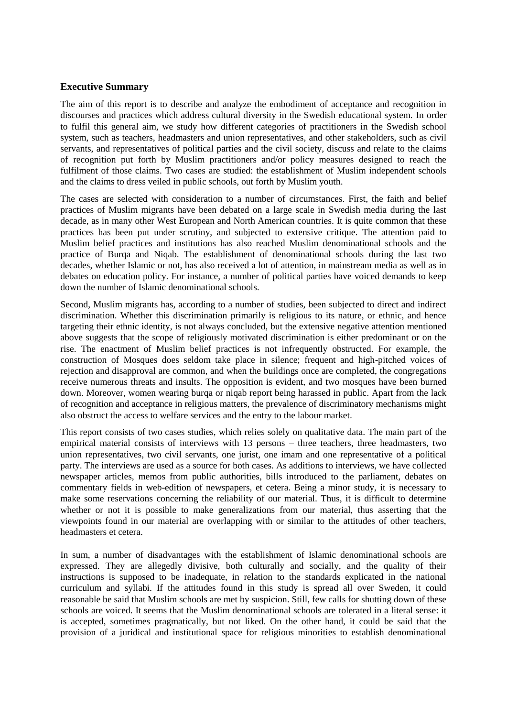#### <span id="page-7-0"></span>**Executive Summary**

The aim of this report is to describe and analyze the embodiment of acceptance and recognition in discourses and practices which address cultural diversity in the Swedish educational system. In order to fulfil this general aim, we study how different categories of practitioners in the Swedish school system, such as teachers, headmasters and union representatives, and other stakeholders, such as civil servants, and representatives of political parties and the civil society, discuss and relate to the claims of recognition put forth by Muslim practitioners and/or policy measures designed to reach the fulfilment of those claims. Two cases are studied: the establishment of Muslim independent schools and the claims to dress veiled in public schools, out forth by Muslim youth.

The cases are selected with consideration to a number of circumstances. First, the faith and belief practices of Muslim migrants have been debated on a large scale in Swedish media during the last decade, as in many other West European and North American countries. It is quite common that these practices has been put under scrutiny, and subjected to extensive critique. The attention paid to Muslim belief practices and institutions has also reached Muslim denominational schools and the practice of Burqa and Niqab. The establishment of denominational schools during the last two decades, whether Islamic or not, has also received a lot of attention, in mainstream media as well as in debates on education policy. For instance, a number of political parties have voiced demands to keep down the number of Islamic denominational schools.

Second, Muslim migrants has, according to a number of studies, been subjected to direct and indirect discrimination. Whether this discrimination primarily is religious to its nature, or ethnic, and hence targeting their ethnic identity, is not always concluded, but the extensive negative attention mentioned above suggests that the scope of religiously motivated discrimination is either predominant or on the rise. The enactment of Muslim belief practices is not infrequently obstructed. For example, the construction of Mosques does seldom take place in silence; frequent and high-pitched voices of rejection and disapproval are common, and when the buildings once are completed, the congregations receive numerous threats and insults. The opposition is evident, and two mosques have been burned down. Moreover, women wearing burqa or niqab report being harassed in public. Apart from the lack of recognition and acceptance in religious matters, the prevalence of discriminatory mechanisms might also obstruct the access to welfare services and the entry to the labour market.

This report consists of two cases studies, which relies solely on qualitative data. The main part of the empirical material consists of interviews with 13 persons – three teachers, three headmasters, two union representatives, two civil servants, one jurist, one imam and one representative of a political party. The interviews are used as a source for both cases. As additions to interviews, we have collected newspaper articles, memos from public authorities, bills introduced to the parliament, debates on commentary fields in web-edition of newspapers, et cetera. Being a minor study, it is necessary to make some reservations concerning the reliability of our material. Thus, it is difficult to determine whether or not it is possible to make generalizations from our material, thus asserting that the viewpoints found in our material are overlapping with or similar to the attitudes of other teachers, headmasters et cetera.

In sum, a number of disadvantages with the establishment of Islamic denominational schools are expressed. They are allegedly divisive, both culturally and socially, and the quality of their instructions is supposed to be inadequate, in relation to the standards explicated in the national curriculum and syllabi. If the attitudes found in this study is spread all over Sweden, it could reasonable be said that Muslim schools are met by suspicion. Still, few calls for shutting down of these schools are voiced. It seems that the Muslim denominational schools are tolerated in a literal sense: it is accepted, sometimes pragmatically, but not liked. On the other hand, it could be said that the provision of a juridical and institutional space for religious minorities to establish denominational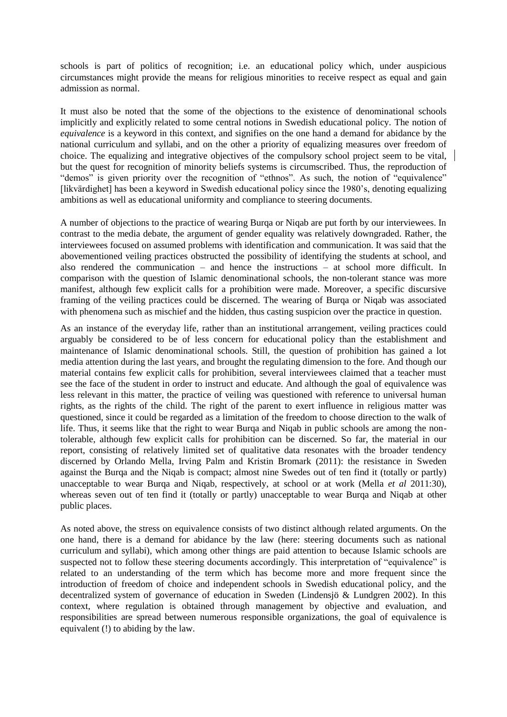schools is part of politics of recognition; i.e. an educational policy which, under auspicious circumstances might provide the means for religious minorities to receive respect as equal and gain admission as normal.

It must also be noted that the some of the objections to the existence of denominational schools implicitly and explicitly related to some central notions in Swedish educational policy. The notion of *equivalence* is a keyword in this context, and signifies on the one hand a demand for abidance by the national curriculum and syllabi, and on the other a priority of equalizing measures over freedom of choice. The equalizing and integrative objectives of the compulsory school project seem to be vital, but the quest for recognition of minority beliefs systems is circumscribed. Thus, the reproduction of "demos" is given priority over the recognition of "ethnos". As such, the notion of "equivalence" [likvärdighet] has been a keyword in Swedish educational policy since the 1980's, denoting equalizing ambitions as well as educational uniformity and compliance to steering documents.

A number of objections to the practice of wearing Burqa or Niqab are put forth by our interviewees. In contrast to the media debate, the argument of gender equality was relatively downgraded. Rather, the interviewees focused on assumed problems with identification and communication. It was said that the abovementioned veiling practices obstructed the possibility of identifying the students at school, and also rendered the communication – and hence the instructions – at school more difficult. In comparison with the question of Islamic denominational schools, the non-tolerant stance was more manifest, although few explicit calls for a prohibition were made. Moreover, a specific discursive framing of the veiling practices could be discerned. The wearing of Burqa or Niqab was associated with phenomena such as mischief and the hidden, thus casting suspicion over the practice in question.

As an instance of the everyday life, rather than an institutional arrangement, veiling practices could arguably be considered to be of less concern for educational policy than the establishment and maintenance of Islamic denominational schools. Still, the question of prohibition has gained a lot media attention during the last years, and brought the regulating dimension to the fore. And though our material contains few explicit calls for prohibition, several interviewees claimed that a teacher must see the face of the student in order to instruct and educate. And although the goal of equivalence was less relevant in this matter, the practice of veiling was questioned with reference to universal human rights, as the rights of the child. The right of the parent to exert influence in religious matter was questioned, since it could be regarded as a limitation of the freedom to choose direction to the walk of life. Thus, it seems like that the right to wear Burqa and Niqab in public schools are among the nontolerable, although few explicit calls for prohibition can be discerned. So far, the material in our report, consisting of relatively limited set of qualitative data resonates with the broader tendency discerned by Orlando Mella, Irving Palm and Kristin Bromark (2011): the resistance in Sweden against the Burqa and the Niqab is compact; almost nine Swedes out of ten find it (totally or partly) unacceptable to wear Burqa and Niqab, respectively, at school or at work (Mella *et al* 2011:30), whereas seven out of ten find it (totally or partly) unacceptable to wear Burga and Nigab at other public places.

As noted above, the stress on equivalence consists of two distinct although related arguments. On the one hand, there is a demand for abidance by the law (here: steering documents such as national curriculum and syllabi), which among other things are paid attention to because Islamic schools are suspected not to follow these steering documents accordingly. This interpretation of "equivalence" is related to an understanding of the term which has become more and more frequent since the introduction of freedom of choice and independent schools in Swedish educational policy, and the decentralized system of governance of education in Sweden (Lindensjö & Lundgren 2002). In this context, where regulation is obtained through management by objective and evaluation, and responsibilities are spread between numerous responsible organizations, the goal of equivalence is equivalent (!) to abiding by the law.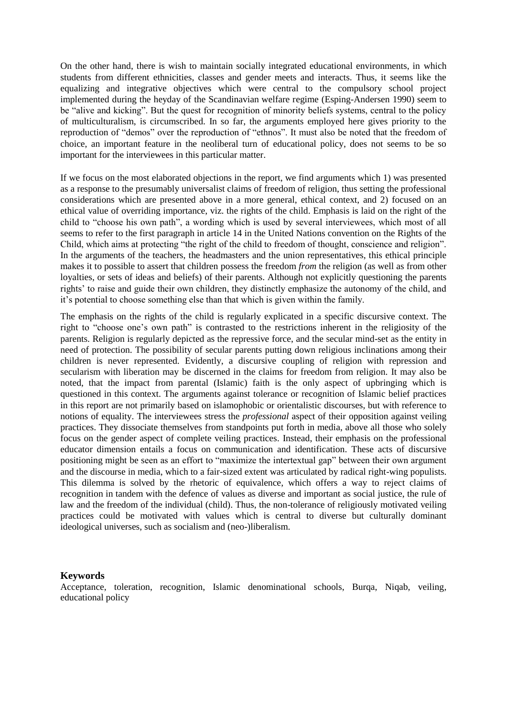On the other hand, there is wish to maintain socially integrated educational environments, in which students from different ethnicities, classes and gender meets and interacts. Thus, it seems like the equalizing and integrative objectives which were central to the compulsory school project implemented during the heyday of the Scandinavian welfare regime (Esping-Andersen 1990) seem to be "alive and kicking". But the quest for recognition of minority beliefs systems, central to the policy of multiculturalism, is circumscribed. In so far, the arguments employed here gives priority to the reproduction of "demos" over the reproduction of "ethnos". It must also be noted that the freedom of choice, an important feature in the neoliberal turn of educational policy, does not seems to be so important for the interviewees in this particular matter.

If we focus on the most elaborated objections in the report, we find arguments which 1) was presented as a response to the presumably universalist claims of freedom of religion, thus setting the professional considerations which are presented above in a more general, ethical context, and 2) focused on an ethical value of overriding importance, viz. the rights of the child. Emphasis is laid on the right of the child to "choose his own path", a wording which is used by several interviewees, which most of all seems to refer to the first paragraph in article 14 in the United Nations convention on the Rights of the Child, which aims at protecting "the right of the child to freedom of thought, conscience and religion". In the arguments of the teachers, the headmasters and the union representatives, this ethical principle makes it to possible to assert that children possess the freedom *from* the religion (as well as from other loyalties, or sets of ideas and beliefs) of their parents. Although not explicitly questioning the parents rights' to raise and guide their own children, they distinctly emphasize the autonomy of the child, and it's potential to choose something else than that which is given within the family.

The emphasis on the rights of the child is regularly explicated in a specific discursive context. The right to "choose one's own path" is contrasted to the restrictions inherent in the religiosity of the parents. Religion is regularly depicted as the repressive force, and the secular mind-set as the entity in need of protection. The possibility of secular parents putting down religious inclinations among their children is never represented. Evidently, a discursive coupling of religion with repression and secularism with liberation may be discerned in the claims for freedom from religion. It may also be noted, that the impact from parental (Islamic) faith is the only aspect of upbringing which is questioned in this context. The arguments against tolerance or recognition of Islamic belief practices in this report are not primarily based on islamophobic or orientalistic discourses, but with reference to notions of equality. The interviewees stress the *professional* aspect of their opposition against veiling practices. They dissociate themselves from standpoints put forth in media, above all those who solely focus on the gender aspect of complete veiling practices. Instead, their emphasis on the professional educator dimension entails a focus on communication and identification. These acts of discursive positioning might be seen as an effort to "maximize the intertextual gap" between their own argument and the discourse in media, which to a fair-sized extent was articulated by radical right-wing populists. This dilemma is solved by the rhetoric of equivalence, which offers a way to reject claims of recognition in tandem with the defence of values as diverse and important as social justice, the rule of law and the freedom of the individual (child). Thus, the non-tolerance of religiously motivated veiling practices could be motivated with values which is central to diverse but culturally dominant ideological universes, such as socialism and (neo-)liberalism.

#### <span id="page-9-0"></span>**Keywords**

Acceptance, toleration, recognition, Islamic denominational schools, Burqa, Niqab, veiling, educational policy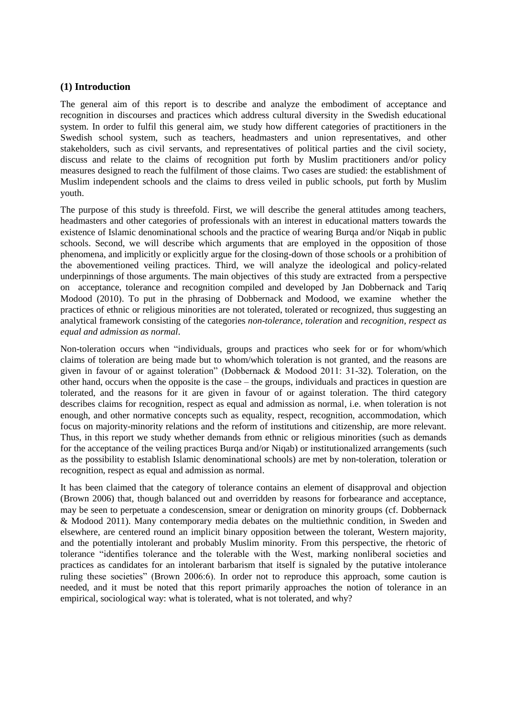### <span id="page-10-0"></span>**(1) Introduction**

The general aim of this report is to describe and analyze the embodiment of acceptance and recognition in discourses and practices which address cultural diversity in the Swedish educational system. In order to fulfil this general aim, we study how different categories of practitioners in the Swedish school system, such as teachers, headmasters and union representatives, and other stakeholders, such as civil servants, and representatives of political parties and the civil society, discuss and relate to the claims of recognition put forth by Muslim practitioners and/or policy measures designed to reach the fulfilment of those claims. Two cases are studied: the establishment of Muslim independent schools and the claims to dress veiled in public schools, put forth by Muslim youth.

The purpose of this study is threefold. First, we will describe the general attitudes among teachers, headmasters and other categories of professionals with an interest in educational matters towards the existence of Islamic denominational schools and the practice of wearing Burqa and/or Niqab in public schools. Second, we will describe which arguments that are employed in the opposition of those phenomena, and implicitly or explicitly argue for the closing-down of those schools or a prohibition of the abovementioned veiling practices. Third, we will analyze the ideological and policy-related underpinnings of those arguments. The main objectives of this study are extracted from a perspective on acceptance, tolerance and recognition compiled and developed by Jan Dobbernack and Tariq Modood (2010). To put in the phrasing of Dobbernack and Modood, we examine whether the practices of ethnic or religious minorities are not tolerated, tolerated or recognized, thus suggesting an analytical framework consisting of the categories *non-tolerance*, *toleration* and *recognition, respect as equal and admission as normal*.

Non-toleration occurs when "individuals, groups and practices who seek for or for whom/which claims of toleration are being made but to whom/which toleration is not granted, and the reasons are given in favour of or against toleration" (Dobbernack & Modood 2011: 31-32). Toleration, on the other hand, occurs when the opposite is the case – the groups, individuals and practices in question are tolerated, and the reasons for it are given in favour of or against toleration. The third category describes claims for recognition, respect as equal and admission as normal, i.e. when toleration is not enough, and other normative concepts such as equality, respect, recognition, accommodation, which focus on majority-minority relations and the reform of institutions and citizenship, are more relevant. Thus, in this report we study whether demands from ethnic or religious minorities (such as demands for the acceptance of the veiling practices Burqa and/or Niqab) or institutionalized arrangements (such as the possibility to establish Islamic denominational schools) are met by non-toleration, toleration or recognition, respect as equal and admission as normal.

It has been claimed that the category of tolerance contains an element of disapproval and objection (Brown 2006) that, though balanced out and overridden by reasons for forbearance and acceptance, may be seen to perpetuate a condescension, smear or denigration on minority groups (cf. Dobbernack & Modood 2011). Many contemporary media debates on the multiethnic condition, in Sweden and elsewhere, are centered round an implicit binary opposition between the tolerant, Western majority, and the potentially intolerant and probably Muslim minority. From this perspective, the rhetoric of tolerance "identifies tolerance and the tolerable with the West, marking nonliberal societies and practices as candidates for an intolerant barbarism that itself is signaled by the putative intolerance ruling these societies" (Brown 2006:6). In order not to reproduce this approach, some caution is needed, and it must be noted that this report primarily approaches the notion of tolerance in an empirical, sociological way: what is tolerated, what is not tolerated, and why?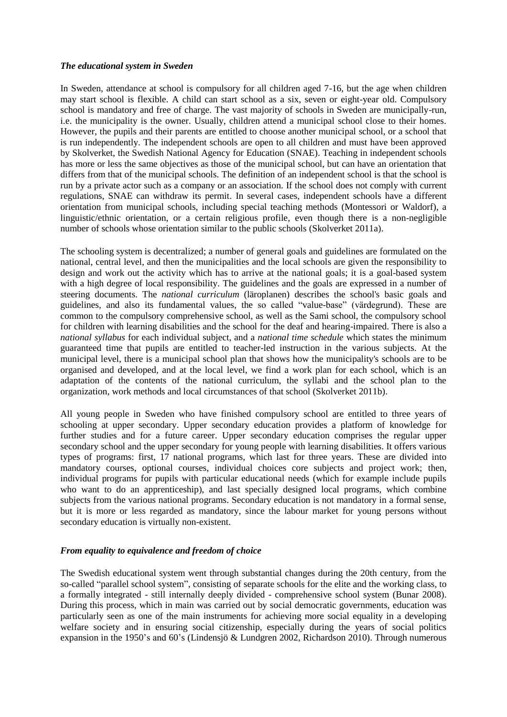#### <span id="page-11-0"></span>*The educational system in Sweden*

In Sweden, attendance at school is compulsory for all children aged 7-16, but the age when children may start school is flexible. A child can start school as a six, seven or eight-year old. Compulsory school is mandatory and free of charge. The vast majority of schools in Sweden are municipally-run, i.e. the municipality is the owner. Usually, children attend a municipal school close to their homes. However, the pupils and their parents are entitled to choose another municipal school, or a school that is run independently. The independent schools are open to all children and must have been approved by Skolverket, the Swedish National Agency for Education (SNAE). Teaching in independent schools has more or less the same objectives as those of the municipal school, but can have an orientation that differs from that of the municipal schools. The definition of an independent school is that the school is run by a private actor such as a company or an association. If the school does not comply with current regulations, SNAE can withdraw its permit. In several cases, independent schools have a different orientation from municipal schools, including special teaching methods (Montessori or Waldorf), a linguistic/ethnic orientation, or a certain religious profile, even though there is a non-negligible number of schools whose orientation similar to the public schools (Skolverket 2011a).

The schooling system is decentralized; a number of general goals and guidelines are formulated on the national, central level, and then the municipalities and the local schools are given the responsibility to design and work out the activity which has to arrive at the national goals; it is a goal-based system with a high degree of local responsibility. The guidelines and the goals are expressed in a number of steering documents. The *national curriculum* (läroplanen) describes the school's basic goals and guidelines, and also its fundamental values, the so called "value-base" (värdegrund). These are common to the compulsory comprehensive school, as well as the Sami school, the compulsory school for children with learning disabilities and the school for the deaf and hearing-impaired. There is also a *national syllabus* for each individual subject, and a *national time schedule* which states the minimum guaranteed time that pupils are entitled to teacher-led instruction in the various subjects. At the municipal level, there is a municipal school plan that shows how the municipality's schools are to be organised and developed, and at the local level, we find a work plan for each school, which is an adaptation of the contents of the national curriculum, the syllabi and the school plan to the organization, work methods and local circumstances of that school (Skolverket 2011b).

All young people in Sweden who have finished compulsory school are entitled to three years of schooling at upper secondary. Upper secondary education provides a platform of knowledge for further studies and for a future career. Upper secondary education comprises the regular upper secondary school and the upper secondary for young people with learning disabilities. It offers various types of programs: first, 17 national programs, which last for three years. These are divided into mandatory courses, optional courses, individual choices core subjects and project work; then, individual programs for pupils with particular educational needs (which for example include pupils who want to do an apprenticeship), and last specially designed local programs, which combine subjects from the various national programs. Secondary education is not mandatory in a formal sense, but it is more or less regarded as mandatory, since the labour market for young persons without secondary education is virtually non-existent.

#### <span id="page-11-1"></span>*From equality to equivalence and freedom of choice*

The Swedish educational system went through substantial changes during the 20th century, from the so-called "parallel school system", consisting of separate schools for the elite and the working class, to a formally integrated - still internally deeply divided - comprehensive school system (Bunar 2008). During this process, which in main was carried out by social democratic governments, education was particularly seen as one of the main instruments for achieving more social equality in a developing welfare society and in ensuring social citizenship, especially during the years of social politics expansion in the 1950's and 60's (Lindensjö & Lundgren 2002, Richardson 2010). Through numerous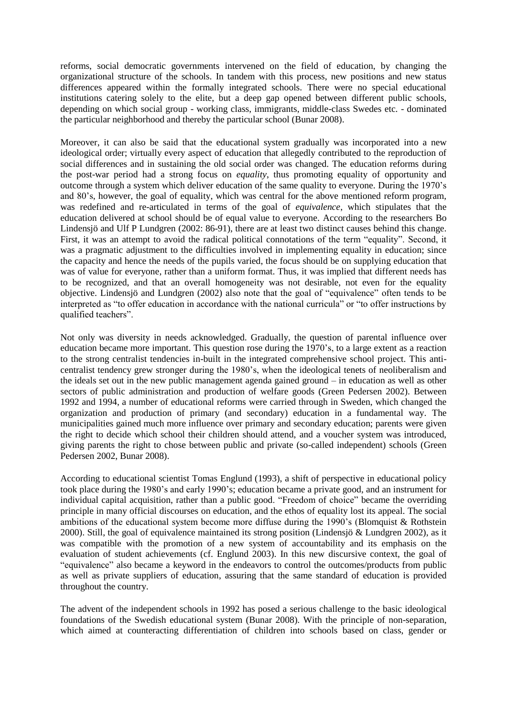reforms, social democratic governments intervened on the field of education, by changing the organizational structure of the schools. In tandem with this process, new positions and new status differences appeared within the formally integrated schools. There were no special educational institutions catering solely to the elite, but a deep gap opened between different public schools, depending on which social group - working class, immigrants, middle-class Swedes etc. - dominated the particular neighborhood and thereby the particular school (Bunar 2008).

Moreover, it can also be said that the educational system gradually was incorporated into a new ideological order; virtually every aspect of education that allegedly contributed to the reproduction of social differences and in sustaining the old social order was changed. The education reforms during the post-war period had a strong focus on *equality*, thus promoting equality of opportunity and outcome through a system which deliver education of the same quality to everyone. During the 1970's and 80's, however, the goal of equality, which was central for the above mentioned reform program, was redefined and re-articulated in terms of the goal of *equivalence*, which stipulates that the education delivered at school should be of equal value to everyone. According to the researchers Bo Lindensjö and Ulf P Lundgren (2002: 86-91), there are at least two distinct causes behind this change. First, it was an attempt to avoid the radical political connotations of the term "equality". Second, it was a pragmatic adjustment to the difficulties involved in implementing equality in education; since the capacity and hence the needs of the pupils varied, the focus should be on supplying education that was of value for everyone, rather than a uniform format. Thus, it was implied that different needs has to be recognized, and that an overall homogeneity was not desirable, not even for the equality objective. Lindensjö and Lundgren (2002) also note that the goal of "equivalence" often tends to be interpreted as "to offer education in accordance with the national curricula" or "to offer instructions by qualified teachers".

Not only was diversity in needs acknowledged. Gradually, the question of parental influence over education became more important. This question rose during the 1970's, to a large extent as a reaction to the strong centralist tendencies in-built in the integrated comprehensive school project. This anticentralist tendency grew stronger during the 1980's, when the ideological tenets of neoliberalism and the ideals set out in the new public management agenda gained ground – in education as well as other sectors of public administration and production of welfare goods (Green Pedersen 2002). Between 1992 and 1994, a number of educational reforms were carried through in Sweden, which changed the organization and production of primary (and secondary) education in a fundamental way. The municipalities gained much more influence over primary and secondary education; parents were given the right to decide which school their children should attend, and a voucher system was introduced, giving parents the right to chose between public and private (so-called independent) schools (Green Pedersen 2002, Bunar 2008).

According to educational scientist Tomas Englund (1993), a shift of perspective in educational policy took place during the 1980's and early 1990's; education became a private good, and an instrument for individual capital acquisition, rather than a public good. "Freedom of choice" became the overriding principle in many official discourses on education, and the ethos of equality lost its appeal. The social ambitions of the educational system become more diffuse during the 1990's (Blomquist & Rothstein 2000). Still, the goal of equivalence maintained its strong position (Lindensjö & Lundgren 2002), as it was compatible with the promotion of a new system of accountability and its emphasis on the evaluation of student achievements (cf. Englund 2003). In this new discursive context, the goal of "equivalence" also became a keyword in the endeavors to control the outcomes/products from public as well as private suppliers of education, assuring that the same standard of education is provided throughout the country.

The advent of the independent schools in 1992 has posed a serious challenge to the basic ideological foundations of the Swedish educational system (Bunar 2008). With the principle of non-separation, which aimed at counteracting differentiation of children into schools based on class, gender or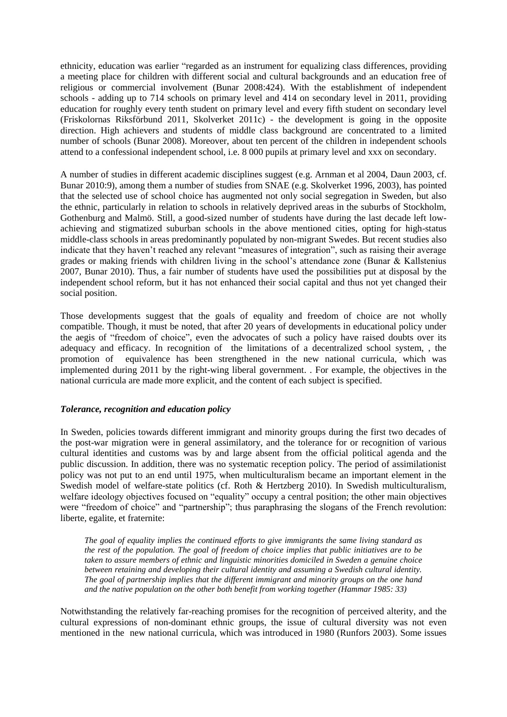ethnicity, education was earlier "regarded as an instrument for equalizing class differences, providing a meeting place for children with different social and cultural backgrounds and an education free of religious or commercial involvement (Bunar 2008:424). With the establishment of independent schools - adding up to 714 schools on primary level and 414 on secondary level in 2011, providing education for roughly every tenth student on primary level and every fifth student on secondary level (Friskolornas Riksförbund 2011, Skolverket 2011c) - the development is going in the opposite direction. High achievers and students of middle class background are concentrated to a limited number of schools (Bunar 2008). Moreover, about ten percent of the children in independent schools attend to a confessional independent school, i.e. 8 000 pupils at primary level and xxx on secondary.

A number of studies in different academic disciplines suggest (e.g. Arnman et al 2004, Daun 2003, cf. Bunar 2010:9), among them a number of studies from SNAE (e.g. Skolverket 1996, 2003), has pointed that the selected use of school choice has augmented not only social segregation in Sweden, but also the ethnic, particularly in relation to schools in relatively deprived areas in the suburbs of Stockholm, Gothenburg and Malmö. Still, a good-sized number of students have during the last decade left lowachieving and stigmatized suburban schools in the above mentioned cities, opting for high-status middle-class schools in areas predominantly populated by non-migrant Swedes. But recent studies also indicate that they haven't reached any relevant "measures of integration", such as raising their average grades or making friends with children living in the school's attendance zone (Bunar & Kallstenius 2007, Bunar 2010). Thus, a fair number of students have used the possibilities put at disposal by the independent school reform, but it has not enhanced their social capital and thus not yet changed their social position.

Those developments suggest that the goals of equality and freedom of choice are not wholly compatible. Though, it must be noted, that after 20 years of developments in educational policy under the aegis of "freedom of choice", even the advocates of such a policy have raised doubts over its adequacy and efficacy. In recognition of the limitations of a decentralized school system, , the promotion of equivalence has been strengthened in the new national curricula, which was implemented during 2011 by the right-wing liberal government. . For example, the objectives in the national curricula are made more explicit, and the content of each subject is specified.

#### <span id="page-13-0"></span>*Tolerance, recognition and education policy*

In Sweden, policies towards different immigrant and minority groups during the first two decades of the post-war migration were in general assimilatory, and the tolerance for or recognition of various cultural identities and customs was by and large absent from the official political agenda and the public discussion. In addition, there was no systematic reception policy. The period of assimilationist policy was not put to an end until 1975, when multiculturalism became an important element in the Swedish model of welfare-state politics (cf. Roth & Hertzberg 2010). In Swedish multiculturalism, welfare ideology objectives focused on "equality" occupy a central position; the other main objectives were "freedom of choice" and "partnership"; thus paraphrasing the slogans of the French revolution: liberte, egalite, et fraternite:

*The goal of equality implies the continued efforts to give immigrants the same living standard as the rest of the population. The goal of freedom of choice implies that public initiatives are to be taken to assure members of ethnic and linguistic minorities domiciled in Sweden a genuine choice between retaining and developing their cultural identity and assuming a Swedish cultural identity. The goal of partnership implies that the different immigrant and minority groups on the one hand and the native population on the other both benefit from working together (Hammar 1985: 33)*

Notwithstanding the relatively far-reaching promises for the recognition of perceived alterity, and the cultural expressions of non-dominant ethnic groups, the issue of cultural diversity was not even mentioned in the new national curricula, which was introduced in 1980 (Runfors 2003). Some issues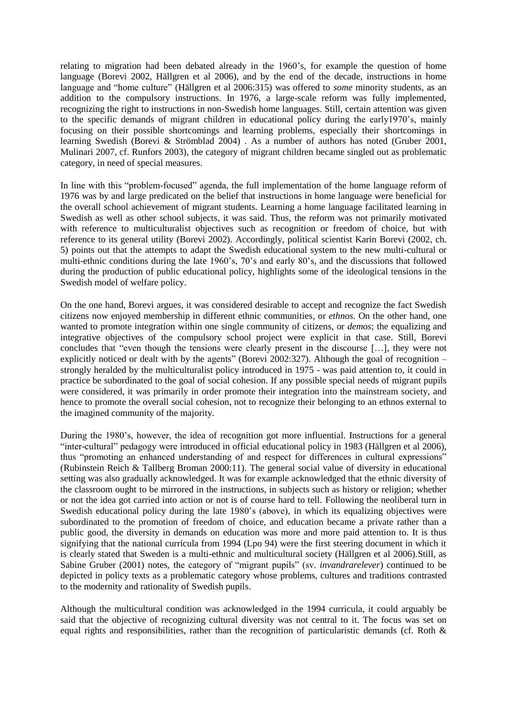relating to migration had been debated already in the 1960's, for example the question of home language (Borevi 2002, Hällgren et al 2006), and by the end of the decade, instructions in home language and "home culture" (Hällgren et al 2006:315) was offered to *some* minority students, as an addition to the compulsory instructions. In 1976, a large-scale reform was fully implemented, recognizing the right to instructions in non-Swedish home languages. Still, certain attention was given to the specific demands of migrant children in educational policy during the early1970's, mainly focusing on their possible shortcomings and learning problems, especially their shortcomings in learning Swedish (Borevi & Strömblad 2004) . As a number of authors has noted (Gruber 2001, Mulinari 2007, cf. Runfors 2003), the category of migrant children became singled out as problematic category, in need of special measures.

In line with this "problem-focused" agenda, the full implementation of the home language reform of 1976 was by and large predicated on the belief that instructions in home language were beneficial for the overall school achievement of migrant students. Learning a home language facilitated learning in Swedish as well as other school subjects, it was said. Thus, the reform was not primarily motivated with reference to multiculturalist objectives such as recognition or freedom of choice, but with reference to its general utility (Borevi 2002). Accordingly, political scientist Karin Borevi (2002, ch. 5) points out that the attempts to adapt the Swedish educational system to the new multi-cultural or multi-ethnic conditions during the late 1960's, 70's and early 80's, and the discussions that followed during the production of public educational policy, highlights some of the ideological tensions in the Swedish model of welfare policy.

On the one hand, Borevi argues, it was considered desirable to accept and recognize the fact Swedish citizens now enjoyed membership in different ethnic communities, or *ethnos*. On the other hand, one wanted to promote integration within one single community of citizens, or *demos*; the equalizing and integrative objectives of the compulsory school project were explicit in that case. Still, Borevi concludes that "even though the tensions were clearly present in the discourse […], they were not explicitly noticed or dealt with by the agents" (Borevi 2002:327). Although the goal of recognition – strongly heralded by the multiculturalist policy introduced in 1975 - was paid attention to, it could in practice be subordinated to the goal of social cohesion. If any possible special needs of migrant pupils were considered, it was primarily in order promote their integration into the mainstream society, and hence to promote the overall social cohesion, not to recognize their belonging to an ethnos external to the imagined community of the majority.

During the 1980's, however, the idea of recognition got more influential. Instructions for a general "inter-cultural" pedagogy were introduced in official educational policy in 1983 (Hällgren et al 2006), thus "promoting an enhanced understanding of and respect for differences in cultural expressions" (Rubinstein Reich & Tallberg Broman 2000:11). The general social value of diversity in educational setting was also gradually acknowledged. It was for example acknowledged that the ethnic diversity of the classroom ought to be mirrored in the instructions, in subjects such as history or religion; whether or not the idea got carried into action or not is of course hard to tell. Following the neoliberal turn in Swedish educational policy during the late 1980's (above), in which its equalizing objectives were subordinated to the promotion of freedom of choice, and education became a private rather than a public good, the diversity in demands on education was more and more paid attention to. It is thus signifying that the national curricula from 1994 (Lpo 94) were the first steering document in which it is clearly stated that Sweden is a multi-ethnic and multicultural society (Hällgren et al 2006).Still, as Sabine Gruber (2001) notes, the category of "migrant pupils" (sv. *invandrarelever*) continued to be depicted in policy texts as a problematic category whose problems, cultures and traditions contrasted to the modernity and rationality of Swedish pupils.

Although the multicultural condition was acknowledged in the 1994 curricula, it could arguably be said that the objective of recognizing cultural diversity was not central to it. The focus was set on equal rights and responsibilities, rather than the recognition of particularistic demands (cf. Roth &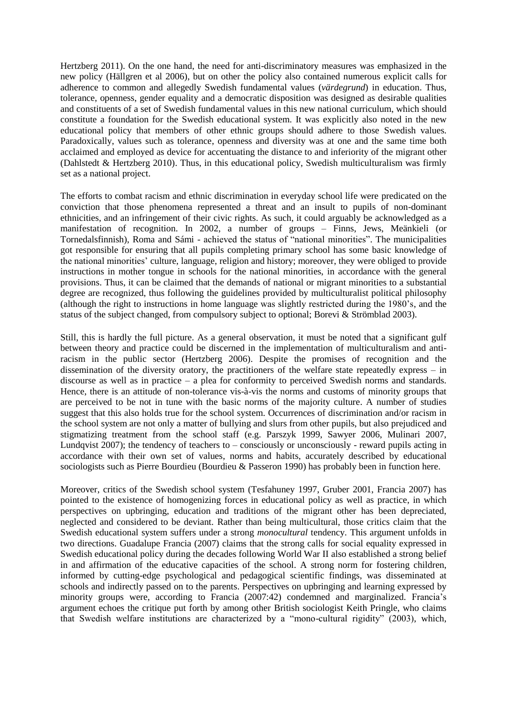Hertzberg 2011). On the one hand, the need for anti-discriminatory measures was emphasized in the new policy (Hällgren et al 2006), but on other the policy also contained numerous explicit calls for adherence to common and allegedly Swedish fundamental values (*värdegrund*) in education. Thus, tolerance, openness, gender equality and a democratic disposition was designed as desirable qualities and constituents of a set of Swedish fundamental values in this new national curriculum, which should constitute a foundation for the Swedish educational system. It was explicitly also noted in the new educational policy that members of other ethnic groups should adhere to those Swedish values. Paradoxically, values such as tolerance, openness and diversity was at one and the same time both acclaimed and employed as device for accentuating the distance to and inferiority of the migrant other (Dahlstedt & Hertzberg 2010). Thus, in this educational policy, Swedish multiculturalism was firmly set as a national project.

The efforts to combat racism and ethnic discrimination in everyday school life were predicated on the conviction that those phenomena represented a threat and an insult to pupils of non-dominant ethnicities, and an infringement of their civic rights. As such, it could arguably be acknowledged as a manifestation of recognition. In 2002, a number of groups – Finns, Jews, Meänkieli (or Tornedalsfinnish), Roma and Sámi - achieved the status of "national minorities". The municipalities got responsible for ensuring that all pupils completing primary school has some basic knowledge of the national minorities' culture, language, religion and history; moreover, they were obliged to provide instructions in mother tongue in schools for the national minorities, in accordance with the general provisions. Thus, it can be claimed that the demands of national or migrant minorities to a substantial degree are recognized, thus following the guidelines provided by multiculturalist political philosophy (although the right to instructions in home language was slightly restricted during the 1980's, and the status of the subject changed, from compulsory subject to optional; Borevi & Strömblad 2003).

Still, this is hardly the full picture. As a general observation, it must be noted that a significant gulf between theory and practice could be discerned in the implementation of multiculturalism and antiracism in the public sector (Hertzberg 2006). Despite the promises of recognition and the dissemination of the diversity oratory, the practitioners of the welfare state repeatedly express – in discourse as well as in practice – a plea for conformity to perceived Swedish norms and standards. Hence, there is an attitude of non-tolerance vis-à-vis the norms and customs of minority groups that are perceived to be not in tune with the basic norms of the majority culture. A number of studies suggest that this also holds true for the school system. Occurrences of discrimination and/or racism in the school system are not only a matter of bullying and slurs from other pupils, but also prejudiced and stigmatizing treatment from the school staff (e.g. Parszyk 1999, Sawyer 2006, Mulinari 2007, Lundqvist 2007); the tendency of teachers to – consciously or unconsciously - reward pupils acting in accordance with their own set of values, norms and habits, accurately described by educational sociologists such as Pierre Bourdieu (Bourdieu & Passeron 1990) has probably been in function here.

Moreover, critics of the Swedish school system (Tesfahuney 1997, Gruber 2001, Francia 2007) has pointed to the existence of homogenizing forces in educational policy as well as practice, in which perspectives on upbringing, education and traditions of the migrant other has been depreciated, neglected and considered to be deviant. Rather than being multicultural, those critics claim that the Swedish educational system suffers under a strong *monocultural* tendency. This argument unfolds in two directions. Guadalupe Francia (2007) claims that the strong calls for social equality expressed in Swedish educational policy during the decades following World War II also established a strong belief in and affirmation of the educative capacities of the school. A strong norm for fostering children, informed by cutting-edge psychological and pedagogical scientific findings, was disseminated at schools and indirectly passed on to the parents. Perspectives on upbringing and learning expressed by minority groups were, according to Francia (2007:42) condemned and marginalized. Francia's argument echoes the critique put forth by among other British sociologist Keith Pringle, who claims that Swedish welfare institutions are characterized by a "mono-cultural rigidity" (2003), which,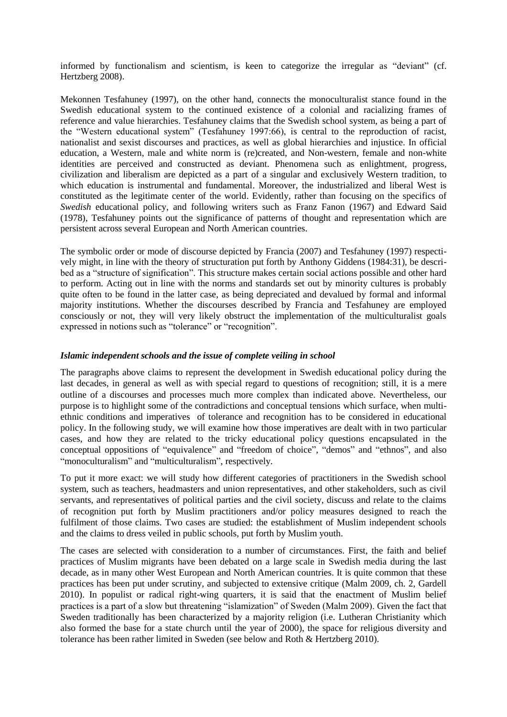informed by functionalism and scientism, is keen to categorize the irregular as "deviant" (cf. Hertzberg 2008).

Mekonnen Tesfahuney (1997), on the other hand, connects the monoculturalist stance found in the Swedish educational system to the continued existence of a colonial and racializing frames of reference and value hierarchies. Tesfahuney claims that the Swedish school system, as being a part of the "Western educational system" (Tesfahuney 1997:66), is central to the reproduction of racist, nationalist and sexist discourses and practices, as well as global hierarchies and injustice. In official education, a Western, male and white norm is (re)created, and Non-western, female and non-white identities are perceived and constructed as deviant. Phenomena such as enlightment, progress, civilization and liberalism are depicted as a part of a singular and exclusively Western tradition, to which education is instrumental and fundamental. Moreover, the industrialized and liberal West is constituted as the legitimate center of the world. Evidently, rather than focusing on the specifics of *Swedish* educational policy, and following writers such as Franz Fanon (1967) and Edward Said (1978), Tesfahuney points out the significance of patterns of thought and representation which are persistent across several European and North American countries.

The symbolic order or mode of discourse depicted by Francia (2007) and Tesfahuney (1997) respectively might, in line with the theory of structuration put forth by Anthony Giddens (1984:31), be described as a "structure of signification". This structure makes certain social actions possible and other hard to perform. Acting out in line with the norms and standards set out by minority cultures is probably quite often to be found in the latter case, as being depreciated and devalued by formal and informal majority institutions. Whether the discourses described by Francia and Tesfahuney are employed consciously or not, they will very likely obstruct the implementation of the multiculturalist goals expressed in notions such as "tolerance" or "recognition".

#### <span id="page-16-0"></span>*Islamic independent schools and the issue of complete veiling in school*

The paragraphs above claims to represent the development in Swedish educational policy during the last decades, in general as well as with special regard to questions of recognition; still, it is a mere outline of a discourses and processes much more complex than indicated above. Nevertheless, our purpose is to highlight some of the contradictions and conceptual tensions which surface, when multiethnic conditions and imperatives of tolerance and recognition has to be considered in educational policy. In the following study, we will examine how those imperatives are dealt with in two particular cases, and how they are related to the tricky educational policy questions encapsulated in the conceptual oppositions of "equivalence" and "freedom of choice", "demos" and "ethnos", and also "monoculturalism" and "multiculturalism", respectively.

To put it more exact: we will study how different categories of practitioners in the Swedish school system, such as teachers, headmasters and union representatives, and other stakeholders, such as civil servants, and representatives of political parties and the civil society, discuss and relate to the claims of recognition put forth by Muslim practitioners and/or policy measures designed to reach the fulfilment of those claims. Two cases are studied: the establishment of Muslim independent schools and the claims to dress veiled in public schools, put forth by Muslim youth.

The cases are selected with consideration to a number of circumstances. First, the faith and belief practices of Muslim migrants have been debated on a large scale in Swedish media during the last decade, as in many other West European and North American countries. It is quite common that these practices has been put under scrutiny, and subjected to extensive critique (Malm 2009, ch. 2, Gardell 2010). In populist or radical right-wing quarters, it is said that the enactment of Muslim belief practices is a part of a slow but threatening "islamization" of Sweden (Malm 2009). Given the fact that Sweden traditionally has been characterized by a majority religion (i.e. Lutheran Christianity which also formed the base for a state church until the year of 2000), the space for religious diversity and tolerance has been rather limited in Sweden (see below and Roth & Hertzberg 2010).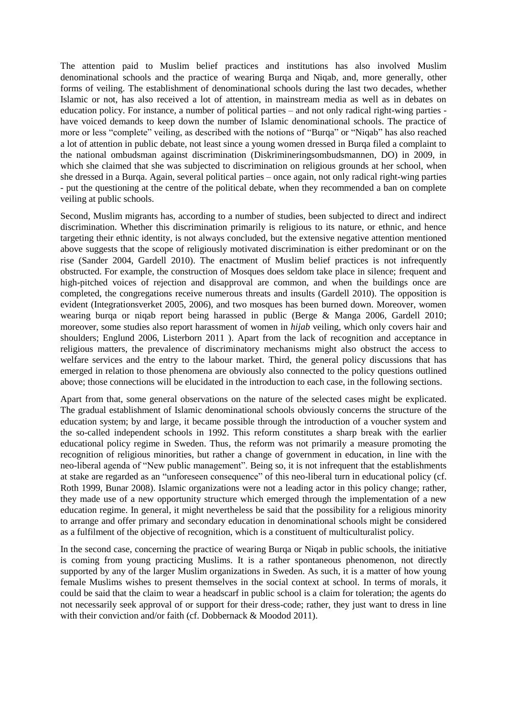The attention paid to Muslim belief practices and institutions has also involved Muslim denominational schools and the practice of wearing Burqa and Niqab, and, more generally, other forms of veiling. The establishment of denominational schools during the last two decades, whether Islamic or not, has also received a lot of attention, in mainstream media as well as in debates on education policy. For instance, a number of political parties – and not only radical right-wing parties have voiced demands to keep down the number of Islamic denominational schools. The practice of more or less "complete" veiling, as described with the notions of "Burqa" or "Niqab" has also reached a lot of attention in public debate, not least since a young women dressed in Burqa filed a complaint to the national ombudsman against discrimination (Diskrimineringsombudsmannen, DO) in 2009, in which she claimed that she was subjected to discrimination on religious grounds at her school, when she dressed in a Burqa. Again, several political parties – once again, not only radical right-wing parties - put the questioning at the centre of the political debate, when they recommended a ban on complete veiling at public schools.

Second, Muslim migrants has, according to a number of studies, been subjected to direct and indirect discrimination. Whether this discrimination primarily is religious to its nature, or ethnic, and hence targeting their ethnic identity, is not always concluded, but the extensive negative attention mentioned above suggests that the scope of religiously motivated discrimination is either predominant or on the rise (Sander 2004, Gardell 2010). The enactment of Muslim belief practices is not infrequently obstructed. For example, the construction of Mosques does seldom take place in silence; frequent and high-pitched voices of rejection and disapproval are common, and when the buildings once are completed, the congregations receive numerous threats and insults (Gardell 2010). The opposition is evident (Integrationsverket 2005, 2006), and two mosques has been burned down. Moreover, women wearing burqa or niqab report being harassed in public (Berge & Manga 2006, Gardell 2010; moreover, some studies also report harassment of women in *hijab* veiling, which only covers hair and shoulders; Englund 2006, Listerborn 2011 ). Apart from the lack of recognition and acceptance in religious matters, the prevalence of discriminatory mechanisms might also obstruct the access to welfare services and the entry to the labour market. Third, the general policy discussions that has emerged in relation to those phenomena are obviously also connected to the policy questions outlined above; those connections will be elucidated in the introduction to each case, in the following sections.

Apart from that, some general observations on the nature of the selected cases might be explicated. The gradual establishment of Islamic denominational schools obviously concerns the structure of the education system; by and large, it became possible through the introduction of a voucher system and the so-called independent schools in 1992. This reform constitutes a sharp break with the earlier educational policy regime in Sweden. Thus, the reform was not primarily a measure promoting the recognition of religious minorities, but rather a change of government in education, in line with the neo-liberal agenda of "New public management". Being so, it is not infrequent that the establishments at stake are regarded as an "unforeseen consequence" of this neo-liberal turn in educational policy (cf. Roth 1999, Bunar 2008). Islamic organizations were not a leading actor in this policy change; rather, they made use of a new opportunity structure which emerged through the implementation of a new education regime. In general, it might nevertheless be said that the possibility for a religious minority to arrange and offer primary and secondary education in denominational schools might be considered as a fulfilment of the objective of recognition, which is a constituent of multiculturalist policy.

In the second case, concerning the practice of wearing Burqa or Niqab in public schools, the initiative is coming from young practicing Muslims. It is a rather spontaneous phenomenon, not directly supported by any of the larger Muslim organizations in Sweden. As such, it is a matter of how young female Muslims wishes to present themselves in the social context at school. In terms of morals, it could be said that the claim to wear a headscarf in public school is a claim for toleration; the agents do not necessarily seek approval of or support for their dress-code; rather, they just want to dress in line with their conviction and/or faith (cf. Dobbernack & Moodod 2011).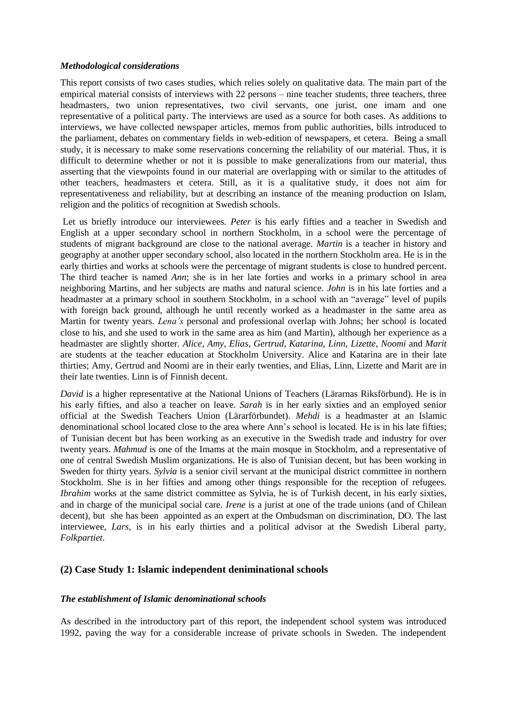#### <span id="page-18-0"></span>*Methodological considerations*

This report consists of two cases studies, which relies solely on qualitative data. The main part of the empirical material consists of interviews with 22 persons – nine teacher students, three teachers, three headmasters, two union representatives, two civil servants, one jurist, one imam and one representative of a political party. The interviews are used as a source for both cases. As additions to interviews, we have collected newspaper articles, memos from public authorities, bills introduced to the parliament, debates on commentary fields in web-edition of newspapers, et cetera. Being a small study, it is necessary to make some reservations concerning the reliability of our material. Thus, it is difficult to determine whether or not it is possible to make generalizations from our material, thus asserting that the viewpoints found in our material are overlapping with or similar to the attitudes of other teachers, headmasters et cetera. Still, as it is a qualitative study, it does not aim for representativeness and reliability, but at describing an instance of the meaning production on Islam, religion and the politics of recognition at Swedish schools.

Let us briefly introduce our interviewees. *Peter* is his early fifties and a teacher in Swedish and English at a upper secondary school in northern Stockholm, in a school were the percentage of students of migrant background are close to the national average. *Martin* is a teacher in history and geography at another upper secondary school, also located in the northern Stockholm area. He is in the early thirties and works at schools were the percentage of migrant students is close to hundred percent. The third teacher is named *Ann*; she is in her late forties and works in a primary school in area neighboring Martins, and her subjects are maths and natural science. *John* is in his late forties and a headmaster at a primary school in southern Stockholm, in a school with an "average" level of pupils with foreign back ground, although he until recently worked as a headmaster in the same area as Martin for twenty years. *Lena's* personal and professional overlap with Johns; her school is located close to his, and she used to work in the same area as him (and Martin), although her experience as a headmaster are slightly shorter. *Alice*, *Amy*, *Elias*, *Gertrud*, *Katarina*, *Linn*, *Lizette*, *Noomi* and *Marit* are students at the teacher education at Stockholm University. Alice and Katarina are in their late thirties; Amy, Gertrud and Noomi are in their early twenties, and Elias, Linn, Lizette and Marit are in their late twenties. Linn is of Finnish decent.

*David* is a higher representative at the National Unions of Teachers (Lärarnas Riksförbund). He is in his early fifties, and also a teacher on leave. *Sarah* is in her early sixties and an employed senior official at the Swedish Teachers Union (Lärarförbundet). *Mehdi* is a headmaster at an Islamic denominational school located close to the area where Ann's school is located. He is in his late fifties; of Tunisian decent but has been working as an executive in the Swedish trade and industry for over twenty years. *Mahmud* is one of the Imams at the main mosque in Stockholm, and a representative of one of central Swedish Muslim organizations. He is also of Tunisian decent, but has been working in Sweden for thirty years. *Sylvia* is a senior civil servant at the municipal district committee in northern Stockholm. She is in her fifties and among other things responsible for the reception of refugees. *Ibrahim* works at the same district committee as Sylvia, he is of Turkish decent, in his early sixties, and in charge of the municipal social care. *Irene* is a jurist at one of the trade unions (and of Chilean decent), but she has been appointed as an expert at the Ombudsman on discrimination, DO. The last interviewee, *Lars*, is in his early thirties and a political advisor at the Swedish Liberal party, *Folkpartiet*.

## <span id="page-18-2"></span><span id="page-18-1"></span>**(2) Case Study 1: Islamic independent deniminational schools**

## *The establishment of Islamic denominational schools*

As described in the introductory part of this report, the independent school system was introduced 1992, paving the way for a considerable increase of private schools in Sweden. The independent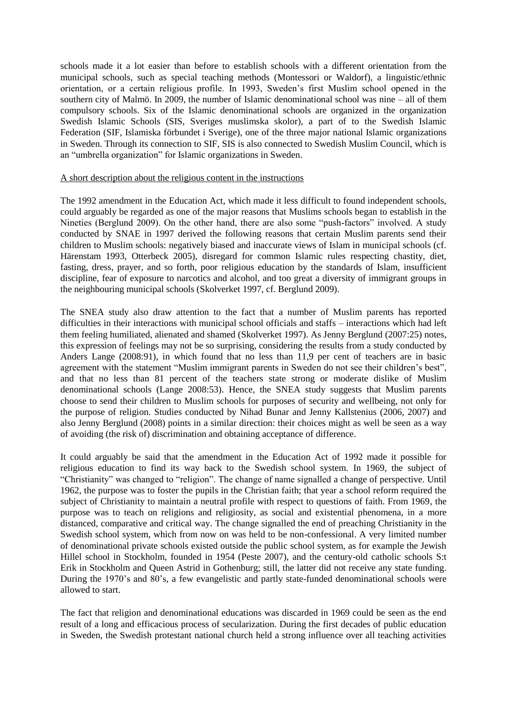schools made it a lot easier than before to establish schools with a different orientation from the municipal schools, such as special teaching methods (Montessori or Waldorf), a linguistic/ethnic orientation, or a certain religious profile. In 1993, Sweden's first Muslim school opened in the southern city of Malmö. In 2009, the number of Islamic denominational school was nine – all of them compulsory schools. Six of the Islamic denominational schools are organized in the organization Swedish Islamic Schools (SIS, Sveriges muslimska skolor), a part of to the Swedish Islamic Federation (SIF, Islamiska förbundet i Sverige), one of the three major national Islamic organizations in Sweden. Through its connection to SIF, SIS is also connected to Swedish Muslim Council, which is an "umbrella organization" for Islamic organizations in Sweden.

#### A short description about the religious content in the instructions

The 1992 amendment in the Education Act, which made it less difficult to found independent schools, could arguably be regarded as one of the major reasons that Muslims schools began to establish in the Nineties (Berglund 2009). On the other hand, there are also some "push-factors" involved. A study conducted by SNAE in 1997 derived the following reasons that certain Muslim parents send their children to Muslim schools: negatively biased and inaccurate views of Islam in municipal schools (cf. Härenstam 1993, Otterbeck 2005), disregard for common Islamic rules respecting chastity, diet, fasting, dress, prayer, and so forth, poor religious education by the standards of Islam, insufficient discipline, fear of exposure to narcotics and alcohol, and too great a diversity of immigrant groups in the neighbouring municipal schools (Skolverket 1997, cf. Berglund 2009).

The SNEA study also draw attention to the fact that a number of Muslim parents has reported difficulties in their interactions with municipal school officials and staffs – interactions which had left them feeling humiliated, alienated and shamed (Skolverket 1997). As Jenny Berglund (2007:25) notes, this expression of feelings may not be so surprising, considering the results from a study conducted by Anders Lange (2008:91), in which found that no less than 11,9 per cent of teachers are in basic agreement with the statement "Muslim immigrant parents in Sweden do not see their children's best", and that no less than 81 percent of the teachers state strong or moderate dislike of Muslim denominational schools (Lange 2008:53). Hence, the SNEA study suggests that Muslim parents choose to send their children to Muslim schools for purposes of security and wellbeing, not only for the purpose of religion. Studies conducted by Nihad Bunar and Jenny Kallstenius (2006, 2007) and also Jenny Berglund (2008) points in a similar direction: their choices might as well be seen as a way of avoiding (the risk of) discrimination and obtaining acceptance of difference.

It could arguably be said that the amendment in the Education Act of 1992 made it possible for religious education to find its way back to the Swedish school system. In 1969, the subject of "Christianity" was changed to "religion". The change of name signalled a change of perspective. Until 1962, the purpose was to foster the pupils in the Christian faith; that year a school reform required the subject of Christianity to maintain a neutral profile with respect to questions of faith. From 1969, the purpose was to teach on religions and religiosity, as social and existential phenomena, in a more distanced, comparative and critical way. The change signalled the end of preaching Christianity in the Swedish school system, which from now on was held to be non-confessional. A very limited number of denominational private schools existed outside the public school system, as for example the Jewish Hillel school in Stockholm, founded in 1954 (Peste 2007), and the century-old catholic schools S:t Erik in Stockholm and Queen Astrid in Gothenburg; still, the latter did not receive any state funding. During the 1970's and 80's, a few evangelistic and partly state-funded denominational schools were allowed to start.

The fact that religion and denominational educations was discarded in 1969 could be seen as the end result of a long and efficacious process of secularization. During the first decades of public education in Sweden, the Swedish protestant national church held a strong influence over all teaching activities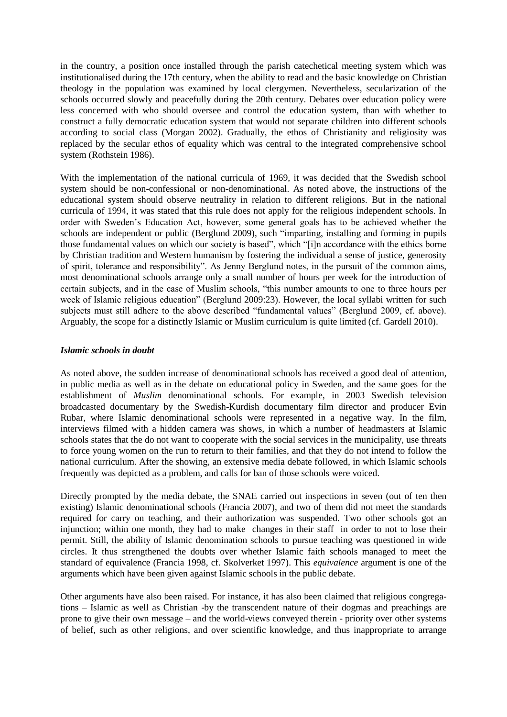in the country, a position once installed through the parish catechetical meeting system which was institutionalised during the 17th century, when the ability to read and the basic knowledge on Christian theology in the population was examined by local clergymen. Nevertheless, secularization of the schools occurred slowly and peacefully during the 20th century. Debates over education policy were less concerned with who should oversee and control the education system, than with whether to construct a fully democratic education system that would not separate children into different schools according to social class (Morgan 2002). Gradually, the ethos of Christianity and religiosity was replaced by the secular ethos of equality which was central to the integrated comprehensive school system (Rothstein 1986).

With the implementation of the national curricula of 1969, it was decided that the Swedish school system should be non-confessional or non-denominational. As noted above, the instructions of the educational system should observe neutrality in relation to different religions. But in the national curricula of 1994, it was stated that this rule does not apply for the religious independent schools. In order with Sweden's Education Act, however, some general goals has to be achieved whether the schools are independent or public (Berglund 2009), such "imparting, installing and forming in pupils those fundamental values on which our society is based", which "[i]n accordance with the ethics borne by Christian tradition and Western humanism by fostering the individual a sense of justice, generosity of spirit, tolerance and responsibility". As Jenny Berglund notes, in the pursuit of the common aims, most denominational schools arrange only a small number of hours per week for the introduction of certain subjects, and in the case of Muslim schools, "this number amounts to one to three hours per week of Islamic religious education" (Berglund 2009:23). However, the local syllabi written for such subjects must still adhere to the above described "fundamental values" (Berglund 2009, cf. above). Arguably, the scope for a distinctly Islamic or Muslim curriculum is quite limited (cf. Gardell 2010).

#### <span id="page-20-0"></span>*Islamic schools in doubt*

As noted above, the sudden increase of denominational schools has received a good deal of attention, in public media as well as in the debate on educational policy in Sweden, and the same goes for the establishment of *Muslim* denominational schools. For example, in 2003 Swedish television broadcasted documentary by the Swedish-Kurdish documentary film director and producer Evin Rubar, where Islamic denominational schools were represented in a negative way. In the film, interviews filmed with a hidden camera was shows, in which a number of headmasters at Islamic schools states that the do not want to cooperate with the social services in the municipality, use threats to force young women on the run to return to their families, and that they do not intend to follow the national curriculum. After the showing, an extensive media debate followed, in which Islamic schools frequently was depicted as a problem, and calls for ban of those schools were voiced.

Directly prompted by the media debate, the SNAE carried out inspections in seven (out of ten then existing) Islamic denominational schools (Francia 2007), and two of them did not meet the standards required for carry on teaching, and their authorization was suspended. Two other schools got an injunction; within one month, they had to make changes in their staff in order to not to lose their permit. Still, the ability of Islamic denomination schools to pursue teaching was questioned in wide circles. It thus strengthened the doubts over whether Islamic faith schools managed to meet the standard of equivalence (Francia 1998, cf. Skolverket 1997). This *equivalence* argument is one of the arguments which have been given against Islamic schools in the public debate.

Other arguments have also been raised. For instance, it has also been claimed that religious congregations – Islamic as well as Christian -by the transcendent nature of their dogmas and preachings are prone to give their own message – and the world-views conveyed therein - priority over other systems of belief, such as other religions, and over scientific knowledge, and thus inappropriate to arrange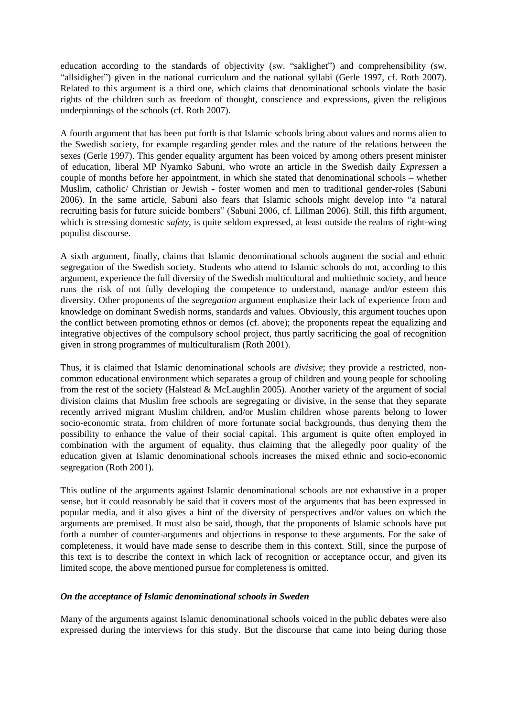education according to the standards of objectivity (sw. "saklighet") and comprehensibility (sw. "allsidighet") given in the national curriculum and the national syllabi (Gerle 1997, cf. Roth 2007). Related to this argument is a third one, which claims that denominational schools violate the basic rights of the children such as freedom of thought, conscience and expressions, given the religious underpinnings of the schools (cf. Roth 2007).

A fourth argument that has been put forth is that Islamic schools bring about values and norms alien to the Swedish society, for example regarding gender roles and the nature of the relations between the sexes (Gerle 1997). This gender equality argument has been voiced by among others present minister of education, liberal MP Nyamko Sabuni, who wrote an article in the Swedish daily *Expressen* a couple of months before her appointment, in which she stated that denominational schools – whether Muslim, catholic/ Christian or Jewish - foster women and men to traditional gender-roles (Sabuni 2006). In the same article, Sabuni also fears that Islamic schools might develop into "a natural recruiting basis for future suicide bombers" (Sabuni 2006, cf. Lillman 2006). Still, this fifth argument, which is stressing domestic *safety*, is quite seldom expressed, at least outside the realms of right-wing populist discourse.

A sixth argument, finally, claims that Islamic denominational schools augment the social and ethnic segregation of the Swedish society. Students who attend to Islamic schools do not, according to this argument, experience the full diversity of the Swedish multicultural and multiethnic society, and hence runs the risk of not fully developing the competence to understand, manage and/or esteem this diversity. Other proponents of the *segregation* argument emphasize their lack of experience from and knowledge on dominant Swedish norms, standards and values. Obviously, this argument touches upon the conflict between promoting ethnos or demos (cf. above); the proponents repeat the equalizing and integrative objectives of the compulsory school project, thus partly sacrificing the goal of recognition given in strong programmes of multiculturalism (Roth 2001).

Thus, it is claimed that Islamic denominational schools are *divisive*; they provide a restricted, noncommon educational environment which separates a group of children and young people for schooling from the rest of the society (Halstead & McLaughlin 2005). Another variety of the argument of social division claims that Muslim free schools are segregating or divisive, in the sense that they separate recently arrived migrant Muslim children, and/or Muslim children whose parents belong to lower socio-economic strata, from children of more fortunate social backgrounds, thus denying them the possibility to enhance the value of their social capital. This argument is quite often employed in combination with the argument of equality, thus claiming that the allegedly poor quality of the education given at Islamic denominational schools increases the mixed ethnic and socio-economic segregation (Roth 2001).

This outline of the arguments against Islamic denominational schools are not exhaustive in a proper sense, but it could reasonably be said that it covers most of the arguments that has been expressed in popular media, and it also gives a hint of the diversity of perspectives and/or values on which the arguments are premised. It must also be said, though, that the proponents of Islamic schools have put forth a number of counter-arguments and objections in response to these arguments. For the sake of completeness, it would have made sense to describe them in this context. Still, since the purpose of this text is to describe the context in which lack of recognition or acceptance occur, and given its limited scope, the above mentioned pursue for completeness is omitted.

#### <span id="page-21-0"></span>*On the acceptance of Islamic denominational schools in Sweden*

Many of the arguments against Islamic denominational schools voiced in the public debates were also expressed during the interviews for this study. But the discourse that came into being during those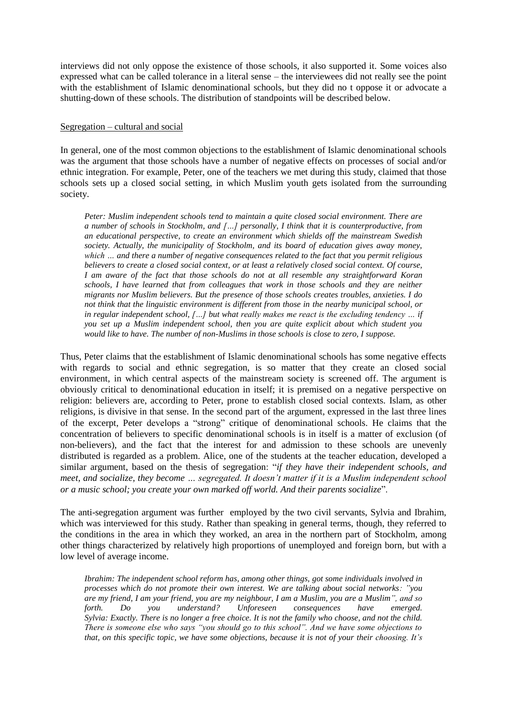interviews did not only oppose the existence of those schools, it also supported it. Some voices also expressed what can be called tolerance in a literal sense – the interviewees did not really see the point with the establishment of Islamic denominational schools, but they did no t oppose it or advocate a shutting-down of these schools. The distribution of standpoints will be described below.

#### <span id="page-22-0"></span>Segregation – cultural and social

In general, one of the most common objections to the establishment of Islamic denominational schools was the argument that those schools have a number of negative effects on processes of social and/or ethnic integration. For example, Peter, one of the teachers we met during this study, claimed that those schools sets up a closed social setting, in which Muslim youth gets isolated from the surrounding society.

*Peter: Muslim independent schools tend to maintain a quite closed social environment. There are a number of schools in Stockholm, and […] personally, I think that it is counterproductive, from an educational perspective, to create an environment which shields off the mainstream Swedish society. Actually, the municipality of Stockholm, and its board of education gives away money, which … and there a number of negative consequences related to the fact that you permit religious believers to create a closed social context, or at least a relatively closed social context. Of course, I am aware of the fact that those schools do not at all resemble any straightforward Koran schools, I have learned that from colleagues that work in those schools and they are neither migrants nor Muslim believers. But the presence of those schools creates troubles, anxieties. I do not think that the linguistic environment is different from those in the nearby municipal school, or in regular independent school, […] but what really makes me react is the excluding tendency … if you set up a Muslim independent school, then you are quite explicit about which student you would like to have. The number of non-Muslims in those schools is close to zero, I suppose.* 

Thus, Peter claims that the establishment of Islamic denominational schools has some negative effects with regards to social and ethnic segregation, is so matter that they create an closed social environment, in which central aspects of the mainstream society is screened off. The argument is obviously critical to denominational education in itself; it is premised on a negative perspective on religion: believers are, according to Peter, prone to establish closed social contexts. Islam, as other religions, is divisive in that sense. In the second part of the argument, expressed in the last three lines of the excerpt, Peter develops a "strong" critique of denominational schools. He claims that the concentration of believers to specific denominational schools is in itself is a matter of exclusion (of non-believers), and the fact that the interest for and admission to these schools are unevenly distributed is regarded as a problem. Alice, one of the students at the teacher education, developed a similar argument, based on the thesis of segregation: "*if they have their independent schools, and meet, and socialize, they become … segregated. It doesn't matter if it is a Muslim independent school or a music school; you create your own marked off world. And their parents socialize*".

The anti-segregation argument was further employed by the two civil servants, Sylvia and Ibrahim, which was interviewed for this study. Rather than speaking in general terms, though, they referred to the conditions in the area in which they worked, an area in the northern part of Stockholm, among other things characterized by relatively high proportions of unemployed and foreign born, but with a low level of average income.

*Ibrahim: The independent school reform has, among other things, got some individuals involved in processes which do not promote their own interest. We are talking about social networks: "you are my friend, I am your friend, you are my neighbour, I am a Muslim, you are a Muslim", and so forth. Do you understand? Unforeseen consequences have emerged. Sylvia: Exactly. There is no longer a free choice. It is not the family who choose, and not the child. There is someone else who says "you should go to this school". And we have some objections to that, on this specific topic, we have some objections, because it is not of your their choosing. It's*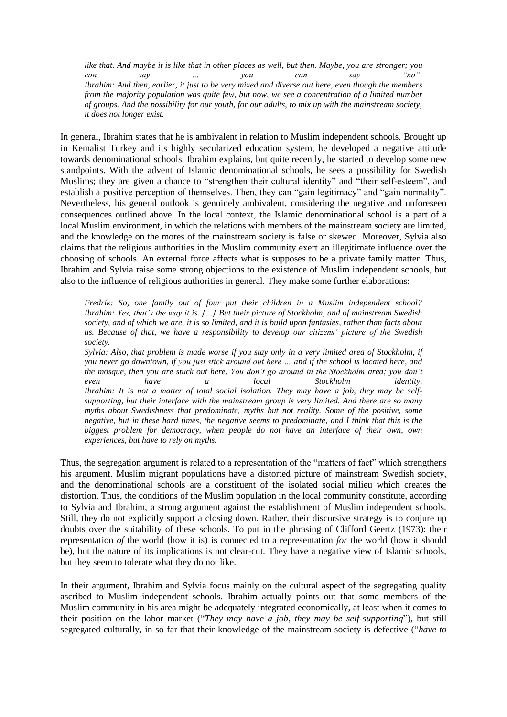*like that. And maybe it is like that in other places as well, but then. Maybe, you are stronger; you can say … you can say "no". Ibrahim: And then, earlier, it just to be very mixed and diverse out here, even though the members from the majority population was quite few, but now, we see a concentration of a limited number of groups. And the possibility for our youth, for our adults, to mix up with the mainstream society, it does not longer exist.* 

In general, Ibrahim states that he is ambivalent in relation to Muslim independent schools. Brought up in Kemalist Turkey and its highly secularized education system, he developed a negative attitude towards denominational schools, Ibrahim explains, but quite recently, he started to develop some new standpoints. With the advent of Islamic denominational schools, he sees a possibility for Swedish Muslims; they are given a chance to "strengthen their cultural identity" and "their self-esteem", and establish a positive perception of themselves. Then, they can "gain legitimacy" and "gain normality". Nevertheless, his general outlook is genuinely ambivalent, considering the negative and unforeseen consequences outlined above. In the local context, the Islamic denominational school is a part of a local Muslim environment, in which the relations with members of the mainstream society are limited, and the knowledge on the mores of the mainstream society is false or skewed. Moreover, Sylvia also claims that the religious authorities in the Muslim community exert an illegitimate influence over the choosing of schools. An external force affects what is supposes to be a private family matter. Thus, Ibrahim and Sylvia raise some strong objections to the existence of Muslim independent schools, but also to the influence of religious authorities in general. They make some further elaborations:

*Fredrik: So, one family out of four put their children in a Muslim independent school? Ibrahim: Yes, that's the way it is. […] But their picture of Stockholm, and of mainstream Swedish society, and of which we are, it is so limited, and it is build upon fantasies, rather than facts about us. Because of that, we have a responsibility to develop our citizens' picture of the Swedish society.* 

*Sylvia: Also, that problem is made worse if you stay only in a very limited area of Stockholm, if you never go downtown, if you just stick around out here … and if the school is located here, and the mosque, then you are stuck out here. You don't go around in the Stockholm area; you don't even have a local Stockholm identity. Ibrahim: It is not a matter of total social isolation. They may have a job, they may be selfsupporting, but their interface with the mainstream group is very limited. And there are so many myths about Swedishness that predominate, myths but not reality. Some of the positive, some negative, but in these hard times, the negative seems to predominate, and I think that this is the biggest problem for democracy, when people do not have an interface of their own, own experiences, but have to rely on myths.* 

Thus, the segregation argument is related to a representation of the "matters of fact" which strengthens his argument. Muslim migrant populations have a distorted picture of mainstream Swedish society, and the denominational schools are a constituent of the isolated social milieu which creates the distortion. Thus, the conditions of the Muslim population in the local community constitute, according to Sylvia and Ibrahim, a strong argument against the establishment of Muslim independent schools. Still, they do not explicitly support a closing down. Rather, their discursive strategy is to conjure up doubts over the suitability of these schools. To put in the phrasing of Clifford Geertz (1973): their representation *of* the world (how it is) is connected to a representation *for* the world (how it should be), but the nature of its implications is not clear-cut. They have a negative view of Islamic schools, but they seem to tolerate what they do not like.

In their argument, Ibrahim and Sylvia focus mainly on the cultural aspect of the segregating quality ascribed to Muslim independent schools. Ibrahim actually points out that some members of the Muslim community in his area might be adequately integrated economically, at least when it comes to their position on the labor market ("*They may have a job, they may be self-supporting*"), but still segregated culturally, in so far that their knowledge of the mainstream society is defective ("*have to*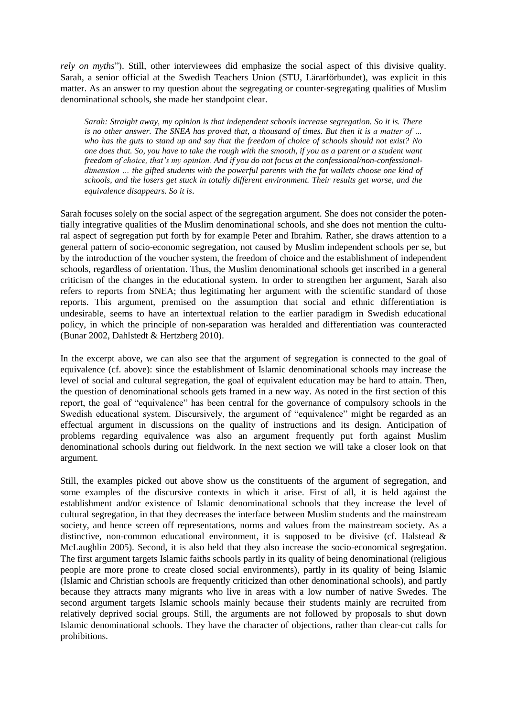*rely on myths*"). Still, other interviewees did emphasize the social aspect of this divisive quality. Sarah, a senior official at the Swedish Teachers Union (STU, Lärarförbundet), was explicit in this matter. As an answer to my question about the segregating or counter-segregating qualities of Muslim denominational schools, she made her standpoint clear.

*Sarah: Straight away, my opinion is that independent schools increase segregation. So it is. There is no other answer. The SNEA has proved that, a thousand of times. But then it is a matter of … who has the guts to stand up and say that the freedom of choice of schools should not exist? No one does that. So, you have to take the rough with the smooth, if you as a parent or a student want freedom of choice, that's my opinion. And if you do not focus at the confessional/non-confessionaldimension … the gifted students with the powerful parents with the fat wallets choose one kind of schools, and the losers get stuck in totally different environment. Their results get worse, and the equivalence disappears. So it is*.

Sarah focuses solely on the social aspect of the segregation argument. She does not consider the potentially integrative qualities of the Muslim denominational schools, and she does not mention the cultural aspect of segregation put forth by for example Peter and Ibrahim. Rather, she draws attention to a general pattern of socio-economic segregation, not caused by Muslim independent schools per se, but by the introduction of the voucher system, the freedom of choice and the establishment of independent schools, regardless of orientation. Thus, the Muslim denominational schools get inscribed in a general criticism of the changes in the educational system. In order to strengthen her argument, Sarah also refers to reports from SNEA; thus legitimating her argument with the scientific standard of those reports. This argument, premised on the assumption that social and ethnic differentiation is undesirable, seems to have an intertextual relation to the earlier paradigm in Swedish educational policy, in which the principle of non-separation was heralded and differentiation was counteracted (Bunar 2002, Dahlstedt & Hertzberg 2010).

In the excerpt above, we can also see that the argument of segregation is connected to the goal of equivalence (cf. above): since the establishment of Islamic denominational schools may increase the level of social and cultural segregation, the goal of equivalent education may be hard to attain. Then, the question of denominational schools gets framed in a new way. As noted in the first section of this report, the goal of "equivalence" has been central for the governance of compulsory schools in the Swedish educational system. Discursively, the argument of "equivalence" might be regarded as an effectual argument in discussions on the quality of instructions and its design. Anticipation of problems regarding equivalence was also an argument frequently put forth against Muslim denominational schools during out fieldwork. In the next section we will take a closer look on that argument.

Still, the examples picked out above show us the constituents of the argument of segregation, and some examples of the discursive contexts in which it arise. First of all, it is held against the establishment and/or existence of Islamic denominational schools that they increase the level of cultural segregation, in that they decreases the interface between Muslim students and the mainstream society, and hence screen off representations, norms and values from the mainstream society. As a distinctive, non-common educational environment, it is supposed to be divisive (cf. Halstead  $\&$ McLaughlin 2005). Second, it is also held that they also increase the socio-economical segregation. The first argument targets Islamic faiths schools partly in its quality of being denominational (religious people are more prone to create closed social environments), partly in its quality of being Islamic (Islamic and Christian schools are frequently criticized than other denominational schools), and partly because they attracts many migrants who live in areas with a low number of native Swedes. The second argument targets Islamic schools mainly because their students mainly are recruited from relatively deprived social groups. Still, the arguments are not followed by proposals to shut down Islamic denominational schools. They have the character of objections, rather than clear-cut calls for prohibitions.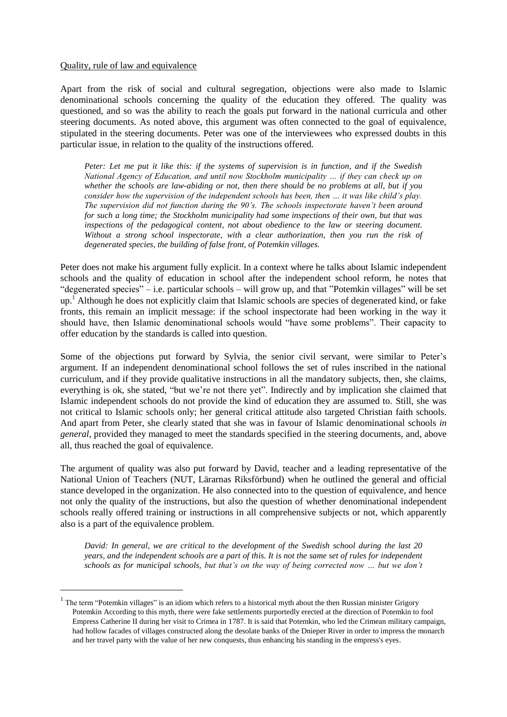#### <span id="page-25-0"></span>Quality, rule of law and equivalence

l

Apart from the risk of social and cultural segregation, objections were also made to Islamic denominational schools concerning the quality of the education they offered. The quality was questioned, and so was the ability to reach the goals put forward in the national curricula and other steering documents. As noted above, this argument was often connected to the goal of equivalence, stipulated in the steering documents. Peter was one of the interviewees who expressed doubts in this particular issue, in relation to the quality of the instructions offered.

*Peter: Let me put it like this: if the systems of supervision is in function, and if the Swedish National Agency of Education, and until now Stockholm municipality … if they can check up on whether the schools are law-abiding or not, then there should be no problems at all, but if you consider how the supervision of the independent schools has been, then … it was like child's play. The supervision did not function during the 90's. The schools inspectorate haven't been around for such a long time; the Stockholm municipality had some inspections of their own, but that was inspections of the pedagogical content, not about obedience to the law or steering document. Without a strong school inspectorate, with a clear authorization, then you run the risk of degenerated species, the building of false front, of Potemkin villages.*

Peter does not make his argument fully explicit. In a context where he talks about Islamic independent schools and the quality of education in school after the independent school reform, he notes that "degenerated species" – i.e. particular schools – will grow up, and that "Potemkin villages" will be set up.<sup>1</sup> Although he does not explicitly claim that Islamic schools are species of degenerated kind, or fake fronts, this remain an implicit message: if the school inspectorate had been working in the way it should have, then Islamic denominational schools would "have some problems". Their capacity to offer education by the standards is called into question.

Some of the objections put forward by Sylvia, the senior civil servant, were similar to Peter's argument. If an independent denominational school follows the set of rules inscribed in the national curriculum, and if they provide qualitative instructions in all the mandatory subjects, then, she claims, everything is ok, she stated, "but we're not there yet". Indirectly and by implication she claimed that Islamic independent schools do not provide the kind of education they are assumed to. Still, she was not critical to Islamic schools only; her general critical attitude also targeted Christian faith schools. And apart from Peter, she clearly stated that she was in favour of Islamic denominational schools *in general*, provided they managed to meet the standards specified in the steering documents, and, above all, thus reached the goal of equivalence.

The argument of quality was also put forward by David, teacher and a leading representative of the National Union of Teachers (NUT, Lärarnas Riksförbund) when he outlined the general and official stance developed in the organization. He also connected into to the question of equivalence, and hence not only the quality of the instructions, but also the question of whether denominational independent schools really offered training or instructions in all comprehensive subjects or not, which apparently also is a part of the equivalence problem.

*David: In general, we are critical to the development of the Swedish school during the last 20 years, and the independent schools are a part of this. It is not the same set of rules for independent schools as for municipal schools, but that's on the way of being corrected now … but we don't* 

<sup>&</sup>lt;sup>1</sup> The term "Potemkin villages" is an idiom which refers to a historical myth about the then Russian minister Grigory Potemkin According to this myth, there were fake settlements purportedly erected at the direction of Potemkin to fool Empress Catherine II during her visit to Crimea in 1787. It is said that Potemkin, who led the Crimean military campaign, had hollow facades of villages constructed along the desolate banks of the Dnieper River in order to impress the monarch and her travel party with the value of her new conquests, thus enhancing his standing in the empress's eyes.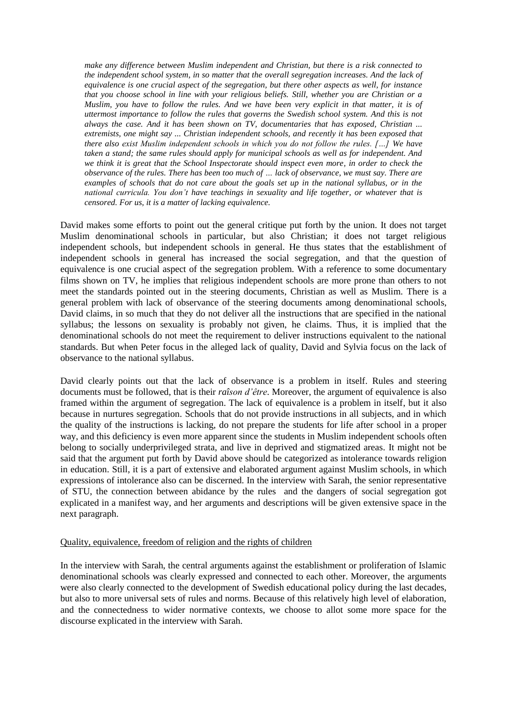*make any difference between Muslim independent and Christian, but there is a risk connected to the independent school system, in so matter that the overall segregation increases. And the lack of equivalence is one crucial aspect of the segregation, but there other aspects as well, for instance that you choose school in line with your religious beliefs. Still, whether you are Christian or a Muslim, you have to follow the rules. And we have been very explicit in that matter, it is of uttermost importance to follow the rules that governs the Swedish school system. And this is not always the case. And it has been shown on TV, documentaries that has exposed, Christian ... extremists, one might say ... Christian independent schools, and recently it has been exposed that there also exist Muslim independent schools in which you do not follow the rules. […] We have taken a stand; the same rules should apply for municipal schools as well as for independent. And we think it is great that the School Inspectorate should inspect even more, in order to check the observance of the rules. There has been too much of … lack of observance, we must say. There are examples of schools that do not care about the goals set up in the national syllabus, or in the national curricula. You don't have teachings in sexuality and life together, or whatever that is censored. For us, it is a matter of lacking equivalence.* 

David makes some efforts to point out the general critique put forth by the union. It does not target Muslim denominational schools in particular, but also Christian; it does not target religious independent schools, but independent schools in general. He thus states that the establishment of independent schools in general has increased the social segregation, and that the question of equivalence is one crucial aspect of the segregation problem. With a reference to some documentary films shown on TV, he implies that religious independent schools are more prone than others to not meet the standards pointed out in the steering documents, Christian as well as Muslim. There is a general problem with lack of observance of the steering documents among denominational schools, David claims, in so much that they do not deliver all the instructions that are specified in the national syllabus; the lessons on sexuality is probably not given, he claims. Thus, it is implied that the denominational schools do not meet the requirement to deliver instructions equivalent to the national standards. But when Peter focus in the alleged lack of quality, David and Sylvia focus on the lack of observance to the national syllabus.

David clearly points out that the lack of observance is a problem in itself. Rules and steering documents must be followed, that is their *raîson d'être*. Moreover, the argument of equivalence is also framed within the argument of segregation. The lack of equivalence is a problem in itself, but it also because in nurtures segregation. Schools that do not provide instructions in all subjects, and in which the quality of the instructions is lacking, do not prepare the students for life after school in a proper way, and this deficiency is even more apparent since the students in Muslim independent schools often belong to socially underprivileged strata, and live in deprived and stigmatized areas. It might not be said that the argument put forth by David above should be categorized as intolerance towards religion in education. Still, it is a part of extensive and elaborated argument against Muslim schools, in which expressions of intolerance also can be discerned. In the interview with Sarah, the senior representative of STU, the connection between abidance by the rules and the dangers of social segregation got explicated in a manifest way, and her arguments and descriptions will be given extensive space in the next paragraph.

#### <span id="page-26-0"></span>Quality, equivalence, freedom of religion and the rights of children

In the interview with Sarah, the central arguments against the establishment or proliferation of Islamic denominational schools was clearly expressed and connected to each other. Moreover, the arguments were also clearly connected to the development of Swedish educational policy during the last decades, but also to more universal sets of rules and norms. Because of this relatively high level of elaboration, and the connectedness to wider normative contexts, we choose to allot some more space for the discourse explicated in the interview with Sarah.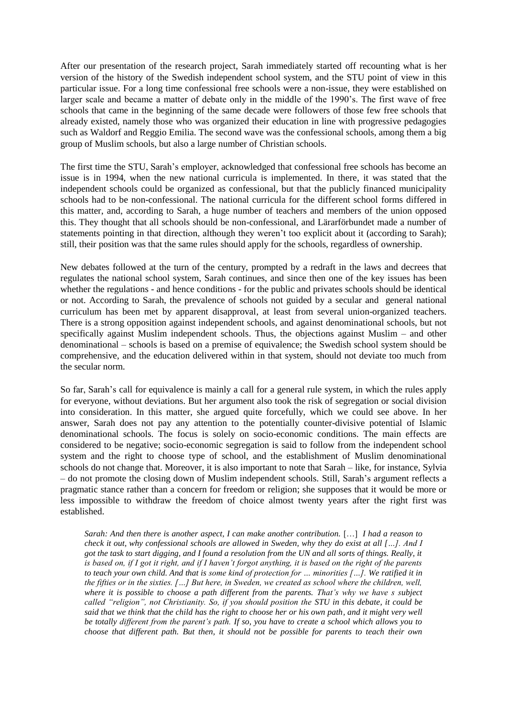After our presentation of the research project, Sarah immediately started off recounting what is her version of the history of the Swedish independent school system, and the STU point of view in this particular issue. For a long time confessional free schools were a non-issue, they were established on larger scale and became a matter of debate only in the middle of the 1990's. The first wave of free schools that came in the beginning of the same decade were followers of those few free schools that already existed, namely those who was organized their education in line with progressive pedagogies such as Waldorf and Reggio Emilia. The second wave was the confessional schools, among them a big group of Muslim schools, but also a large number of Christian schools.

The first time the STU, Sarah's employer, acknowledged that confessional free schools has become an issue is in 1994, when the new national curricula is implemented. In there, it was stated that the independent schools could be organized as confessional, but that the publicly financed municipality schools had to be non-confessional. The national curricula for the different school forms differed in this matter, and, according to Sarah, a huge number of teachers and members of the union opposed this. They thought that all schools should be non-confessional, and Lärarförbundet made a number of statements pointing in that direction, although they weren't too explicit about it (according to Sarah); still, their position was that the same rules should apply for the schools, regardless of ownership.

New debates followed at the turn of the century, prompted by a redraft in the laws and decrees that regulates the national school system, Sarah continues, and since then one of the key issues has been whether the regulations - and hence conditions - for the public and privates schools should be identical or not. According to Sarah, the prevalence of schools not guided by a secular and general national curriculum has been met by apparent disapproval, at least from several union-organized teachers. There is a strong opposition against independent schools, and against denominational schools, but not specifically against Muslim independent schools. Thus, the objections against Muslim – and other denominational – schools is based on a premise of equivalence; the Swedish school system should be comprehensive, and the education delivered within in that system, should not deviate too much from the secular norm.

So far, Sarah's call for equivalence is mainly a call for a general rule system, in which the rules apply for everyone, without deviations. But her argument also took the risk of segregation or social division into consideration. In this matter, she argued quite forcefully, which we could see above. In her answer, Sarah does not pay any attention to the potentially counter-divisive potential of Islamic denominational schools. The focus is solely on socio-economic conditions. The main effects are considered to be negative; socio-economic segregation is said to follow from the independent school system and the right to choose type of school, and the establishment of Muslim denominational schools do not change that. Moreover, it is also important to note that Sarah – like, for instance, Sylvia – do not promote the closing down of Muslim independent schools. Still, Sarah's argument reflects a pragmatic stance rather than a concern for freedom or religion; she supposes that it would be more or less impossible to withdraw the freedom of choice almost twenty years after the right first was established.

*Sarah: And then there is another aspect, I can make another contribution.* […] *I had a reason to check it out, why confessional schools are allowed in Sweden, why they do exist at all […]. And I got the task to start digging, and I found a resolution from the UN and all sorts of things. Really, it is based on, if I got it right, and if I haven't forgot anything, it is based on the right of the parents to teach your own child. And that is some kind of protection for … minorities […]. We ratified it in the fifties or in the sixties. […] But here, in Sweden, we created as school where the children, well, where it is possible to choose a path different from the parents. That's why we have s subject called "religion", not Christianity. So, if you should position the STU in this debate, it could be said that we think that the child has the right to choose her or his own path, and it might very well be totally different from the parent's path. If so, you have to create a school which allows you to choose that different path. But then, it should not be possible for parents to teach their own*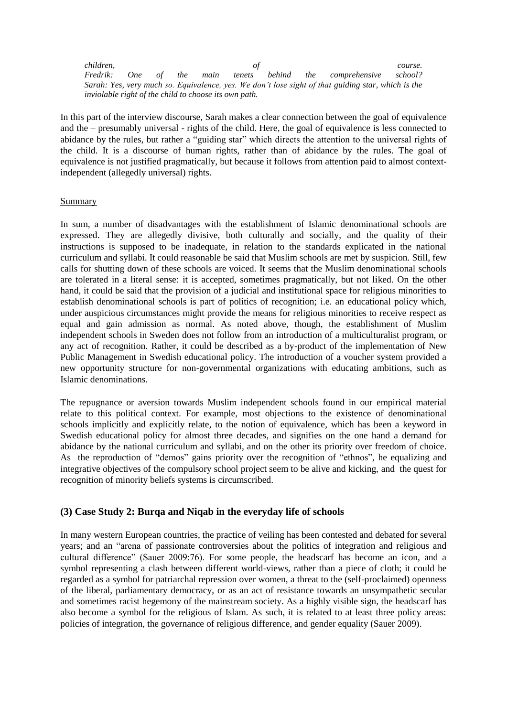*children, of course. Fredrik: One of the main tenets behind the comprehensive school? Sarah: Yes, very much so. Equivalence, yes. We don't lose sight of that guiding star, which is the inviolable right of the child to choose its own path.* 

In this part of the interview discourse, Sarah makes a clear connection between the goal of equivalence and the – presumably universal - rights of the child. Here, the goal of equivalence is less connected to abidance by the rules, but rather a "guiding star" which directs the attention to the universal rights of the child. It is a discourse of human rights, rather than of abidance by the rules. The goal of equivalence is not justified pragmatically, but because it follows from attention paid to almost contextindependent (allegedly universal) rights.

#### <span id="page-28-0"></span>Summary

In sum, a number of disadvantages with the establishment of Islamic denominational schools are expressed. They are allegedly divisive, both culturally and socially, and the quality of their instructions is supposed to be inadequate, in relation to the standards explicated in the national curriculum and syllabi. It could reasonable be said that Muslim schools are met by suspicion. Still, few calls for shutting down of these schools are voiced. It seems that the Muslim denominational schools are tolerated in a literal sense: it is accepted, sometimes pragmatically, but not liked. On the other hand, it could be said that the provision of a judicial and institutional space for religious minorities to establish denominational schools is part of politics of recognition; i.e. an educational policy which, under auspicious circumstances might provide the means for religious minorities to receive respect as equal and gain admission as normal. As noted above, though, the establishment of Muslim independent schools in Sweden does not follow from an introduction of a multiculturalist program, or any act of recognition. Rather, it could be described as a by-product of the implementation of New Public Management in Swedish educational policy. The introduction of a voucher system provided a new opportunity structure for non-governmental organizations with educating ambitions, such as Islamic denominations.

The repugnance or aversion towards Muslim independent schools found in our empirical material relate to this political context. For example, most objections to the existence of denominational schools implicitly and explicitly relate, to the notion of equivalence, which has been a keyword in Swedish educational policy for almost three decades, and signifies on the one hand a demand for abidance by the national curriculum and syllabi, and on the other its priority over freedom of choice. As the reproduction of "demos" gains priority over the recognition of "ethnos", he equalizing and integrative objectives of the compulsory school project seem to be alive and kicking, and the quest for recognition of minority beliefs systems is circumscribed.

## <span id="page-28-1"></span>**(3) Case Study 2: Burqa and Niqab in the everyday life of schools**

In many western European countries, the practice of veiling has been contested and debated for several years; and an "arena of passionate controversies about the politics of integration and religious and cultural difference" (Sauer 2009:76). For some people, the headscarf has become an icon, and a symbol representing a clash between different world-views, rather than a piece of cloth; it could be regarded as a symbol for patriarchal repression over women, a threat to the (self-proclaimed) openness of the liberal, parliamentary democracy, or as an act of resistance towards an unsympathetic secular and sometimes racist hegemony of the mainstream society. As a highly visible sign, the headscarf has also become a symbol for the religious of Islam. As such, it is related to at least three policy areas: policies of integration, the governance of religious difference, and gender equality (Sauer 2009).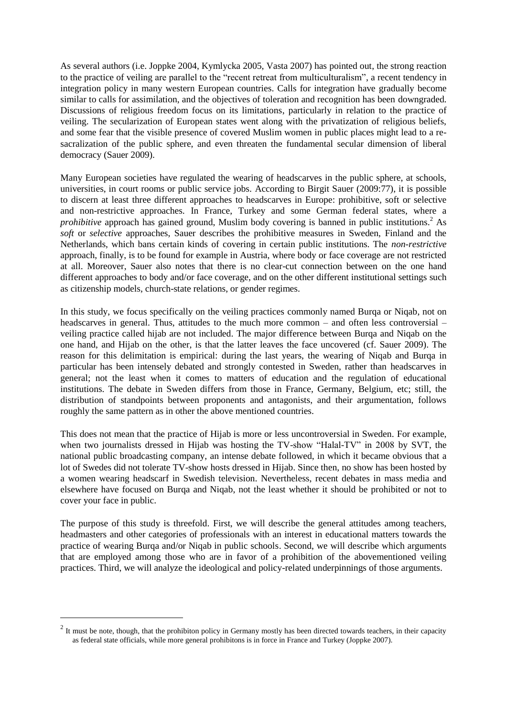As several authors (i.e. Joppke 2004, Kymlycka 2005, Vasta 2007) has pointed out, the strong reaction to the practice of veiling are parallel to the "recent retreat from multiculturalism", a recent tendency in integration policy in many western European countries. Calls for integration have gradually become similar to calls for assimilation, and the objectives of toleration and recognition has been downgraded. Discussions of religious freedom focus on its limitations, particularly in relation to the practice of veiling. The secularization of European states went along with the privatization of religious beliefs, and some fear that the visible presence of covered Muslim women in public places might lead to a resacralization of the public sphere, and even threaten the fundamental secular dimension of liberal democracy (Sauer 2009).

Many European societies have regulated the wearing of headscarves in the public sphere, at schools, universities, in court rooms or public service jobs. According to Birgit Sauer (2009:77), it is possible to discern at least three different approaches to headscarves in Europe: prohibitive, soft or selective and non-restrictive approaches. In France, Turkey and some German federal states, where a *prohibitive* approach has gained ground, Muslim body covering is banned in public institutions.<sup>2</sup> As *soft* or *selective* approaches, Sauer describes the prohibitive measures in Sweden, Finland and the Netherlands, which bans certain kinds of covering in certain public institutions. The *non-restrictive* approach, finally, is to be found for example in Austria, where body or face coverage are not restricted at all. Moreover, Sauer also notes that there is no clear-cut connection between on the one hand different approaches to body and/or face coverage, and on the other different institutional settings such as citizenship models, church-state relations, or gender regimes.

In this study, we focus specifically on the veiling practices commonly named Burqa or Niqab, not on headscarves in general. Thus, attitudes to the much more common – and often less controversial – veiling practice called hijab are not included. The major difference between Burqa and Niqab on the one hand, and Hijab on the other, is that the latter leaves the face uncovered (cf. Sauer 2009). The reason for this delimitation is empirical: during the last years, the wearing of Niqab and Burqa in particular has been intensely debated and strongly contested in Sweden, rather than headscarves in general; not the least when it comes to matters of education and the regulation of educational institutions. The debate in Sweden differs from those in France, Germany, Belgium, etc; still, the distribution of standpoints between proponents and antagonists, and their argumentation, follows roughly the same pattern as in other the above mentioned countries.

This does not mean that the practice of Hijab is more or less uncontroversial in Sweden. For example, when two journalists dressed in Hijab was hosting the TV-show "Halal-TV" in 2008 by SVT, the national public broadcasting company, an intense debate followed, in which it became obvious that a lot of Swedes did not tolerate TV-show hosts dressed in Hijab. Since then, no show has been hosted by a women wearing headscarf in Swedish television. Nevertheless, recent debates in mass media and elsewhere have focused on Burqa and Niqab, not the least whether it should be prohibited or not to cover your face in public.

The purpose of this study is threefold. First, we will describe the general attitudes among teachers, headmasters and other categories of professionals with an interest in educational matters towards the practice of wearing Burqa and/or Niqab in public schools. Second, we will describe which arguments that are employed among those who are in favor of a prohibition of the abovementioned veiling practices. Third, we will analyze the ideological and policy-related underpinnings of those arguments.

l

 $2$  It must be note, though, that the prohibiton policy in Germany mostly has been directed towards teachers, in their capacity as federal state officials, while more general prohibitons is in force in France and Turkey (Joppke 2007).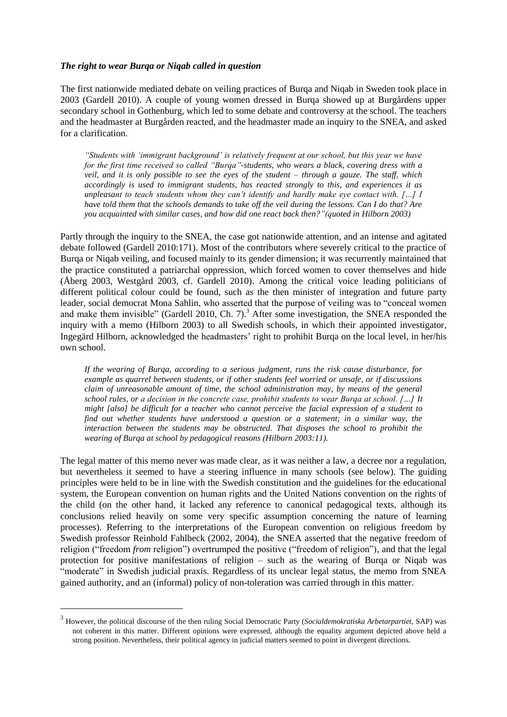#### <span id="page-30-0"></span>*The right to wear Burqa or Niqab called in question*

The first nationwide mediated debate on veiling practices of Burqa and Niqab in Sweden took place in 2003 (Gardell 2010). A couple of young women dressed in Burqa showed up at Burgårdens upper secondary school in Gothenburg, which led to some debate and controversy at the school. The teachers and the headmaster at Burgården reacted, and the headmaster made an inquiry to the SNEA, and asked for a clarification.

*"Students with 'immigrant background' is relatively frequent at our school, but this year we have for the first time received so called "Burqa"-students, who wears a black, covering dress with a veil, and it is only possible to see the eyes of the student – through a gauze. The staff, which accordingly is used to immigrant students, has reacted strongly to this, and experiences it as unpleasant to teach students whom they can't identify and hardly make eye contact with. […] I have told them that the schools demands to take off the veil during the lessons. Can I do that? Are you acquainted with similar cases, and how did one react back then?"(quoted in Hilborn 2003)* 

Partly through the inquiry to the SNEA, the case got nationwide attention, and an intense and agitated debate followed (Gardell 2010:171). Most of the contributors where severely critical to the practice of Burqa or Niqab veiling, and focused mainly to its gender dimension; it was recurrently maintained that the practice constituted a patriarchal oppression, which forced women to cover themselves and hide (Åberg 2003, Westgård 2003, cf. Gardell 2010). Among the critical voice leading politicians of different political colour could be found, such as the then minister of integration and future party leader, social democrat Mona Sahlin, who asserted that the purpose of veiling was to "conceal women and make them invisible" (Gardell 2010, Ch. 7).<sup>3</sup> After some investigation, the SNEA responded the inquiry with a memo (Hilborn 2003) to all Swedish schools, in which their appointed investigator, Ingegärd Hilborn, acknowledged the headmasters' right to prohibit Burqa on the local level, in her/his own school.

*If the wearing of Burqa, according to a serious judgment, runs the risk cause disturbance, for example as quarrel between students, or if other students feel worried or unsafe, or if discussions claim of unreasonable amount of time, the school administration may, by means of the general school rules, or a decision in the concrete case, prohibit students to wear Burqa at school. […] It might [also] be difficult for a teacher who cannot perceive the facial expression of a student to find out whether students have understood a question or a statement; in a similar way, the interaction between the students may be obstructed. That disposes the school to prohibit the wearing of Burqa at school by pedagogical reasons (Hilborn 2003:11).* 

The legal matter of this memo never was made clear, as it was neither a law, a decree nor a regulation, but nevertheless it seemed to have a steering influence in many schools (see below). The guiding principles were held to be in line with the Swedish constitution and the guidelines for the educational system, the European convention on human rights and the United Nations convention on the rights of the child (on the other hand, it lacked any reference to canonical pedagogical texts, although its conclusions relied heavily on some very specific assumption concerning the nature of learning processes). Referring to the interpretations of the European convention on religious freedom by Swedish professor Reinhold Fahlbeck (2002, 2004), the SNEA asserted that the negative freedom of religion ("freedom *from* religion") overtrumped the positive ("freedom of religion"), and that the legal protection for positive manifestations of religion – such as the wearing of Burqa or Niqab was "moderate" in Swedish judicial praxis. Regardless of its unclear legal status, the memo from SNEA gained authority, and an (informal) policy of non-toleration was carried through in this matter.

l

<sup>3</sup> However, the political discourse of the then ruling Social Democratic Party (*Socialdemokratiska Arbetarpartiet*, SAP) was not coherent in this matter. Different opinions were expressed, although the equality argument depicted above held a strong position. Nevertheless, their political agency in judicial matters seemed to point in divergent directions.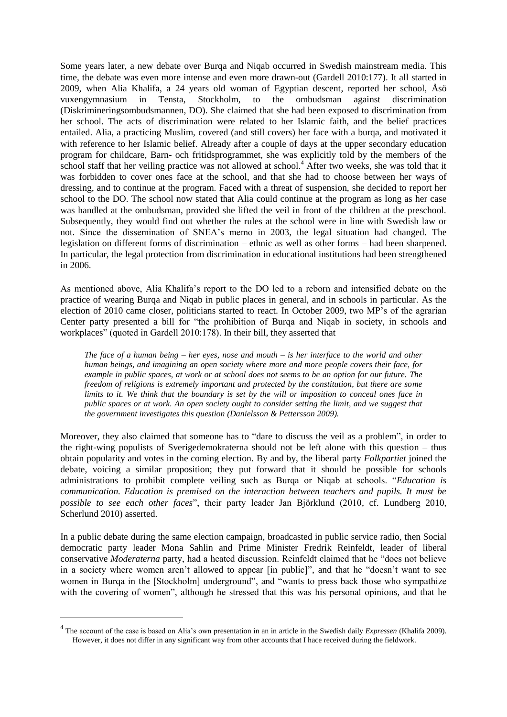Some years later, a new debate over Burqa and Niqab occurred in Swedish mainstream media. This time, the debate was even more intense and even more drawn-out (Gardell 2010:177). It all started in 2009, when Alia Khalifa, a 24 years old woman of Egyptian descent, reported her school, Åsö vuxengymnasium in Tensta, Stockholm, to the ombudsman against discrimination (Diskrimineringsombudsmannen, DO). She claimed that she had been exposed to discrimination from her school. The acts of discrimination were related to her Islamic faith, and the belief practices entailed. Alia, a practicing Muslim, covered (and still covers) her face with a burqa, and motivated it with reference to her Islamic belief. Already after a couple of days at the upper secondary education program for childcare, Barn- och fritidsprogrammet, she was explicitly told by the members of the school staff that her veiling practice was not allowed at school.<sup>4</sup> After two weeks, she was told that it was forbidden to cover ones face at the school, and that she had to choose between her ways of dressing, and to continue at the program. Faced with a threat of suspension, she decided to report her school to the DO. The school now stated that Alia could continue at the program as long as her case was handled at the ombudsman, provided she lifted the veil in front of the children at the preschool. Subsequently, they would find out whether the rules at the school were in line with Swedish law or not. Since the dissemination of SNEA's memo in 2003, the legal situation had changed. The legislation on different forms of discrimination – ethnic as well as other forms – had been sharpened. In particular, the legal protection from discrimination in educational institutions had been strengthened in 2006.

As mentioned above, Alia Khalifa's report to the DO led to a reborn and intensified debate on the practice of wearing Burqa and Niqab in public places in general, and in schools in particular. As the election of 2010 came closer, politicians started to react. In October 2009, two MP's of the agrarian Center party presented a bill for "the prohibition of Burqa and Niqab in society, in schools and workplaces" (quoted in Gardell 2010:178). In their bill, they asserted that

*The face of a human being – her eyes, nose and mouth – is her interface to the world and other human beings, and imagining an open society where more and more people covers their face, for example in public spaces, at work or at school does not seems to be an option for our future. The freedom of religions is extremely important and protected by the constitution, but there are some limits to it. We think that the boundary is set by the will or imposition to conceal ones face in public spaces or at work. An open society ought to consider setting the limit, and we suggest that the government investigates this question (Danielsson & Pettersson 2009).* 

Moreover, they also claimed that someone has to "dare to discuss the veil as a problem", in order to the right-wing populists of Sverigedemokraterna should not be left alone with this question – thus obtain popularity and votes in the coming election. By and by, the liberal party *Folkpartiet* joined the debate, voicing a similar proposition; they put forward that it should be possible for schools administrations to prohibit complete veiling such as Burqa or Niqab at schools. "*Education is communication. Education is premised on the interaction between teachers and pupils. It must be possible to see each other faces*", their party leader Jan Björklund (2010, cf. Lundberg 2010, Scherlund 2010) asserted.

In a public debate during the same election campaign, broadcasted in public service radio, then Social democratic party leader Mona Sahlin and Prime Minister Fredrik Reinfeldt, leader of liberal conservative *Moderaterna* party, had a heated discussion. Reinfeldt claimed that he "does not believe in a society where women aren't allowed to appear [in public]", and that he "doesn't want to see women in Burqa in the [Stockholm] underground", and "wants to press back those who sympathize with the covering of women", although he stressed that this was his personal opinions, and that he

l

<sup>4</sup> The account of the case is based on Alia's own presentation in an in article in the Swedish daily *Expressen* (Khalifa 2009). However, it does not differ in any significant way from other accounts that I hace received during the fieldwork.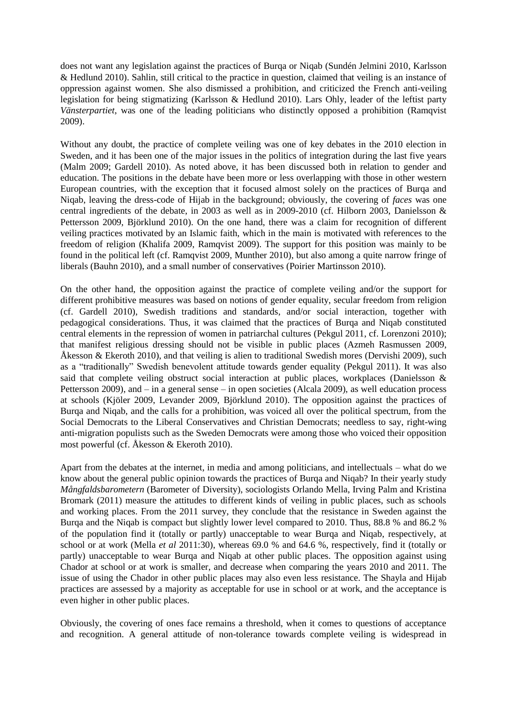does not want any legislation against the practices of Burqa or Niqab (Sundén Jelmini 2010, Karlsson & Hedlund 2010). Sahlin, still critical to the practice in question, claimed that veiling is an instance of oppression against women. She also dismissed a prohibition, and criticized the French anti-veiling legislation for being stigmatizing (Karlsson & Hedlund 2010). Lars Ohly, leader of the leftist party *Vänsterpartiet*, was one of the leading politicians who distinctly opposed a prohibition (Ramqvist 2009).

Without any doubt, the practice of complete veiling was one of key debates in the 2010 election in Sweden, and it has been one of the major issues in the politics of integration during the last five years (Malm 2009; Gardell 2010). As noted above, it has been discussed both in relation to gender and education. The positions in the debate have been more or less overlapping with those in other western European countries, with the exception that it focused almost solely on the practices of Burqa and Niqab, leaving the dress-code of Hijab in the background; obviously, the covering of *faces* was one central ingredients of the debate, in 2003 as well as in 2009-2010 (cf. Hilborn 2003, Danielsson & Pettersson 2009, Björklund 2010). On the one hand, there was a claim for recognition of different veiling practices motivated by an Islamic faith, which in the main is motivated with references to the freedom of religion (Khalifa 2009, Ramqvist 2009). The support for this position was mainly to be found in the political left (cf. Ramqvist 2009, Munther 2010), but also among a quite narrow fringe of liberals (Bauhn 2010), and a small number of conservatives (Poirier Martinsson 2010).

On the other hand, the opposition against the practice of complete veiling and/or the support for different prohibitive measures was based on notions of gender equality, secular freedom from religion (cf. Gardell 2010), Swedish traditions and standards, and/or social interaction, together with pedagogical considerations. Thus, it was claimed that the practices of Burqa and Niqab constituted central elements in the repression of women in patriarchal cultures (Pekgul 2011, cf. Lorenzoni 2010); that manifest religious dressing should not be visible in public places (Azmeh Rasmussen 2009, Åkesson & Ekeroth 2010), and that veiling is alien to traditional Swedish mores (Dervishi 2009), such as a "traditionally" Swedish benevolent attitude towards gender equality (Pekgul 2011). It was also said that complete veiling obstruct social interaction at public places, workplaces (Danielsson & Pettersson 2009), and – in a general sense – in open societies (Alcala 2009), as well education process at schools (Kjöler 2009, Levander 2009, Björklund 2010). The opposition against the practices of Burqa and Niqab, and the calls for a prohibition, was voiced all over the political spectrum, from the Social Democrats to the Liberal Conservatives and Christian Democrats; needless to say, right-wing anti-migration populists such as the Sweden Democrats were among those who voiced their opposition most powerful (cf. Åkesson & Ekeroth 2010).

Apart from the debates at the internet, in media and among politicians, and intellectuals – what do we know about the general public opinion towards the practices of Burqa and Niqab? In their yearly study *Mångfaldsbarometern* (Barometer of Diversity), sociologists Orlando Mella, Irving Palm and Kristina Bromark (2011) measure the attitudes to different kinds of veiling in public places, such as schools and working places. From the 2011 survey, they conclude that the resistance in Sweden against the Burqa and the Niqab is compact but slightly lower level compared to 2010. Thus, 88.8 % and 86.2 % of the population find it (totally or partly) unacceptable to wear Burqa and Niqab, respectively, at school or at work (Mella *et al* 2011:30), whereas 69.0 % and 64.6 %, respectively, find it (totally or partly) unacceptable to wear Burqa and Niqab at other public places. The opposition against using Chador at school or at work is smaller, and decrease when comparing the years 2010 and 2011. The issue of using the Chador in other public places may also even less resistance. The Shayla and Hijab practices are assessed by a majority as acceptable for use in school or at work, and the acceptance is even higher in other public places.

Obviously, the covering of ones face remains a threshold, when it comes to questions of acceptance and recognition. A general attitude of non-tolerance towards complete veiling is widespread in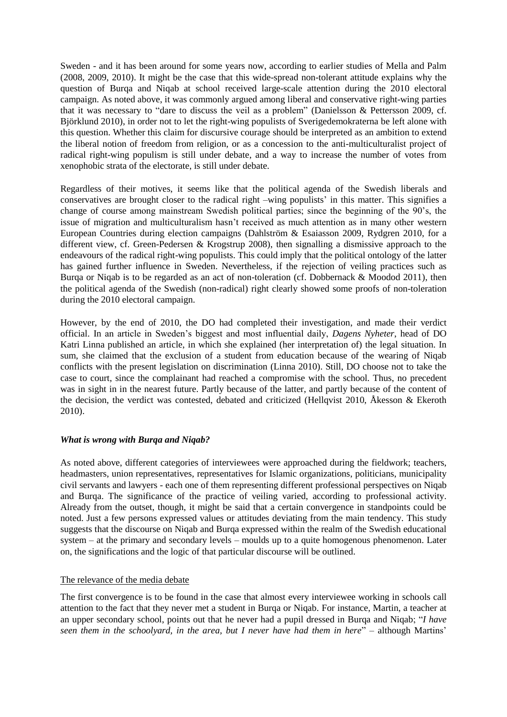Sweden - and it has been around for some years now, according to earlier studies of Mella and Palm (2008, 2009, 2010). It might be the case that this wide-spread non-tolerant attitude explains why the question of Burqa and Niqab at school received large-scale attention during the 2010 electoral campaign. As noted above, it was commonly argued among liberal and conservative right-wing parties that it was necessary to "dare to discuss the veil as a problem" (Danielsson & Pettersson 2009, cf. Björklund 2010), in order not to let the right-wing populists of Sverigedemokraterna be left alone with this question. Whether this claim for discursive courage should be interpreted as an ambition to extend the liberal notion of freedom from religion, or as a concession to the anti-multiculturalist project of radical right-wing populism is still under debate, and a way to increase the number of votes from xenophobic strata of the electorate, is still under debate.

Regardless of their motives, it seems like that the political agenda of the Swedish liberals and conservatives are brought closer to the radical right –wing populists' in this matter. This signifies a change of course among mainstream Swedish political parties; since the beginning of the 90's, the issue of migration and multiculturalism hasn't received as much attention as in many other western European Countries during election campaigns (Dahlström & Esaiasson 2009, Rydgren 2010, for a different view, cf. Green-Pedersen & Krogstrup 2008), then signalling a dismissive approach to the endeavours of the radical right-wing populists. This could imply that the political ontology of the latter has gained further influence in Sweden. Nevertheless, if the rejection of veiling practices such as Burqa or Niqab is to be regarded as an act of non-toleration (cf. Dobbernack & Moodod 2011), then the political agenda of the Swedish (non-radical) right clearly showed some proofs of non-toleration during the 2010 electoral campaign.

However, by the end of 2010, the DO had completed their investigation, and made their verdict official. In an article in Sweden's biggest and most influential daily, *Dagens Nyheter*, head of DO Katri Linna published an article, in which she explained (her interpretation of) the legal situation. In sum, she claimed that the exclusion of a student from education because of the wearing of Niqab conflicts with the present legislation on discrimination (Linna 2010). Still, DO choose not to take the case to court, since the complainant had reached a compromise with the school. Thus, no precedent was in sight in in the nearest future. Partly because of the latter, and partly because of the content of the decision, the verdict was contested, debated and criticized (Hellqvist 2010, Åkesson & Ekeroth 2010).

#### <span id="page-33-0"></span>*What is wrong with Burqa and Niqab?*

As noted above, different categories of interviewees were approached during the fieldwork; teachers, headmasters, union representatives, representatives for Islamic organizations, politicians, municipality civil servants and lawyers - each one of them representing different professional perspectives on Niqab and Burqa. The significance of the practice of veiling varied, according to professional activity. Already from the outset, though, it might be said that a certain convergence in standpoints could be noted. Just a few persons expressed values or attitudes deviating from the main tendency. This study suggests that the discourse on Niqab and Burqa expressed within the realm of the Swedish educational system – at the primary and secondary levels – moulds up to a quite homogenous phenomenon. Later on, the significations and the logic of that particular discourse will be outlined.

## <span id="page-33-1"></span>The relevance of the media debate

The first convergence is to be found in the case that almost every interviewee working in schools call attention to the fact that they never met a student in Burqa or Niqab. For instance, Martin, a teacher at an upper secondary school, points out that he never had a pupil dressed in Burqa and Niqab; "*I have seen them in the schoolyard, in the area, but I never have had them in here*" – although Martins'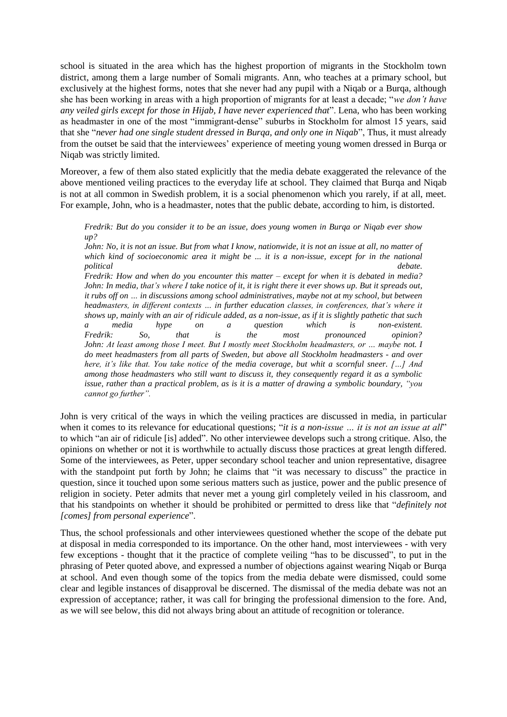school is situated in the area which has the highest proportion of migrants in the Stockholm town district, among them a large number of Somali migrants. Ann, who teaches at a primary school, but exclusively at the highest forms, notes that she never had any pupil with a Niqab or a Burqa, although she has been working in areas with a high proportion of migrants for at least a decade; "*we don't have any veiled girls except for those in Hijab, I have never experienced that*". Lena, who has been working as headmaster in one of the most "immigrant-dense" suburbs in Stockholm for almost 15 years, said that she "*never had one single student dressed in Burqa, and only one in Niqab*", Thus, it must already from the outset be said that the interviewees' experience of meeting young women dressed in Burqa or Niqab was strictly limited.

Moreover, a few of them also stated explicitly that the media debate exaggerated the relevance of the above mentioned veiling practices to the everyday life at school. They claimed that Burqa and Niqab is not at all common in Swedish problem, it is a social phenomenon which you rarely, if at all, meet. For example, John, who is a headmaster, notes that the public debate, according to him, is distorted.

*Fredrik: But do you consider it to be an issue, does young women in Burqa or Niqab ever show up?* 

*John: No, it is not an issue. But from what I know, nationwide, it is not an issue at all, no matter of which kind of socioeconomic area it might be ... it is a non-issue, except for in the national political debate.* 

*Fredrik: How and when do you encounter this matter – except for when it is debated in media? John: In media, that's where I take notice of it, it is right there it ever shows up. But it spreads out, it rubs off on … in discussions among school administratives, maybe not at my school, but between headmasters, in different contexts … in further education classes, in conferences, that's where it shows up, mainly with an air of ridicule added, as a non-issue, as if it is slightly pathetic that such a media hype on a question which is non-existent. Fredrik: So, that is the most pronounced opinion? John: At least among those I meet. But I mostly meet Stockholm headmasters, or ... maybe not. I do meet headmasters from all parts of Sweden, but above all Stockholm headmasters - and over here, it's like that. You take notice of the media coverage, but whit a scornful sneer. […] And among those headmasters who still want to discuss it, they consequently regard it as a symbolic issue, rather than a practical problem, as is it is a matter of drawing a symbolic boundary, "you cannot go further".*

John is very critical of the ways in which the veiling practices are discussed in media, in particular when it comes to its relevance for educational questions; "*it is a non-issue ... it is not an issue at all*" to which "an air of ridicule [is] added". No other interviewee develops such a strong critique. Also, the opinions on whether or not it is worthwhile to actually discuss those practices at great length differed. Some of the interviewees, as Peter, upper secondary school teacher and union representative, disagree with the standpoint put forth by John; he claims that "it was necessary to discuss" the practice in question, since it touched upon some serious matters such as justice, power and the public presence of religion in society. Peter admits that never met a young girl completely veiled in his classroom, and that his standpoints on whether it should be prohibited or permitted to dress like that "*definitely not [comes] from personal experience*".

Thus, the school professionals and other interviewees questioned whether the scope of the debate put at disposal in media corresponded to its importance. On the other hand, most interviewees - with very few exceptions - thought that it the practice of complete veiling "has to be discussed", to put in the phrasing of Peter quoted above, and expressed a number of objections against wearing Niqab or Burqa at school. And even though some of the topics from the media debate were dismissed, could some clear and legible instances of disapproval be discerned. The dismissal of the media debate was not an expression of acceptance; rather, it was call for bringing the professional dimension to the fore. And, as we will see below, this did not always bring about an attitude of recognition or tolerance.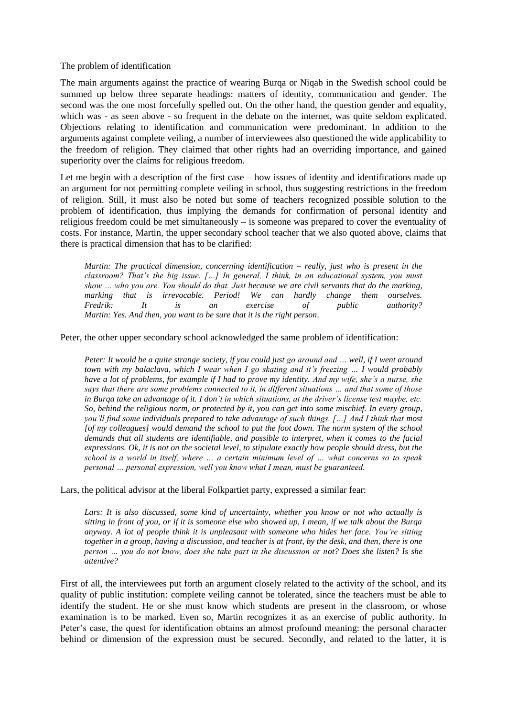#### <span id="page-35-0"></span>The problem of identification

The main arguments against the practice of wearing Burqa or Niqab in the Swedish school could be summed up below three separate headings: matters of identity, communication and gender. The second was the one most forcefully spelled out. On the other hand, the question gender and equality, which was - as seen above - so frequent in the debate on the internet, was quite seldom explicated. Objections relating to identification and communication were predominant. In addition to the arguments against complete veiling, a number of interviewees also questioned the wide applicability to the freedom of religion. They claimed that other rights had an overriding importance, and gained superiority over the claims for religious freedom.

Let me begin with a description of the first case – how issues of identity and identifications made up an argument for not permitting complete veiling in school, thus suggesting restrictions in the freedom of religion. Still, it must also be noted but some of teachers recognized possible solution to the problem of identification, thus implying the demands for confirmation of personal identity and religious freedom could be met simultaneously – is someone was prepared to cover the eventuality of costs. For instance, Martin, the upper secondary school teacher that we also quoted above, claims that there is practical dimension that has to be clarified:

*Martin: The practical dimension, concerning identification – really, just who is present in the classroom? That's the big issue. […] In general, I think, in an educational system, you must show … who you are. You should do that. Just because we are civil servants that do the marking, marking that is irrevocable. Period! We can hardly change them ourselves. Fredrik: It is an exercise of public authority? Martin: Yes. And then, you want to be sure that it is the right person.* 

Peter, the other upper secondary school acknowledged the same problem of identification:

*Peter: It would be a quite strange society, if you could just go around and … well, if I went around town with my balaclava, which I wear when I go skating and it's freezing … I would probably have a lot of problems, for example if I had to prove my identity. And my wife, she's a nurse, she says that there are some problems connected to it, in different situations … and that some of those in Burqa take an advantage of it. I don't in which situations, at the driver's license test maybe, etc. So, behind the religious norm, or protected by it, you can get into some mischief. In every group, you'll find some individuals prepared to take advantage of such things. […] And I think that most [of my colleagues] would demand the school to put the foot down. The norm system of the school demands that all students are identifiable, and possible to interpret, when it comes to the facial expressions. Ok, it is not on the societal level, to stipulate exactly how people should dress, but the school is a world in itself, where … a certain minimum level of … what concerns so to speak personal … personal expression, well you know what I mean, must be guaranteed.* 

Lars, the political advisor at the liberal Folkpartiet party, expressed a similar fear:

*Lars: It is also discussed, some kind of uncertainty, whether you know or not who actually is sitting in front of you, or if it is someone else who showed up, I mean, if we talk about the Burqa anyway. A lot of people think it is unpleasant with someone who hides her face. You're sitting together in a group, having a discussion, and teacher is at front, by the desk, and then, there is one person … you do not know, does she take part in the discussion or not? Does she listen? Is she attentive?* 

First of all, the interviewees put forth an argument closely related to the activity of the school, and its quality of public institution: complete veiling cannot be tolerated, since the teachers must be able to identify the student. He or she must know which students are present in the classroom, or whose examination is to be marked. Even so, Martin recognizes it as an exercise of public authority. In Peter's case, the quest for identification obtains an almost profound meaning: the personal character behind or dimension of the expression must be secured. Secondly, and related to the latter, it is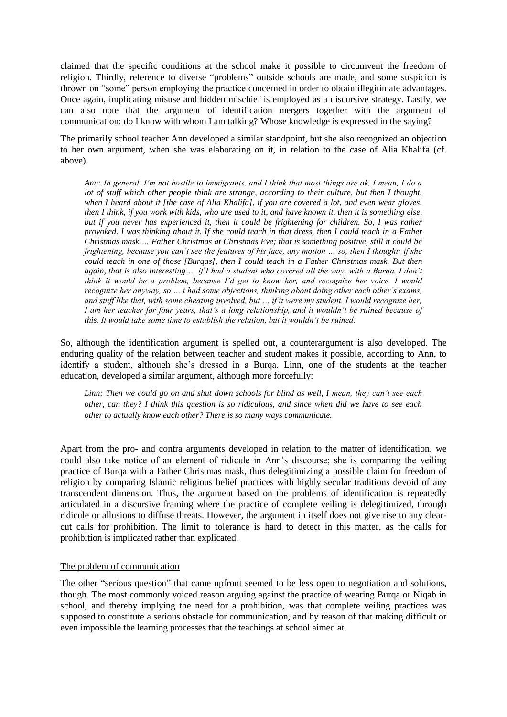claimed that the specific conditions at the school make it possible to circumvent the freedom of religion. Thirdly, reference to diverse "problems" outside schools are made, and some suspicion is thrown on "some" person employing the practice concerned in order to obtain illegitimate advantages. Once again, implicating misuse and hidden mischief is employed as a discursive strategy. Lastly, we can also note that the argument of identification mergers together with the argument of communication: do I know with whom I am talking? Whose knowledge is expressed in the saying?

The primarily school teacher Ann developed a similar standpoint, but she also recognized an objection to her own argument, when she was elaborating on it, in relation to the case of Alia Khalifa (cf. above).

*Ann: In general, I'm not hostile to immigrants, and I think that most things are ok, I mean, I do a lot of stuff which other people think are strange, according to their culture, but then I thought, when I heard about it [the case of Alia Khalifa], if you are covered a lot, and even wear gloves, then I think, if you work with kids, who are used to it, and have known it, then it is something else, but if you never has experienced it, then it could be frightening for children. So, I was rather provoked. I was thinking about it. If she could teach in that dress, then I could teach in a Father Christmas mask … Father Christmas at Christmas Eve; that is something positive, still it could be frightening, because you can't see the features of his face, any motion … so, then I thought: if she could teach in one of those [Burqas], then I could teach in a Father Christmas mask. But then again, that is also interesting … if I had a student who covered all the way, with a Burqa, I don't think it would be a problem, because I'd get to know her, and recognize her voice. I would recognize her anyway, so … i had some objections, thinking about doing other each other's exams, and stuff like that, with some cheating involved, but … if it were my student, I would recognize her, I am her teacher for four years, that's a long relationship, and it wouldn't be ruined because of this. It would take some time to establish the relation, but it wouldn't be ruined.* 

So, although the identification argument is spelled out, a counterargument is also developed. The enduring quality of the relation between teacher and student makes it possible, according to Ann, to identify a student, although she's dressed in a Burqa. Linn, one of the students at the teacher education, developed a similar argument, although more forcefully:

*Linn: Then we could go on and shut down schools for blind as well, I mean, they can't see each other, can they? I think this question is so ridiculous, and since when did we have to see each other to actually know each other? There is so many ways communicate.* 

Apart from the pro- and contra arguments developed in relation to the matter of identification, we could also take notice of an element of ridicule in Ann's discourse; she is comparing the veiling practice of Burqa with a Father Christmas mask, thus delegitimizing a possible claim for freedom of religion by comparing Islamic religious belief practices with highly secular traditions devoid of any transcendent dimension. Thus, the argument based on the problems of identification is repeatedly articulated in a discursive framing where the practice of complete veiling is delegitimized, through ridicule or allusions to diffuse threats. However, the argument in itself does not give rise to any clearcut calls for prohibition. The limit to tolerance is hard to detect in this matter, as the calls for prohibition is implicated rather than explicated.

#### <span id="page-36-0"></span>The problem of communication

The other "serious question" that came upfront seemed to be less open to negotiation and solutions, though. The most commonly voiced reason arguing against the practice of wearing Burqa or Niqab in school, and thereby implying the need for a prohibition, was that complete veiling practices was supposed to constitute a serious obstacle for communication, and by reason of that making difficult or even impossible the learning processes that the teachings at school aimed at.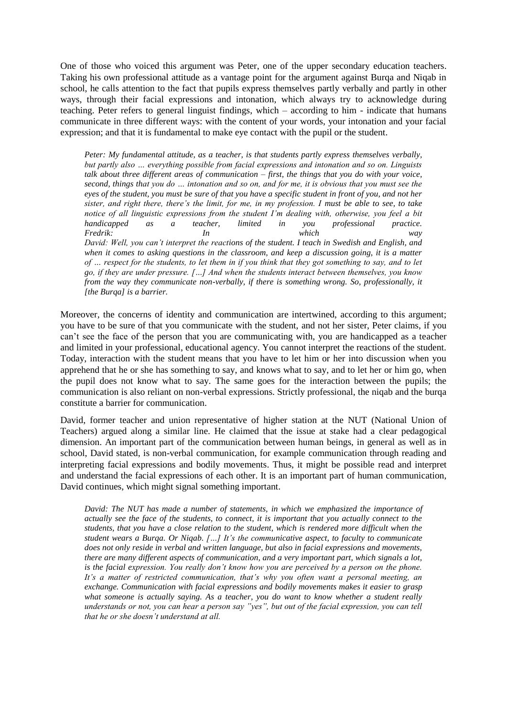One of those who voiced this argument was Peter, one of the upper secondary education teachers. Taking his own professional attitude as a vantage point for the argument against Burqa and Niqab in school, he calls attention to the fact that pupils express themselves partly verbally and partly in other ways, through their facial expressions and intonation, which always try to acknowledge during teaching. Peter refers to general linguist findings, which – according to him - indicate that humans communicate in three different ways: with the content of your words, your intonation and your facial expression; and that it is fundamental to make eye contact with the pupil or the student.

*Peter: My fundamental attitude, as a teacher, is that students partly express themselves verbally, but partly also … everything possible from facial expressions and intonation and so on. Linguists talk about three different areas of communication – first, the things that you do with your voice, second, things that you do … intonation and so on, and for me, it is obvious that you must see the eyes of the student, you must be sure of that you have a specific student in front of you, and not her sister, and right there, there's the limit, for me, in my profession. I must be able to see, to take notice of all linguistic expressions from the student I'm dealing with, otherwise, you feel a bit handicapped as a teacher, limited in you professional practice. Fredrik: In which way David: Well, you can't interpret the reactions of the student. I teach in Swedish and English, and when it comes to asking questions in the classroom, and keep a discussion going, it is a matter of … respect for the students, to let them in if you think that they got something to say, and to let go, if they are under pressure. […] And when the students interact between themselves, you know from the way they communicate non-verbally, if there is something wrong. So, professionally, it [the Burqa] is a barrier.* 

Moreover, the concerns of identity and communication are intertwined, according to this argument; you have to be sure of that you communicate with the student, and not her sister, Peter claims, if you can't see the face of the person that you are communicating with, you are handicapped as a teacher and limited in your professional, educational agency. You cannot interpret the reactions of the student. Today, interaction with the student means that you have to let him or her into discussion when you apprehend that he or she has something to say, and knows what to say, and to let her or him go, when the pupil does not know what to say. The same goes for the interaction between the pupils; the communication is also reliant on non-verbal expressions. Strictly professional, the niqab and the burqa constitute a barrier for communication.

David, former teacher and union representative of higher station at the NUT (National Union of Teachers) argued along a similar line. He claimed that the issue at stake had a clear pedagogical dimension. An important part of the communication between human beings, in general as well as in school, David stated, is non-verbal communication, for example communication through reading and interpreting facial expressions and bodily movements. Thus, it might be possible read and interpret and understand the facial expressions of each other. It is an important part of human communication, David continues, which might signal something important.

*David: The NUT has made a number of statements, in which we emphasized the importance of actually see the face of the students, to connect, it is important that you actually connect to the students, that you have a close relation to the student, which is rendered more difficult when the student wears a Burqa. Or Niqab. […] It's the communicative aspect, to faculty to communicate does not only reside in verbal and written language, but also in facial expressions and movements, there are many different aspects of communication, and a very important part, which signals a lot, is the facial expression. You really don't know how you are perceived by a person on the phone. It's a matter of restricted communication, that's why you often want a personal meeting, an exchange. Communication with facial expressions and bodily movements makes it easier to grasp what someone is actually saying. As a teacher, you do want to know whether a student really understands or not, you can hear a person say "yes", but out of the facial expression, you can tell that he or she doesn't understand at all.*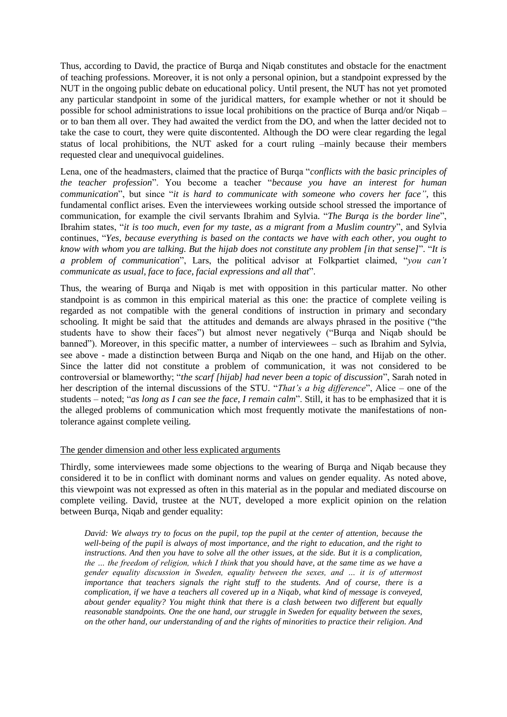Thus, according to David, the practice of Burqa and Niqab constitutes and obstacle for the enactment of teaching professions. Moreover, it is not only a personal opinion, but a standpoint expressed by the NUT in the ongoing public debate on educational policy. Until present, the NUT has not yet promoted any particular standpoint in some of the juridical matters, for example whether or not it should be possible for school administrations to issue local prohibitions on the practice of Burqa and/or Niqab – or to ban them all over. They had awaited the verdict from the DO, and when the latter decided not to take the case to court, they were quite discontented. Although the DO were clear regarding the legal status of local prohibitions, the NUT asked for a court ruling –mainly because their members requested clear and unequivocal guidelines.

Lena, one of the headmasters, claimed that the practice of Burqa "*conflicts with the basic principles of the teacher profession*". You become a teacher "*because you have an interest for human communication*", but since "*it is hard to communicate with someone who covers her face"*, this fundamental conflict arises. Even the interviewees working outside school stressed the importance of communication, for example the civil servants Ibrahim and Sylvia. "*The Burqa is the border line*", Ibrahim states, "*it is too much, even for my taste, as a migrant from a Muslim country*", and Sylvia continues, "*Yes, because everything is based on the contacts we have with each other, you ought to know with whom you are talking. But the hijab does not constitute any problem [in that sense]*". "*It is a problem of communication*", Lars, the political advisor at Folkpartiet claimed, "*you can't communicate as usual, face to face, facial expressions and all that*".

Thus, the wearing of Burqa and Niqab is met with opposition in this particular matter. No other standpoint is as common in this empirical material as this one: the practice of complete veiling is regarded as not compatible with the general conditions of instruction in primary and secondary schooling. It might be said that the attitudes and demands are always phrased in the positive ("the students have to show their faces") but almost never negatively ("Burqa and Niqab should be banned"). Moreover, in this specific matter, a number of interviewees – such as Ibrahim and Sylvia, see above - made a distinction between Burqa and Niqab on the one hand, and Hijab on the other. Since the latter did not constitute a problem of communication, it was not considered to be controversial or blameworthy; "*the scarf [hijab] had never been a topic of discussion*", Sarah noted in her description of the internal discussions of the STU. "*That's a big difference*", Alice – one of the students – noted; "*as long as I can see the face, I remain calm*". Still, it has to be emphasized that it is the alleged problems of communication which most frequently motivate the manifestations of nontolerance against complete veiling.

#### <span id="page-38-0"></span>The gender dimension and other less explicated arguments

Thirdly, some interviewees made some objections to the wearing of Burqa and Niqab because they considered it to be in conflict with dominant norms and values on gender equality. As noted above, this viewpoint was not expressed as often in this material as in the popular and mediated discourse on complete veiling. David, trustee at the NUT, developed a more explicit opinion on the relation between Burqa, Niqab and gender equality:

*David: We always try to focus on the pupil, top the pupil at the center of attention, because the well-being of the pupil is always of most importance, and the right to education, and the right to instructions. And then you have to solve all the other issues, at the side. But it is a complication, the … the freedom of religion, which I think that you should have, at the same time as we have a gender equality discussion in Sweden, equality between the sexes, and … it is of uttermost importance that teachers signals the right stuff to the students. And of course, there is a complication, if we have a teachers all covered up in a Niqab, what kind of message is conveyed, about gender equality? You might think that there is a clash between two different but equally reasonable standpoints. One the one hand, our struggle in Sweden for equality between the sexes, on the other hand, our understanding of and the rights of minorities to practice their religion. And*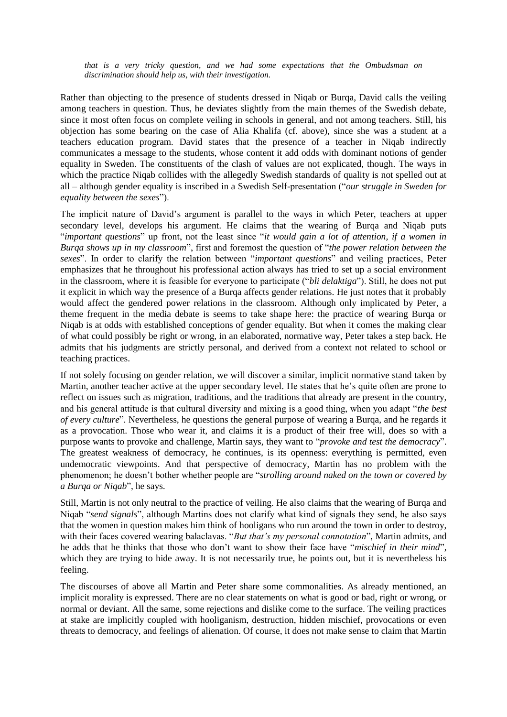*that is a very tricky question, and we had some expectations that the Ombudsman on discrimination should help us, with their investigation.* 

Rather than objecting to the presence of students dressed in Niqab or Burqa, David calls the veiling among teachers in question. Thus, he deviates slightly from the main themes of the Swedish debate, since it most often focus on complete veiling in schools in general, and not among teachers. Still, his objection has some bearing on the case of Alia Khalifa (cf. above), since she was a student at a teachers education program. David states that the presence of a teacher in Niqab indirectly communicates a message to the students, whose content it add odds with dominant notions of gender equality in Sweden. The constituents of the clash of values are not explicated, though. The ways in which the practice Niqab collides with the allegedly Swedish standards of quality is not spelled out at all – although gender equality is inscribed in a Swedish Self-presentation ("*our struggle in Sweden for equality between the sexes*").

The implicit nature of David's argument is parallel to the ways in which Peter, teachers at upper secondary level, develops his argument. He claims that the wearing of Burqa and Niqab puts "*important questions*" up front, not the least since "*it would gain a lot of attention, if a women in Burqa shows up in my classroom*", first and foremost the question of "*the power relation between the sexes*". In order to clarify the relation between "*important questions*" and veiling practices, Peter emphasizes that he throughout his professional action always has tried to set up a social environment in the classroom, where it is feasible for everyone to participate ("*bli delaktiga*"). Still, he does not put it explicit in which way the presence of a Burqa affects gender relations. He just notes that it probably would affect the gendered power relations in the classroom. Although only implicated by Peter, a theme frequent in the media debate is seems to take shape here: the practice of wearing Burqa or Niqab is at odds with established conceptions of gender equality. But when it comes the making clear of what could possibly be right or wrong, in an elaborated, normative way, Peter takes a step back. He admits that his judgments are strictly personal, and derived from a context not related to school or teaching practices.

If not solely focusing on gender relation, we will discover a similar, implicit normative stand taken by Martin, another teacher active at the upper secondary level. He states that he's quite often are prone to reflect on issues such as migration, traditions, and the traditions that already are present in the country, and his general attitude is that cultural diversity and mixing is a good thing, when you adapt "*the best of every culture*". Nevertheless, he questions the general purpose of wearing a Burqa, and he regards it as a provocation. Those who wear it, and claims it is a product of their free will, does so with a purpose wants to provoke and challenge, Martin says, they want to "*provoke and test the democracy*". The greatest weakness of democracy, he continues, is its openness: everything is permitted, even undemocratic viewpoints. And that perspective of democracy, Martin has no problem with the phenomenon; he doesn't bother whether people are "*strolling around naked on the town or covered by a Burqa or Niqab*", he says.

Still, Martin is not only neutral to the practice of veiling. He also claims that the wearing of Burqa and Niqab "*send signals*", although Martins does not clarify what kind of signals they send, he also says that the women in question makes him think of hooligans who run around the town in order to destroy, with their faces covered wearing balaclavas. "*But that's my personal connotation*", Martin admits, and he adds that he thinks that those who don't want to show their face have "*mischief in their mind*", which they are trying to hide away. It is not necessarily true, he points out, but it is nevertheless his feeling.

The discourses of above all Martin and Peter share some commonalities. As already mentioned, an implicit morality is expressed. There are no clear statements on what is good or bad, right or wrong, or normal or deviant. All the same, some rejections and dislike come to the surface. The veiling practices at stake are implicitly coupled with hooliganism, destruction, hidden mischief, provocations or even threats to democracy, and feelings of alienation. Of course, it does not make sense to claim that Martin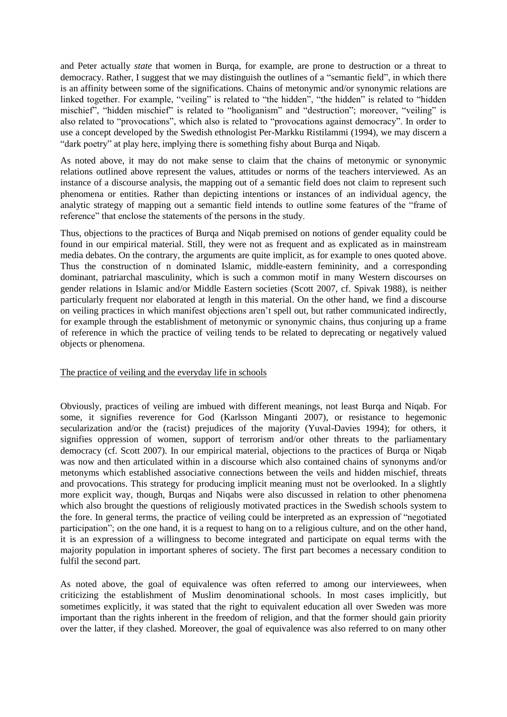and Peter actually *state* that women in Burqa, for example, are prone to destruction or a threat to democracy. Rather, I suggest that we may distinguish the outlines of a "semantic field", in which there is an affinity between some of the significations. Chains of metonymic and/or synonymic relations are linked together. For example, "veiling" is related to "the hidden", "the hidden" is related to "hidden mischief", "hidden mischief" is related to "hooliganism" and "destruction"; moreover, "veiling" is also related to "provocations", which also is related to "provocations against democracy". In order to use a concept developed by the Swedish ethnologist Per-Markku Ristilammi (1994), we may discern a "dark poetry" at play here, implying there is something fishy about Burqa and Niqab.

As noted above, it may do not make sense to claim that the chains of metonymic or synonymic relations outlined above represent the values, attitudes or norms of the teachers interviewed. As an instance of a discourse analysis, the mapping out of a semantic field does not claim to represent such phenomena or entities. Rather than depicting intentions or instances of an individual agency, the analytic strategy of mapping out a semantic field intends to outline some features of the "frame of reference" that enclose the statements of the persons in the study.

Thus, objections to the practices of Burqa and Niqab premised on notions of gender equality could be found in our empirical material. Still, they were not as frequent and as explicated as in mainstream media debates. On the contrary, the arguments are quite implicit, as for example to ones quoted above. Thus the construction of n dominated Islamic, middle-eastern femininity, and a corresponding dominant, patriarchal masculinity, which is such a common motif in many Western discourses on gender relations in Islamic and/or Middle Eastern societies (Scott 2007, cf. Spivak 1988), is neither particularly frequent nor elaborated at length in this material. On the other hand, we find a discourse on veiling practices in which manifest objections aren't spell out, but rather communicated indirectly, for example through the establishment of metonymic or synonymic chains, thus conjuring up a frame of reference in which the practice of veiling tends to be related to deprecating or negatively valued objects or phenomena.

#### <span id="page-40-0"></span>The practice of veiling and the everyday life in schools

Obviously, practices of veiling are imbued with different meanings, not least Burqa and Niqab. For some, it signifies reverence for God (Karlsson Minganti 2007), or resistance to hegemonic secularization and/or the (racist) prejudices of the majority (Yuval-Davies 1994); for others, it signifies oppression of women, support of terrorism and/or other threats to the parliamentary democracy (cf. Scott 2007). In our empirical material, objections to the practices of Burqa or Niqab was now and then articulated within in a discourse which also contained chains of synonyms and/or metonyms which established associative connections between the veils and hidden mischief, threats and provocations. This strategy for producing implicit meaning must not be overlooked. In a slightly more explicit way, though, Burqas and Niqabs were also discussed in relation to other phenomena which also brought the questions of religiously motivated practices in the Swedish schools system to the fore. In general terms, the practice of veiling could be interpreted as an expression of "negotiated participation"; on the one hand, it is a request to hang on to a religious culture, and on the other hand, it is an expression of a willingness to become integrated and participate on equal terms with the majority population in important spheres of society. The first part becomes a necessary condition to fulfil the second part.

As noted above, the goal of equivalence was often referred to among our interviewees, when criticizing the establishment of Muslim denominational schools. In most cases implicitly, but sometimes explicitly, it was stated that the right to equivalent education all over Sweden was more important than the rights inherent in the freedom of religion, and that the former should gain priority over the latter, if they clashed. Moreover, the goal of equivalence was also referred to on many other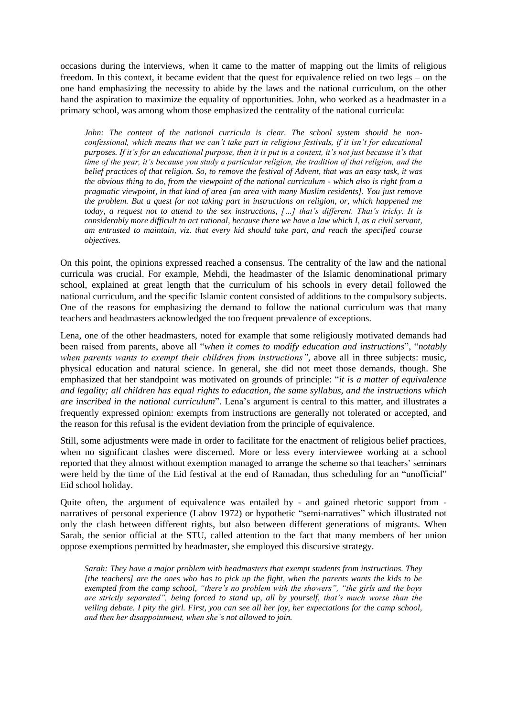occasions during the interviews, when it came to the matter of mapping out the limits of religious freedom. In this context, it became evident that the quest for equivalence relied on two legs – on the one hand emphasizing the necessity to abide by the laws and the national curriculum, on the other hand the aspiration to maximize the equality of opportunities. John, who worked as a headmaster in a primary school, was among whom those emphasized the centrality of the national curricula:

*John: The content of the national curricula is clear. The school system should be nonconfessional, which means that we can't take part in religious festivals, if it isn't for educational purposes. If it's for an educational purpose, then it is put in a context, it's not just because it's that time of the year, it's because you study a particular religion, the tradition of that religion, and the belief practices of that religion. So, to remove the festival of Advent, that was an easy task, it was the obvious thing to do, from the viewpoint of the national curriculum - which also is right from a pragmatic viewpoint, in that kind of area [an area with many Muslim residents]. You just remove the problem. But a quest for not taking part in instructions on religion, or, which happened me today, a request not to attend to the sex instructions, […] that's different. That's tricky. It is considerably more difficult to act rational, because there we have a law which I, as a civil servant, am entrusted to maintain, viz. that every kid should take part, and reach the specified course objectives.* 

On this point, the opinions expressed reached a consensus. The centrality of the law and the national curricula was crucial. For example, Mehdi, the headmaster of the Islamic denominational primary school, explained at great length that the curriculum of his schools in every detail followed the national curriculum, and the specific Islamic content consisted of additions to the compulsory subjects. One of the reasons for emphasizing the demand to follow the national curriculum was that many teachers and headmasters acknowledged the too frequent prevalence of exceptions.

Lena, one of the other headmasters, noted for example that some religiously motivated demands had been raised from parents, above all "*when it comes to modify education and instructions*", "*notably when parents wants to exempt their children from instructions"*, above all in three subjects: music, physical education and natural science. In general, she did not meet those demands, though. She emphasized that her standpoint was motivated on grounds of principle: "*it is a matter of equivalence and legality; all children has equal rights to education, the same syllabus, and the instructions which are inscribed in the national curriculum*". Lena's argument is central to this matter, and illustrates a frequently expressed opinion: exempts from instructions are generally not tolerated or accepted, and the reason for this refusal is the evident deviation from the principle of equivalence.

Still, some adjustments were made in order to facilitate for the enactment of religious belief practices, when no significant clashes were discerned. More or less every interviewee working at a school reported that they almost without exemption managed to arrange the scheme so that teachers' seminars were held by the time of the Eid festival at the end of Ramadan, thus scheduling for an "unofficial" Eid school holiday.

Quite often, the argument of equivalence was entailed by - and gained rhetoric support from narratives of personal experience (Labov 1972) or hypothetic "semi-narratives" which illustrated not only the clash between different rights, but also between different generations of migrants. When Sarah, the senior official at the STU, called attention to the fact that many members of her union oppose exemptions permitted by headmaster, she employed this discursive strategy.

*Sarah: They have a major problem with headmasters that exempt students from instructions. They [the teachers] are the ones who has to pick up the fight, when the parents wants the kids to be exempted from the camp school, "there's no problem with the showers", "the girls and the boys are strictly separated", being forced to stand up, all by yourself, that's much worse than the veiling debate. I pity the girl. First, you can see all her joy, her expectations for the camp school, and then her disappointment, when she's not allowed to join.*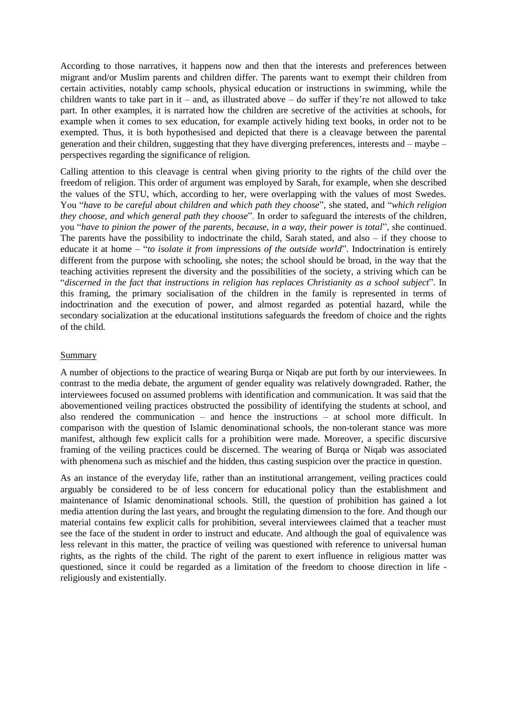According to those narratives, it happens now and then that the interests and preferences between migrant and/or Muslim parents and children differ. The parents want to exempt their children from certain activities, notably camp schools, physical education or instructions in swimming, while the children wants to take part in it – and, as illustrated above – do suffer if they're not allowed to take part. In other examples, it is narrated how the children are secretive of the activities at schools, for example when it comes to sex education, for example actively hiding text books, in order not to be exempted. Thus, it is both hypothesised and depicted that there is a cleavage between the parental generation and their children, suggesting that they have diverging preferences, interests and – maybe – perspectives regarding the significance of religion.

Calling attention to this cleavage is central when giving priority to the rights of the child over the freedom of religion. This order of argument was employed by Sarah, for example, when she described the values of the STU, which, according to her, were overlapping with the values of most Swedes. You "*have to be careful about children and which path they choose*", she stated, and "*which religion they choose, and which general path they choose*". In order to safeguard the interests of the children, you "*have to pinion the power of the parents, because, in a way, their power is total*", she continued. The parents have the possibility to indoctrinate the child, Sarah stated, and also – if they choose to educate it at home – "*to isolate it from impressions of the outside world*". Indoctrination is entirely different from the purpose with schooling, she notes; the school should be broad, in the way that the teaching activities represent the diversity and the possibilities of the society, a striving which can be "*discerned in the fact that instructions in religion has replaces Christianity as a school subject*". In this framing, the primary socialisation of the children in the family is represented in terms of indoctrination and the execution of power, and almost regarded as potential hazard, while the secondary socialization at the educational institutions safeguards the freedom of choice and the rights of the child.

#### <span id="page-42-0"></span>Summary

A number of objections to the practice of wearing Burqa or Niqab are put forth by our interviewees. In contrast to the media debate, the argument of gender equality was relatively downgraded. Rather, the interviewees focused on assumed problems with identification and communication. It was said that the abovementioned veiling practices obstructed the possibility of identifying the students at school, and also rendered the communication – and hence the instructions – at school more difficult. In comparison with the question of Islamic denominational schools, the non-tolerant stance was more manifest, although few explicit calls for a prohibition were made. Moreover, a specific discursive framing of the veiling practices could be discerned. The wearing of Burqa or Niqab was associated with phenomena such as mischief and the hidden, thus casting suspicion over the practice in question.

As an instance of the everyday life, rather than an institutional arrangement, veiling practices could arguably be considered to be of less concern for educational policy than the establishment and maintenance of Islamic denominational schools. Still, the question of prohibition has gained a lot media attention during the last years, and brought the regulating dimension to the fore. And though our material contains few explicit calls for prohibition, several interviewees claimed that a teacher must see the face of the student in order to instruct and educate. And although the goal of equivalence was less relevant in this matter, the practice of veiling was questioned with reference to universal human rights, as the rights of the child. The right of the parent to exert influence in religious matter was questioned, since it could be regarded as a limitation of the freedom to choose direction in life religiously and existentially.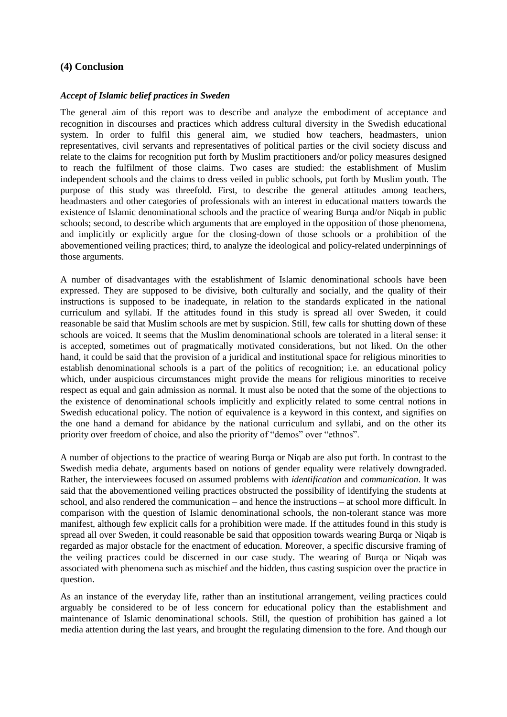## <span id="page-43-1"></span><span id="page-43-0"></span>**(4) Conclusion**

#### *Accept of Islamic belief practices in Sweden*

The general aim of this report was to describe and analyze the embodiment of acceptance and recognition in discourses and practices which address cultural diversity in the Swedish educational system. In order to fulfil this general aim, we studied how teachers, headmasters, union representatives, civil servants and representatives of political parties or the civil society discuss and relate to the claims for recognition put forth by Muslim practitioners and/or policy measures designed to reach the fulfilment of those claims. Two cases are studied: the establishment of Muslim independent schools and the claims to dress veiled in public schools, put forth by Muslim youth. The purpose of this study was threefold. First, to describe the general attitudes among teachers, headmasters and other categories of professionals with an interest in educational matters towards the existence of Islamic denominational schools and the practice of wearing Burqa and/or Niqab in public schools; second, to describe which arguments that are employed in the opposition of those phenomena, and implicitly or explicitly argue for the closing-down of those schools or a prohibition of the abovementioned veiling practices; third, to analyze the ideological and policy-related underpinnings of those arguments.

A number of disadvantages with the establishment of Islamic denominational schools have been expressed. They are supposed to be divisive, both culturally and socially, and the quality of their instructions is supposed to be inadequate, in relation to the standards explicated in the national curriculum and syllabi. If the attitudes found in this study is spread all over Sweden, it could reasonable be said that Muslim schools are met by suspicion. Still, few calls for shutting down of these schools are voiced. It seems that the Muslim denominational schools are tolerated in a literal sense: it is accepted, sometimes out of pragmatically motivated considerations, but not liked. On the other hand, it could be said that the provision of a juridical and institutional space for religious minorities to establish denominational schools is a part of the politics of recognition; i.e. an educational policy which, under auspicious circumstances might provide the means for religious minorities to receive respect as equal and gain admission as normal. It must also be noted that the some of the objections to the existence of denominational schools implicitly and explicitly related to some central notions in Swedish educational policy. The notion of equivalence is a keyword in this context, and signifies on the one hand a demand for abidance by the national curriculum and syllabi, and on the other its priority over freedom of choice, and also the priority of "demos" over "ethnos".

A number of objections to the practice of wearing Burqa or Niqab are also put forth. In contrast to the Swedish media debate, arguments based on notions of gender equality were relatively downgraded. Rather, the interviewees focused on assumed problems with *identification* and *communication*. It was said that the abovementioned veiling practices obstructed the possibility of identifying the students at school, and also rendered the communication – and hence the instructions – at school more difficult. In comparison with the question of Islamic denominational schools, the non-tolerant stance was more manifest, although few explicit calls for a prohibition were made. If the attitudes found in this study is spread all over Sweden, it could reasonable be said that opposition towards wearing Burqa or Niqab is regarded as major obstacle for the enactment of education. Moreover, a specific discursive framing of the veiling practices could be discerned in our case study. The wearing of Burqa or Niqab was associated with phenomena such as mischief and the hidden, thus casting suspicion over the practice in question.

As an instance of the everyday life, rather than an institutional arrangement, veiling practices could arguably be considered to be of less concern for educational policy than the establishment and maintenance of Islamic denominational schools. Still, the question of prohibition has gained a lot media attention during the last years, and brought the regulating dimension to the fore. And though our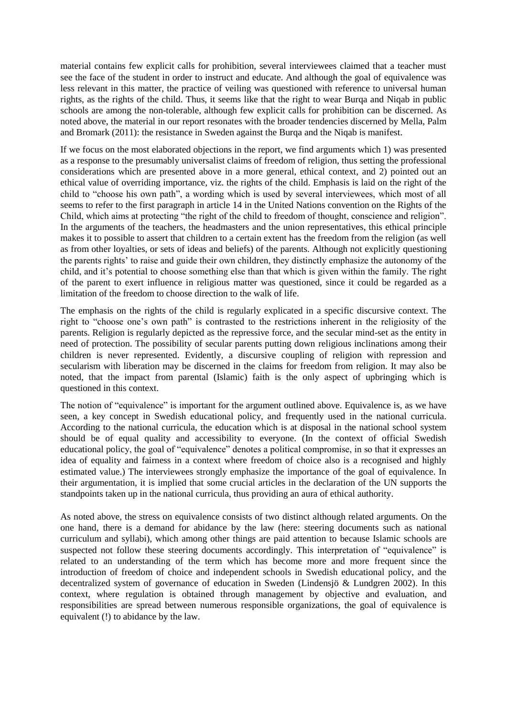material contains few explicit calls for prohibition, several interviewees claimed that a teacher must see the face of the student in order to instruct and educate. And although the goal of equivalence was less relevant in this matter, the practice of veiling was questioned with reference to universal human rights, as the rights of the child. Thus, it seems like that the right to wear Burqa and Niqab in public schools are among the non-tolerable, although few explicit calls for prohibition can be discerned. As noted above, the material in our report resonates with the broader tendencies discerned by Mella, Palm and Bromark (2011): the resistance in Sweden against the Burqa and the Niqab is manifest.

If we focus on the most elaborated objections in the report, we find arguments which 1) was presented as a response to the presumably universalist claims of freedom of religion, thus setting the professional considerations which are presented above in a more general, ethical context, and 2) pointed out an ethical value of overriding importance, viz. the rights of the child. Emphasis is laid on the right of the child to "choose his own path", a wording which is used by several interviewees, which most of all seems to refer to the first paragraph in article 14 in the United Nations convention on the Rights of the Child, which aims at protecting "the right of the child to freedom of thought, conscience and religion". In the arguments of the teachers, the headmasters and the union representatives, this ethical principle makes it to possible to assert that children to a certain extent has the freedom from the religion (as well as from other loyalties, or sets of ideas and beliefs) of the parents. Although not explicitly questioning the parents rights' to raise and guide their own children, they distinctly emphasize the autonomy of the child, and it's potential to choose something else than that which is given within the family. The right of the parent to exert influence in religious matter was questioned, since it could be regarded as a limitation of the freedom to choose direction to the walk of life.

The emphasis on the rights of the child is regularly explicated in a specific discursive context. The right to "choose one's own path" is contrasted to the restrictions inherent in the religiosity of the parents. Religion is regularly depicted as the repressive force, and the secular mind-set as the entity in need of protection. The possibility of secular parents putting down religious inclinations among their children is never represented. Evidently, a discursive coupling of religion with repression and secularism with liberation may be discerned in the claims for freedom from religion. It may also be noted, that the impact from parental (Islamic) faith is the only aspect of upbringing which is questioned in this context.

The notion of "equivalence" is important for the argument outlined above. Equivalence is, as we have seen, a key concept in Swedish educational policy, and frequently used in the national curricula. According to the national curricula, the education which is at disposal in the national school system should be of equal quality and accessibility to everyone. (In the context of official Swedish educational policy, the goal of "equivalence" denotes a political compromise, in so that it expresses an idea of equality and fairness in a context where freedom of choice also is a recognised and highly estimated value.) The interviewees strongly emphasize the importance of the goal of equivalence. In their argumentation, it is implied that some crucial articles in the declaration of the UN supports the standpoints taken up in the national curricula, thus providing an aura of ethical authority.

As noted above, the stress on equivalence consists of two distinct although related arguments. On the one hand, there is a demand for abidance by the law (here: steering documents such as national curriculum and syllabi), which among other things are paid attention to because Islamic schools are suspected not follow these steering documents accordingly. This interpretation of "equivalence" is related to an understanding of the term which has become more and more frequent since the introduction of freedom of choice and independent schools in Swedish educational policy, and the decentralized system of governance of education in Sweden (Lindensjö & Lundgren 2002). In this context, where regulation is obtained through management by objective and evaluation, and responsibilities are spread between numerous responsible organizations, the goal of equivalence is equivalent (!) to abidance by the law.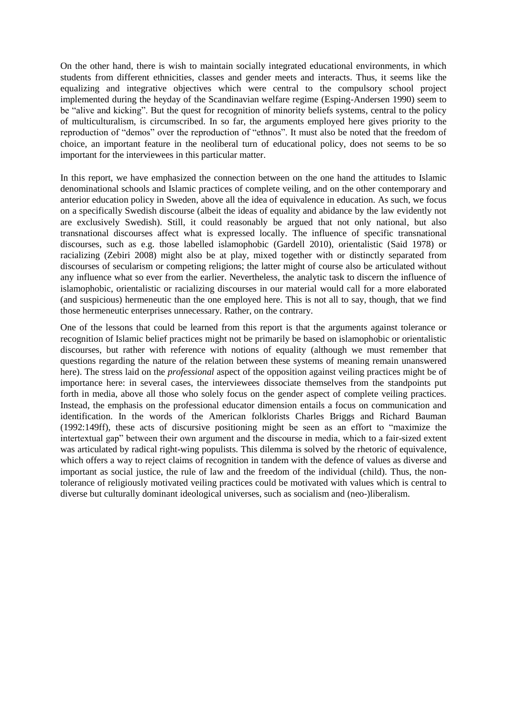On the other hand, there is wish to maintain socially integrated educational environments, in which students from different ethnicities, classes and gender meets and interacts. Thus, it seems like the equalizing and integrative objectives which were central to the compulsory school project implemented during the heyday of the Scandinavian welfare regime (Esping-Andersen 1990) seem to be "alive and kicking". But the quest for recognition of minority beliefs systems, central to the policy of multiculturalism, is circumscribed. In so far, the arguments employed here gives priority to the reproduction of "demos" over the reproduction of "ethnos". It must also be noted that the freedom of choice, an important feature in the neoliberal turn of educational policy, does not seems to be so important for the interviewees in this particular matter.

In this report, we have emphasized the connection between on the one hand the attitudes to Islamic denominational schools and Islamic practices of complete veiling, and on the other contemporary and anterior education policy in Sweden, above all the idea of equivalence in education. As such, we focus on a specifically Swedish discourse (albeit the ideas of equality and abidance by the law evidently not are exclusively Swedish). Still, it could reasonably be argued that not only national, but also transnational discourses affect what is expressed locally. The influence of specific transnational discourses, such as e.g. those labelled islamophobic (Gardell 2010), orientalistic (Said 1978) or racializing (Zebiri 2008) might also be at play, mixed together with or distinctly separated from discourses of secularism or competing religions; the latter might of course also be articulated without any influence what so ever from the earlier. Nevertheless, the analytic task to discern the influence of islamophobic, orientalistic or racializing discourses in our material would call for a more elaborated (and suspicious) hermeneutic than the one employed here. This is not all to say, though, that we find those hermeneutic enterprises unnecessary. Rather, on the contrary.

One of the lessons that could be learned from this report is that the arguments against tolerance or recognition of Islamic belief practices might not be primarily be based on islamophobic or orientalistic discourses, but rather with reference with notions of equality (although we must remember that questions regarding the nature of the relation between these systems of meaning remain unanswered here). The stress laid on the *professional* aspect of the opposition against veiling practices might be of importance here: in several cases, the interviewees dissociate themselves from the standpoints put forth in media, above all those who solely focus on the gender aspect of complete veiling practices. Instead, the emphasis on the professional educator dimension entails a focus on communication and identification. In the words of the American folklorists Charles Briggs and Richard Bauman (1992:149ff), these acts of discursive positioning might be seen as an effort to "maximize the intertextual gap" between their own argument and the discourse in media, which to a fair-sized extent was articulated by radical right-wing populists. This dilemma is solved by the rhetoric of equivalence, which offers a way to reject claims of recognition in tandem with the defence of values as diverse and important as social justice, the rule of law and the freedom of the individual (child). Thus, the nontolerance of religiously motivated veiling practices could be motivated with values which is central to diverse but culturally dominant ideological universes, such as socialism and (neo-)liberalism.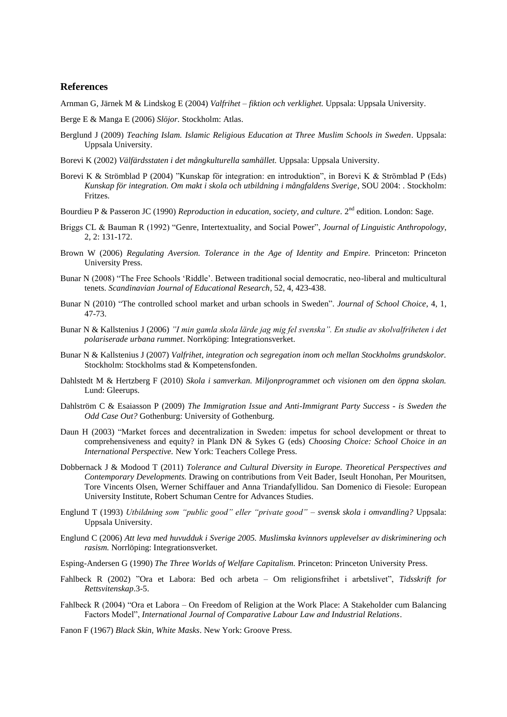#### <span id="page-46-0"></span>**References**

Arnman G, Järnek M & Lindskog E (2004) *Valfrihet – fiktion och verklighet.* Uppsala: Uppsala University.

- Berge E & Manga E (2006) *Slöjor.* Stockholm: Atlas.
- Berglund J (2009) *Teaching Islam. [Islamic Religious Education at Three Muslim Schools in Sweden](http://www.dissertations.se/dissertation/70c680cdfd/)*. Uppsala: Uppsala University.
- Borevi K (2002) *Välfärdsstaten i det mångkulturella samhället.* Uppsala: Uppsala University.
- Borevi K & Strömblad P (2004) "Kunskap för integration: en introduktion", in Borevi K & Strömblad P (Eds) *Kunskap för integration. Om makt i skola och utbildning i mångfaldens Sverige*, SOU 2004: . Stockholm: Fritzes.
- Bourdieu P & Passeron JC (1990) *Reproduction in education, society, and culture*. 2<sup>nd</sup> edition. London: Sage.
- Briggs CL & Bauman R (1992) "Genre, Intertextuality, and Social Power", *Journal of Linguistic Anthropology*, 2, 2: 131-172.
- Brown W (2006) *Regulating Aversion. Tolerance in the Age of Identity and Empire.* Princeton: Princeton University Press.
- Bunar N (2008) "The Free Schools 'Riddle'. Between traditional social democratic, neo-liberal and multicultural tenets. *Scandinavian Journal of Educational Research*, 52, 4, 423-438.
- Bunar N (2010) "The controlled school market and urban schools in Sweden". *Journal of School Choice*, 4, 1, 47-73.
- Bunar N & Kallstenius J (2006) *"I min gamla skola lärde jag mig fel svenska". En studie av skolvalfriheten i det polariserade urbana rummet*. Norrköping: Integrationsverket.
- Bunar N & Kallstenius J (2007) *Valfrihet, integration och segregation inom och mellan Stockholms grundskolor.*  Stockholm: Stockholms stad & Kompetensfonden.
- Dahlstedt M & Hertzberg F (2010) *Skola i samverkan. Miljonprogrammet och visionen om den öppna skolan.*  Lund: Gleerups.
- Dahlström C & Esaiasson P (2009) *The Immigration Issue and Anti-Immigrant Party Success - is Sweden the Odd Case Out?* Gothenburg: University of Gothenburg.
- Daun H (2003) "Market forces and decentralization in Sweden: impetus for school development or threat to comprehensiveness and equity? in Plank DN & Sykes G (eds) *Choosing Choice: School Choice in an International Perspective.* New York: Teachers College Press.
- Dobbernack J & Modood T (2011) *Tolerance and Cultural Diversity in Europe. Theoretical Perspectives and Contemporary Developments.* Drawing on contributions from Veit Bader, Iseult Honohan, Per Mouritsen, Tore Vincents Olsen, Werner Schiffauer and Anna Triandafyllidou. San Domenico di Fiesole: European University Institute, Robert Schuman Centre for Advances Studies.
- Englund T (1993) *Utbildning som "public good" eller "private good" – svensk skola i omvandling?* Uppsala: Uppsala University.
- Englund C (2006) *Att leva med huvudduk i Sverige 2005. Muslimska kvinnors upplevelser av diskriminering och rasism.* Norrlöping: Integrationsverket.
- Esping-Andersen G (1990) *The Three Worlds of Welfare Capitalism.* Princeton: Princeton University Press.
- Fahlbeck R (2002) "Ora et Labora: Bed och arbeta Om religionsfrihet i arbetslivet", *Tidsskrift for Rettsvitenskap*.3-5.
- Fahlbeck R (2004) "Ora et Labora On Freedom of Religion at the Work Place: A Stakeholder cum Balancing Factors Model", *International Journal of Comparative Labour Law and Industrial Relations*.
- Fanon F (1967) *Black Skin, White Masks*. New York: Groove Press.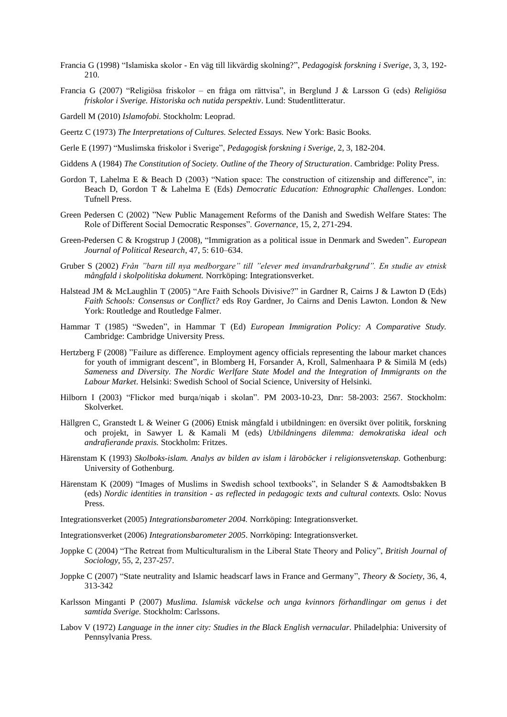- Francia G (1998) "Islamiska skolor En väg till likvärdig skolning?", *Pedagogisk forskning i Sverige*, 3, 3, 192- 210.
- Francia G (2007) "Religiösa friskolor en fråga om rättvisa", in Berglund J & Larsson G (eds) *Religiösa friskolor i Sverige. Historiska och nutida perspektiv*. Lund: Studentlitteratur.

Gardell M (2010) *Islamofobi.* Stockholm: Leoprad.

- Geertz C (1973) *The Interpretations of Cultures. Selected Essays.* New York: Basic Books.
- Gerle E (1997) "Muslimska friskolor i Sverige", *Pedagogisk forskning i Sverige*, 2, 3, 182-204.
- Giddens A (1984) *The Constitution of Society. Outline of the Theory of Structuration*. Cambridge: Polity Press.
- Gordon T, Lahelma E & Beach D (2003) "Nation space: The construction of citizenship and difference", in: Beach D, Gordon T & Lahelma E (Eds) *Democratic Education: Ethnographic Challenges*. London: Tufnell Press.
- Green Pedersen C (2002) "New Public Management Reforms of the Danish and Swedish Welfare States: The Role of Different Social Democratic Responses". *Governance*, 15, 2, 271-294.
- Green-Pedersen C & Krogstrup J (2008), "Immigration as a political issue in Denmark and Sweden". *European Journal of Political Research*, 47, 5: 610–634.
- Gruber S (2002) *Från "barn till nya medborgare" till "elever med invandrarbakgrund". En studie av etnisk mångfald i skolpolitiska dokument.* Norrköping: Integrationsverket.
- Halstead JM & McLaughlin T (2005) "Are Faith Schools Divisive?" in Gardner R, Cairns J & Lawton D (Eds) *Faith Schools: Consensus or Conflict?* eds Roy Gardner, Jo Cairns and Denis Lawton. London & New York: Routledge and Routledge Falmer.
- Hammar T (1985) "Sweden", in Hammar T (Ed) *European Immigration Policy: A Comparative Study.* Cambridge: Cambridge University Press.
- Hertzberg F (2008) "Failure as difference. Employment agency officials representing the labour market chances for youth of immigrant descent", in Blomberg H, Forsander A, Kroll, Salmenhaara P & Similä M (eds) *Sameness and Diversity. The Nordic Werlfare State Model and the Integration of Immigrants on the Labour Market*. Helsinki: Swedish School of Social Science, University of Helsinki.
- Hilborn I (2003) "Flickor med burqa/niqab i skolan". PM 2003-10-23, Dnr: 58-2003: 2567. Stockholm: Skolverket.
- Hällgren C, Granstedt L & Weiner G (2006) Etnisk mångfald i utbildningen: en översikt över politik, forskning och projekt, in Sawyer L & Kamali M (eds) *Utbildningens dilemma: demokratiska ideal och andrafierande praxis.* Stockholm: Fritzes.
- Härenstam K (1993) *Skolboks-islam. Analys av bilden av islam i läroböcker i religionsvetenskap.* Gothenburg: University of Gothenburg.
- Härenstam K (2009) "Images of Muslims in Swedish school textbooks", in Selander S & Aamodtsbakken B (eds) *Nordic identities in transition - as reflected in pedagogic texts and cultural contexts.* Oslo: Novus Press.
- Integrationsverket (2005) *Integrationsbarometer 2004.* Norrköping: Integrationsverket.
- Integrationsverket (2006) *Integrationsbarometer 2005*. Norrköping: Integrationsverket.
- Joppke C (2004) "The Retreat from Multiculturalism in the Liberal State Theory and Policy", *British Journal of Sociology*, 55, 2, 237-257.
- Joppke C (2007) "State neutrality and Islamic headscarf laws in France and Germany", *[Theory &](https://springerlink3.metapress.com/content/0304-2421/) Society*, [36,](https://springerlink3.metapress.com/content/0304-2421/36/4/) 4, 313-342
- Karlsson Minganti P (2007) *Muslima. Islamisk väckelse och unga kvinnors förhandlingar om genus i det samtida Sverige.* Stockholm: Carlssons.
- Labov V (1972) *[Language in the inner city: Studies in the Black English vernacular.](http://www.google.com/books?hl=sv&lr=&id=snEEdFKLJ5cC&oi=fnd&pg=PR8&dq=william+labov+1972&ots=AJOixUCdvL&sig=CVrdmTO_WXcIl3HzmMYENcPcPRs)* Philadelphia: University of Pennsylvania Press.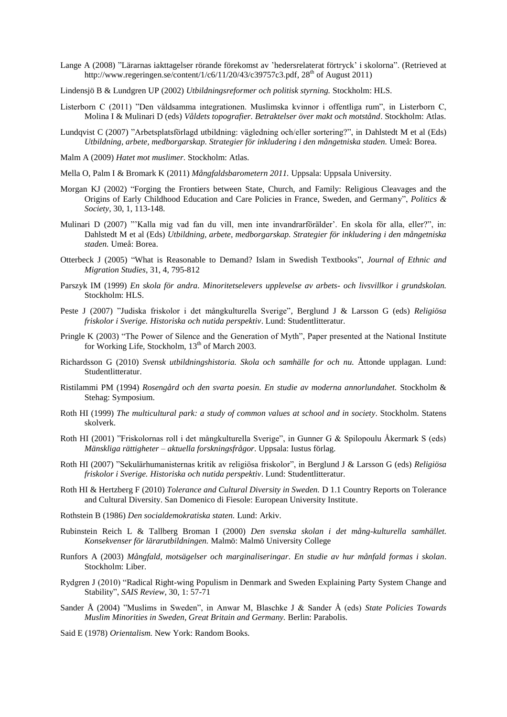- Lange A (2008) "Lärarnas iakttagelser rörande förekomst av 'hedersrelaterat förtryck' i skolorna". (Retrieved at [http://www.regeringen.se/content/1/c6/11/20/43/c39757c3.pdf,](http://www.regeringen.se/content/1/c6/11/20/43/c39757c3.pdf)  $28<sup>th</sup>$  of August 2011)
- Lindensjö B & Lundgren UP (2002) *Utbildningsreformer och politisk styrning.* Stockholm: HLS.
- Listerborn C (2011) "Den våldsamma integrationen. Muslimska kvinnor i offentliga rum", in Listerborn C, Molina I & Mulinari D (eds) *Våldets topografier. Betraktelser över makt och motstånd*. Stockholm: Atlas.
- Lundqvist C (2007) "Arbetsplatsförlagd utbildning: vägledning och/eller sortering?", in Dahlstedt M et al (Eds) *Utbildning, arbete, medborgarskap. Strategier för inkludering i den mångetniska staden.* Umeå: Borea.
- Malm A (2009) *Hatet mot muslimer.* Stockholm: Atlas.
- Mella O, Palm I & Bromark K (2011) *Mångfaldsbarometern 2011.* Uppsala: Uppsala University.
- Morgan KJ (2002) "Forging the Frontiers between State, Church, and Family: Religious Cleavages and the Origins of Early Childhood Education and Care Policies in France, Sweden, and Germany", *Politics & Society*, 30, 1, 113-148.
- Mulinari D (2007) "'Kalla mig vad fan du vill, men inte invandrarförälder'. En skola för alla, eller?", in: Dahlstedt M et al (Eds) *Utbildning, arbete, medborgarskap. Strategier för inkludering i den mångetniska staden.* Umeå: Borea.
- Otterbeck J (2005) "What is Reasonable to Demand? Islam in Swedish Textbooks", *[Journal of Ethnic and](http://www.ingentaconnect.com/content/routledg/cjms;jsessionid=1iifoewtuqyob.alice)  [Migration Studies](http://www.ingentaconnect.com/content/routledg/cjms;jsessionid=1iifoewtuqyob.alice)*, 31, 4, 795-812
- Parszyk IM (1999) *En skola för andra. Minoritetselevers upplevelse av arbets- och livsvillkor i grundskolan.*  Stockholm: HLS.
- Peste J (2007) "Judiska friskolor i det mångkulturella Sverige", Berglund J & Larsson G (eds) *Religiösa friskolor i Sverige. Historiska och nutida perspektiv*. Lund: Studentlitteratur.
- Pringle K (2003) "The Power of Silence and the Generation of Myth", Paper presented at the National Institute for Working Life, Stockholm, 13<sup>th</sup> of March 2003.
- Richardsson G (2010) *Svensk utbildningshistoria. Skola och samhälle for och nu.* Åttonde upplagan. Lund: Studentlitteratur.
- Ristilammi PM (1994) *Rosengård och den svarta poesin. En studie av moderna annorlundahet.* Stockholm & Stehag: Symposium.
- Roth HI (1999) *The multicultural park: a study of common values at school and in society*. Stockholm. Statens skolverk.
- Roth HI (2001) "Friskolornas roll i det mångkulturella Sverige", in Gunner G & Spilopoulu Åkermark S (eds) *Mänskliga rättigheter – aktuella forskningsfrågor*. Uppsala: Iustus förlag.
- Roth HI (2007) "Sekulärhumanisternas kritik av religiösa friskolor", in Berglund J & Larsson G (eds) *Religiösa friskolor i Sverige. Historiska och nutida perspektiv*. Lund: Studentlitteratur.
- Roth HI & Hertzberg F (2010) *Tolerance and Cultural Diversity in Sweden.* D 1.1 Country Reports on Tolerance and Cultural Diversity. San Domenico di Fiesole: European University Institute.
- Rothstein B (1986) *Den socialdemokratiska staten.* Lund: Arkiv.
- Rubinstein Reich L & Tallberg Broman I (2000) *Den svenska skolan i det mång-kulturella samhället. Konsekvenser för lärarutbildningen.* Malmö: Malmö University College
- Runfors A (2003) *Mångfald, motsägelser och marginaliseringar. En studie av hur månfald formas i skolan*. Stockholm: Liber.
- Rydgren J (2010) "Radical Right-wing Populism in Denmark and Sweden Explaining Party System Change and Stability", *SAIS Review*, 30, 1: 57-71
- Sander Å (2004) "Muslims in Sweden", in Anwar M, Blaschke J & Sander Å (eds) *State Policies Towards Muslim Minorities in Sweden, Great Britain and Germany.* Berlin: Parabolis.
- Said E (1978) *Orientalism.* New York: Random Books.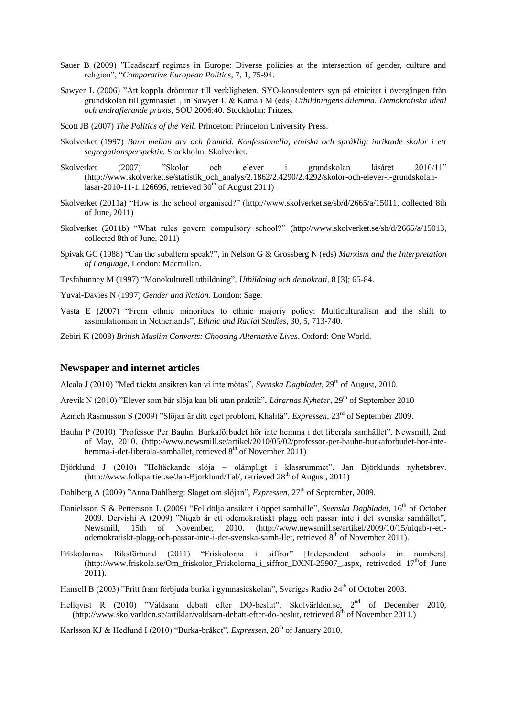- Sauer B (2009) "Headscarf regimes in Europe: Diverse policies at the intersection of gender, culture and religion", "*Comparative European Politics*, 7, 1, 75-94.
- Sawyer L (2006) "Att koppla drömmar till verkligheten. SYO-konsulenters syn på etnicitet i övergången från grundskolan till gymnasiet", in Sawyer L & Kamali M (eds) *Utbildningens dilemma. Demokratiska ideal och andrafierande praxis*, SOU 2006:40. Stockholm: Fritzes.
- Scott JB (2007) *The Politics of the Veil*. Princeton: Princeton University Press.
- Skolverket (1997) *Barn mellan arv och framtid. Konfessionella, etniska och språkligt inriktade skolor i ett segregationsperspektiv.* Stockholm: Skolverket.
- Skolverket (2007) "Skolor och elever i grundskolan läsåret 2010/11" [\(http://www.skolverket.se/statistik\\_och\\_analys/2.1862/2.4290/2.4292/skolor-och-elever-i-grundskolan](http://www.skolverket.se/statistik_och_analys/2.1862/2.4290/2.4292/skolor-och-elever-i-grundskolan-lasar-2010-11-1.126696)[lasar-2010-11-1.126696,](http://www.skolverket.se/statistik_och_analys/2.1862/2.4290/2.4292/skolor-och-elever-i-grundskolan-lasar-2010-11-1.126696) retrieved  $30^{th}$  of August 2011)
- Skolverket (2011a) "How is the school organised?" [\(http://www.skolverket.se/sb/d/2665/a/15011,](http://www.skolverket.se/sb/d/2665/a/15011) collected 8th of June, 2011)
- Skolverket (2011b) "What rules govern compulsory school?" [\(http://www.skolverket.se/sb/d/2665/a/15013,](http://www.skolverket.se/sb/d/2665/a/15013) collected 8th of June, 2011)
- Spivak GC (1988) "Can the subaltern speak?", in Nelson G & Grossberg N (eds) *Marxism and the Interpretation of Language*, London: Macmillan.
- Tesfahunney M (1997) "Monokulturell utbildning", *Utbildning och demokrati*, 8 [3]; 65-84.
- Yuval-Davies N (1997) *Gender and Nation*. London: Sage.
- Vasta E (2007) "From ethnic minorities to ethnic majoriy policy: Multiculturalism and the shift to assimilationism in Netherlands", *Ethnic and Racial Studies*, 30, 5, 713-740.
- <span id="page-49-0"></span>Zebiri K (2008) *British Muslim Converts: Choosing Alternative Lives*. Oxford: One World.

#### **Newspaper and internet articles**

Alcala J (2010) "Med täckta ansikten kan vi inte mötas", *Svenska Dagbladet*, 29th of August, 2010.

- Arevik N (2010) "Elever som bär slöja kan bli utan praktik", *Lärarnas Nyheter*, 29th of September 2010
- Azmeh Rasmusson S (2009) "Slöjan är ditt eget problem, Khalifa", *Expressen*, 23<sup>rd</sup> of September 2009.
- Bauhn P (2010) "Professor Per Bauhn: Burkaförbudet hör inte hemma i det liberala samhället", Newsmill, 2nd of May, 2010. [\(http://www.newsmill.se/artikel/2010/05/02/professor-per-bauhn-burkaforbudet-hor-inte](http://www.newsmill.se/artikel/2010/05/02/professor-per-bauhn-burkaforbudet-hor-inte-hemma-i-det-liberala-samhallet)[hemma-i-det-liberala-samhallet,](http://www.newsmill.se/artikel/2010/05/02/professor-per-bauhn-burkaforbudet-hor-inte-hemma-i-det-liberala-samhallet) retrieved  $8<sup>th</sup>$  of November 2011)
- Björklund J (2010) "Heltäckande slöja olämpligt i klassrummet". Jan Björklunds nyhetsbrev. [\(http://www.folkpartiet.se/Jan-Bjorklund/Tal/,](http://www.folkpartiet.se/Jan-Bjorklund/Tal/) retrieved  $28<sup>th</sup>$  of August, 2011)

Dahlberg A (2009) "Anna Dahlberg: Slaget om slöjan", *Expressen*, 27<sup>th</sup> of September, 2009.

- Danielsson S & Pettersson L (2009) "Fel dölja ansiktet i öppet samhälle", *Svenska Dagbladet*, 16<sup>th</sup> of October 2009. Dervishi A (2009) "Niqab är ett odemokratiskt plagg och passar inte i det svenska samhället", Newsmill, 15th of November, 2010. [\(http://www.newsmill.se/artikel/2009/10/15/niqab-r-ett](http://www.newsmill.se/artikel/2009/10/15/niqab-r-ett-odemokratiskt-plagg-och-passar-inte-i-det-svenska-samh-llet)[odemokratiskt-plagg-och-passar-inte-i-det-svenska-samh-llet,](http://www.newsmill.se/artikel/2009/10/15/niqab-r-ett-odemokratiskt-plagg-och-passar-inte-i-det-svenska-samh-llet) retrieved 8<sup>th</sup> of November 2011).
- Friskolornas Riksförbund (2011) "Friskolorna i siffror" [Independent schools in numbers] [\(http://www.friskola.se/Om\\_friskolor\\_Friskolorna\\_i\\_siffror\\_DXNI-25907\\_.aspx,](http://www.friskola.se/Om_friskolor_Friskolorna_i_siffror_DXNI-25907_.aspx) retriveded 17<sup>th</sup>of June 2011).
- Hansell B (2003) "Fritt fram förbjuda burka i gymnasieskolan", Sveriges Radio 24<sup>th</sup> of October 2003.
- Hellqvist R (2010) "Våldsam debatt efter DO-beslut", Skolvärlden.se,  $2^{nd}$  of December 2010, [\(http://www.skolvarlden.se/artiklar/valdsam-debatt-efter-do-beslut,](http://www.skolvarlden.se/artiklar/valdsam-debatt-efter-do-beslut) retrieved 8<sup>th</sup> of November 2011.)

Karlsson KJ & Hedlund I (2010) "Burka-bråket", *Expressen*, 28<sup>th</sup> of January 2010.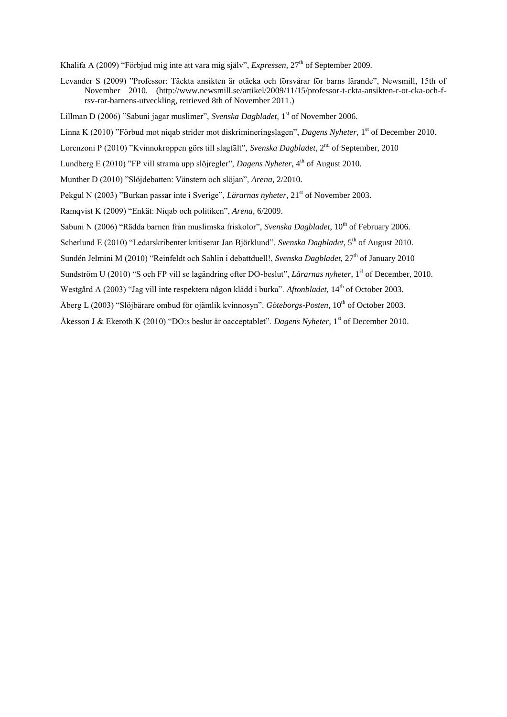Khalifa A (2009) "Förbjud mig inte att vara mig själv", *Expressen*, 27<sup>th</sup> of September 2009.

- Levander S (2009) "Professor: Täckta ansikten är otäcka och försvårar för barns lärande", Newsmill, 15th of November 2010. [\(http://www.newsmill.se/artikel/2009/11/15/professor-t-ckta-ansikten-r-ot-cka-och-f](http://www.newsmill.se/artikel/2009/11/15/professor-t-ckta-ansikten-r-ot-cka-och-f-rsv-rar-barnens-utveckling)[rsv-rar-barnens-utveckling,](http://www.newsmill.se/artikel/2009/11/15/professor-t-ckta-ansikten-r-ot-cka-och-f-rsv-rar-barnens-utveckling) retrieved 8th of November 2011.)
- Lillman D (2006) "Sabuni jagar muslimer", *Svenska Dagbladet*, 1 st of November 2006.
- Linna K (2010) "Förbud mot niqab strider mot diskrimineringslagen", *Dagens Nyheter,* 1 st of December 2010.
- Lorenzoni P (2010) "Kvinnokroppen görs till slagfält", *Svenska Dagbladet*, 2<sup>nd</sup> of September, 2010
- Lundberg E (2010) "FP vill strama upp slöjregler", *Dagens Nyheter*, 4<sup>th</sup> of August 2010.
- Munther D (2010) "Slöjdebatten: Vänstern och slöjan", *Arena*, 2/2010.
- Pekgul N (2003) "Burkan passar inte i Sverige", *Lärarnas nyheter*, 21<sup>st</sup> of November 2003.
- Ramqvist K (2009) "Enkät: Niqab och politiken", *Arena*, 6/2009.
- Sabuni N (2006) "Rädda barnen från muslimska friskolor", *Svenska Dagbladet*, 10<sup>th</sup> of February 2006.
- Scherlund E (2010) "Ledarskribenter kritiserar Jan Björklund". *Svenska Dagbladet*, 5<sup>th</sup> of August 2010.
- Sundén Jelmini M (2010) "Reinfeldt och Sahlin i debattduell!, *Svenska Dagbladet*, 27<sup>th</sup> of January 2010
- Sundström U (2010) "S och FP vill se lagändring efter DO-beslut", *Lärarnas nyheter*, 1 st of December, 2010.
- Westgård A (2003) "Jag vill inte respektera någon klädd i burka". *Aftonbladet*, 14th of October 2003.
- Åberg L (2003) "Slöjbärare ombud för ojämlik kvinnosyn". *Göteborgs-Posten*, 10th of October 2003.
- Åkesson J & Ekeroth K (2010) "DO:s beslut är oacceptablet". *Dagens Nyheter*, 1<sup>st</sup> of December 2010.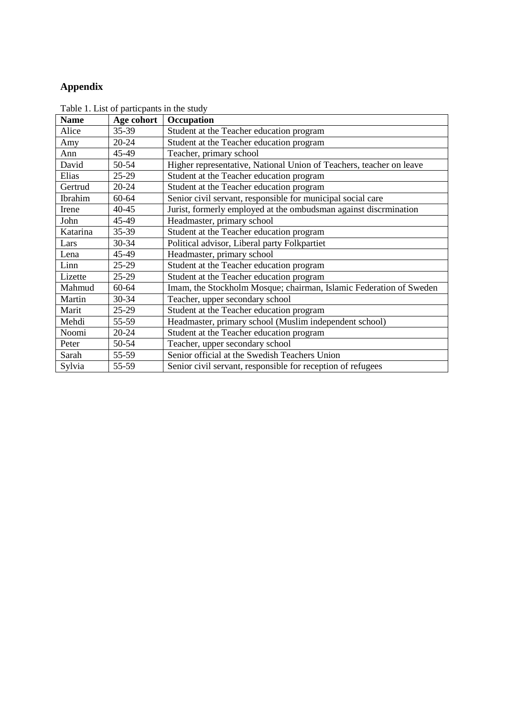## <span id="page-51-0"></span>**Appendix**

| <b>Name</b> | Age cohort | Occupation                                                          |
|-------------|------------|---------------------------------------------------------------------|
| Alice       | 35-39      | Student at the Teacher education program                            |
| Amy         | 20-24      | Student at the Teacher education program                            |
| Ann         | 45-49      | Teacher, primary school                                             |
| David       | 50-54      | Higher representative, National Union of Teachers, teacher on leave |
| Elias       | $25-29$    | Student at the Teacher education program                            |
| Gertrud     | 20-24      | Student at the Teacher education program                            |
| Ibrahim     | 60-64      | Senior civil servant, responsible for municipal social care         |
| Irene       | 40-45      | Jurist, formerly employed at the ombudsman against discrmination    |
| John        | 45-49      | Headmaster, primary school                                          |
| Katarina    | 35-39      | Student at the Teacher education program                            |
| Lars        | 30-34      | Political advisor, Liberal party Folkpartiet                        |
| Lena        | 45-49      | Headmaster, primary school                                          |
| Linn        | 25-29      | Student at the Teacher education program                            |
| Lizette     | $25-29$    | Student at the Teacher education program                            |
| Mahmud      | 60-64      | Imam, the Stockholm Mosque; chairman, Islamic Federation of Sweden  |
| Martin      | 30-34      | Teacher, upper secondary school                                     |
| Marit       | 25-29      | Student at the Teacher education program                            |
| Mehdi       | 55-59      | Headmaster, primary school (Muslim independent school)              |
| Noomi       | 20-24      | Student at the Teacher education program                            |
| Peter       | 50-54      | Teacher, upper secondary school                                     |
| Sarah       | 55-59      | Senior official at the Swedish Teachers Union                       |
| Sylvia      | 55-59      | Senior civil servant, responsible for reception of refugees         |

Table 1. List of particpants in the study